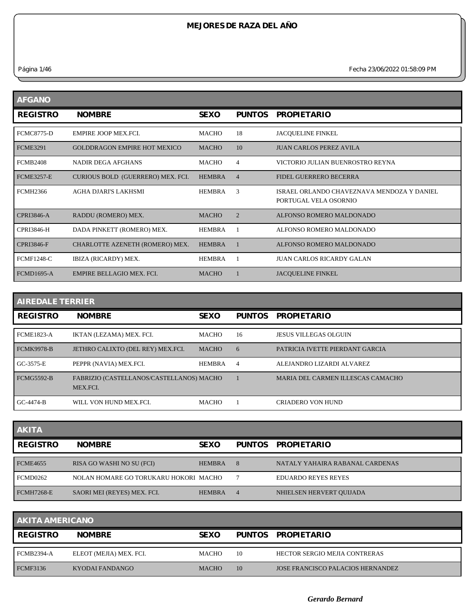*Página 1/46 Fecha 23/06/2022 01:58:09 PM*

| <b>AFGANO</b>     |                                     |               |                |                                                                     |
|-------------------|-------------------------------------|---------------|----------------|---------------------------------------------------------------------|
| <b>REGISTRO</b>   | <b>NOMBRE</b>                       | <b>SEXO</b>   | <b>PUNTOS</b>  | <b>PROPIETARIO</b>                                                  |
| <b>FCMC8775-D</b> | EMPIRE JOOP MEX.FCI.                | MACHO         | 18             | <b>JACQUELINE FINKEL</b>                                            |
| <b>FCME3291</b>   | <b>GOLDDRAGON EMPIRE HOT MEXICO</b> | <b>MACHO</b>  | 10             | <b>JUAN CARLOS PEREZ AVILA</b>                                      |
| <b>FCMB2408</b>   | <b>NADIR DEGA AFGHANS</b>           | <b>MACHO</b>  | 4              | VICTORIO JULIAN BUENROSTRO REYNA                                    |
| <b>FCME3257-E</b> | CURIOUS BOLD (GUERRERO) MEX. FCI.   | <b>HEMBRA</b> | $\overline{4}$ | FIDEL GUERRERO BECERRA                                              |
| <b>FCMH2366</b>   | AGHA DJARI'S LAKHSMI                | <b>HEMBRA</b> | 3              | ISRAEL ORLANDO CHAVEZNAVA MENDOZA Y DANIEL<br>PORTUGAL VELA OSORNIO |
| <b>CPRI3846-A</b> | RADDU (ROMERO) MEX.                 | <b>MACHO</b>  | $\overline{2}$ | ALFONSO ROMERO MALDONADO                                            |
| <b>CPRI3846-H</b> | DADA PINKETT (ROMERO) MEX.          | <b>HEMBRA</b> |                | ALFONSO ROMERO MALDONADO                                            |
| <b>CPRI3846-F</b> | CHARLOTTE AZENETH (ROMERO) MEX.     | <b>HEMBRA</b> |                | ALFONSO ROMERO MALDONADO                                            |
| <b>FCMF1248-C</b> | IBIZA (RICARDY) MEX.                | <b>HEMBRA</b> |                | <b>JUAN CARLOS RICARDY GALAN</b>                                    |
| <b>FCMD1695-A</b> | <b>EMPIRE BELLAGIO MEX. FCI.</b>    | <b>MACHO</b>  |                | <b>JACOUELINE FINKEL</b>                                            |

| <b>AIREDALE TERRIER</b> |                                                      |               |                |                                   |  |  |
|-------------------------|------------------------------------------------------|---------------|----------------|-----------------------------------|--|--|
| <b>REGISTRO</b>         | <b>NOMBRE</b>                                        | <b>SEXO</b>   | <b>PUNTOS</b>  | <b>PROPIETARIO</b>                |  |  |
| <b>FCME1823-A</b>       | IKTAN (LEZAMA) MEX. FCI.                             | <b>MACHO</b>  | 16             | <b>JESUS VILLEGAS OLGUIN</b>      |  |  |
| <b>FCMK9978-B</b>       | JETHRO CALIXTO (DEL REY) MEX.FCI.                    | <b>MACHO</b>  | 6              | PATRICIA IVETTE PIERDANT GARCIA   |  |  |
| GC-3575-E               | PEPPR (NAVIA) MEX.FCI.                               | <b>HEMBRA</b> | $\overline{4}$ | ALEJANDRO LIZARDI ALVAREZ         |  |  |
| <b>FCMG5592-B</b>       | FABRIZIO (CASTELLANOS/CASTELLANOS) MACHO<br>MEX.FCI. |               |                | MARIA DEL CARMEN ILLESCAS CAMACHO |  |  |
| $GC-4474-B$             | WILL VON HUND MEX.FCI.                               | <b>MACHO</b>  |                | <b>CRIADERO VON HUND</b>          |  |  |

| <b>AKITA</b>      |                                       |               |        |                                 |
|-------------------|---------------------------------------|---------------|--------|---------------------------------|
| <b>REGISTRO</b>   | <b>NOMBRE</b>                         | <b>SEXO</b>   | PUNTOS | <b>PROPIETARIO</b>              |
| <b>FCME4655</b>   | RISA GO WASHI NO SU (FCI)             | <b>HEMBRA</b> | 8      | NATALY YAHAIRA RABANAL CARDENAS |
| <b>FCMD0262</b>   | NOLAN HOMARE GO TORUKARU HOKORI MACHO |               |        | <b>EDUARDO REYES REYES</b>      |
| <b>FCMH7268-E</b> | SAORI MEI (REYES) MEX. FCI.           | <b>HEMBRA</b> | 4      | NHIELSEN HERVERT OUIJADA        |

| <b>AKITA AMERICANO</b> |                         |              |    |                                          |  |  |
|------------------------|-------------------------|--------------|----|------------------------------------------|--|--|
| <b>REGISTRO</b>        | <b>NOMBRE</b>           | <b>SEXO</b>  |    | PUNTOS PROPIETARIO                       |  |  |
| FCMB2394-A             | ELEOT (MEJIA) MEX. FCI. | <b>MACHO</b> | 10 | HECTOR SERGIO MEJIA CONTRERAS            |  |  |
| FCMF3136               | KYODAI FANDANGO         | <b>MACHO</b> | 10 | <b>JOSE FRANCISCO PALACIOS HERNANDEZ</b> |  |  |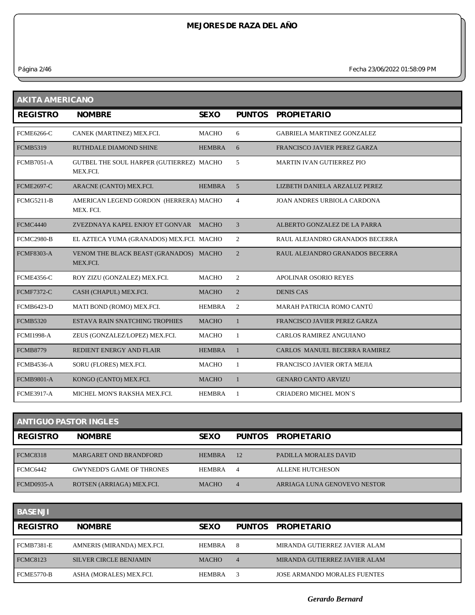*Página 2/46 Fecha 23/06/2022 01:58:09 PM*

| <b>AKITA AMERICANO</b> |                                                      |               |                |                                    |  |  |
|------------------------|------------------------------------------------------|---------------|----------------|------------------------------------|--|--|
| <b>REGISTRO</b>        | <b>NOMBRE</b>                                        | <b>SEXO</b>   | <b>PUNTOS</b>  | <b>PROPIETARIO</b>                 |  |  |
| <b>FCME6266-C</b>      | CANEK (MARTINEZ) MEX.FCI.                            | <b>MACHO</b>  | 6              | <b>GABRIELA MARTINEZ GONZALEZ</b>  |  |  |
| <b>FCMB5319</b>        | <b>RUTHDALE DIAMOND SHINE</b>                        | <b>HEMBRA</b> | 6              | FRANCISCO JAVIER PEREZ GARZA       |  |  |
| <b>FCMB7051-A</b>      | GUTBEL THE SOUL HARPER (GUTIERREZ) MACHO<br>MEX.FCI. |               | 5              | <b>MARTIN IVAN GUTIERREZ PIO</b>   |  |  |
| <b>FCME2697-C</b>      | ARACNE (CANTO) MEX.FCI.                              | <b>HEMBRA</b> | 5              | LIZBETH DANIELA ARZALUZ PEREZ      |  |  |
| <b>FCMG5211-B</b>      | AMERICAN LEGEND GORDON (HERRERA) MACHO<br>MEX. FCI.  |               | $\overline{4}$ | <b>JOAN ANDRES URBIOLA CARDONA</b> |  |  |
| <b>FCMC4440</b>        | ZVEZDNAYA KAPEL ENJOY ET GONVAR                      | <b>MACHO</b>  | 3              | ALBERTO GONZALEZ DE LA PARRA       |  |  |
| <b>FCMC2980-B</b>      | EL AZTECA YUMA (GRANADOS) MEX.FCI. MACHO             |               | 2              | RAUL ALEJANDRO GRANADOS BECERRA    |  |  |
| <b>FCMF8303-A</b>      | VENOM THE BLACK BEAST (GRANADOS) MACHO<br>MEX.FCI.   |               | $\overline{2}$ | RAUL ALEJANDRO GRANADOS BECERRA    |  |  |
| <b>FCME4356-C</b>      | ROY ZIZU (GONZALEZ) MEX.FCI.                         | <b>MACHO</b>  | 2              | <b>APOLINAR OSORIO REYES</b>       |  |  |
| <b>FCMF7372-C</b>      | CASH (CHAPUL) MEX.FCI.                               | <b>MACHO</b>  | $\overline{2}$ | <b>DENIS CAS</b>                   |  |  |
| <b>FCMB6423-D</b>      | MATI BOND (ROMO) MEX.FCI.                            | <b>HEMBRA</b> | 2              | MARAH PATRICIA ROMO CANTÚ          |  |  |
| <b>FCMB5320</b>        | <b>ESTAVA RAIN SNATCHING TROPHIES</b>                | <b>MACHO</b>  | $\mathbf{1}$   | FRANCISCO JAVIER PEREZ GARZA       |  |  |
| <b>FCMI1998-A</b>      | ZEUS (GONZALEZ/LOPEZ) MEX.FCI.                       | <b>MACHO</b>  | 1              | CARLOS RAMIREZ ANGUIANO            |  |  |
| <b>FCMB8779</b>        | REDIENT ENERGY AND FLAIR                             | <b>HEMBRA</b> | $\mathbf{1}$   | CARLOS MANUEL BECERRA RAMIREZ      |  |  |
| <b>FCMB4536-A</b>      | SORU (FLORES) MEX.FCI.                               | <b>MACHO</b>  | 1              | FRANCISCO JAVIER ORTA MEJIA        |  |  |
| <b>FCMB9801-A</b>      | KONGO (CANTO) MEX.FCI.                               | <b>MACHO</b>  | 1              | <b>GENARO CANTO ARVIZU</b>         |  |  |
| FCME3917-A             | MICHEL MON'S RAKSHA MEX.FCI.                         | <b>HEMBRA</b> | 1              | <b>CRIADERO MICHEL MON'S</b>       |  |  |

| <b>ANTIGUO PASTOR INGLES</b> |                                  |               |                |                              |  |  |
|------------------------------|----------------------------------|---------------|----------------|------------------------------|--|--|
| <b>REGISTRO</b>              | <b>NOMBRE</b>                    | <b>SEXO</b>   | PUNTOS         | <b>PROPIETARIO</b>           |  |  |
| <b>FCMC8318</b>              | <b>MARGARET OND BRANDFORD</b>    | <b>HEMBRA</b> | 12             | PADILLA MORALES DAVID        |  |  |
| <b>FCMC6442</b>              | <b>GWYNEDD'S GAME OF THRONES</b> | <b>HEMBRA</b> | $\overline{4}$ | <b>ALLENE HUTCHESON</b>      |  |  |
| <b>FCMD0935-A</b>            | ROTSEN (ARRIAGA) MEX.FCI.        | <b>MACHO</b>  | 4              | ARRIAGA LUNA GENOVEVO NESTOR |  |  |

| <b>BASENJI</b>  |                               |               |                |                                     |
|-----------------|-------------------------------|---------------|----------------|-------------------------------------|
| <b>REGISTRO</b> | <b>NOMBRE</b>                 | <b>SEXO</b>   | PUNTOS         | <b>PROPIETARIO</b>                  |
| FCMB7381-E      | AMNERIS (MIRANDA) MEX.FCI.    | <b>HEMBRA</b> | 8              | MIRANDA GUTIERREZ JAVIER ALAM       |
| <b>FCMC8123</b> | <b>SILVER CIRCLE BENJAMIN</b> | <b>MACHO</b>  | $\overline{4}$ | MIRANDA GUTIERREZ JAVIER ALAM       |
| FCME5770-B      | ASHA (MORALES) MEX.FCI.       | <b>HEMBRA</b> | 3              | <b>JOSE ARMANDO MORALES FUENTES</b> |

*Gerardo Bernard*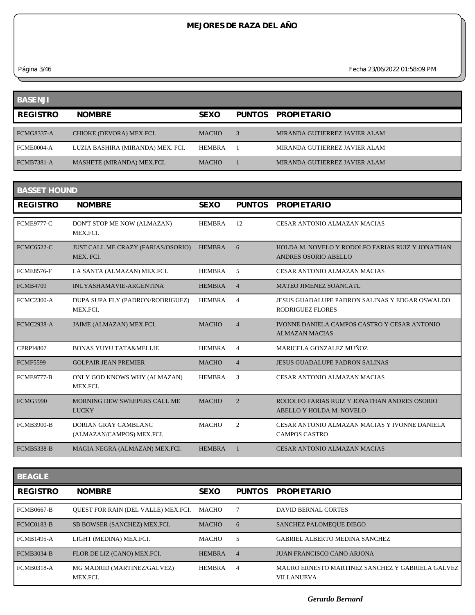*Página 3/46 Fecha 23/06/2022 01:58:09 PM*

| <b>BASENJI</b>    |                                   |               |                               |
|-------------------|-----------------------------------|---------------|-------------------------------|
| <b>REGISTRO</b>   | <b>NOMBRE</b>                     | <b>SEXO</b>   | PUNTOS PROPIETARIO            |
| <b>FCMG8337-A</b> | CHIOKE (DEVORA) MEX.FCI.          | <b>MACHO</b>  | MIRANDA GUTIERREZ JAVIER ALAM |
| FCME0004-A        | LUZIA BASHIRA (MIRANDA) MEX. FCI. | <b>HEMBRA</b> | MIRANDA GUTIERREZ JAVIER ALAM |
| <b>FCMB7381-A</b> | MASHETE (MIRANDA) MEX.FCI.        | <b>MACHO</b>  | MIRANDA GUTIERREZ JAVIER ALAM |

| <b>BASSET HOUND</b> |                                                     |               |                |                                                                           |  |  |  |
|---------------------|-----------------------------------------------------|---------------|----------------|---------------------------------------------------------------------------|--|--|--|
| <b>REGISTRO</b>     | <b>NOMBRE</b>                                       | <b>SEXO</b>   | <b>PUNTOS</b>  | <b>PROPIETARIO</b>                                                        |  |  |  |
| <b>FCME9777-C</b>   | DON'T STOP ME NOW (ALMAZAN)<br>MEX.FCI.             | <b>HEMBRA</b> | 12             | <b>CESAR ANTONIO ALMAZAN MACIAS</b>                                       |  |  |  |
| <b>FCMC6522-C</b>   | JUST CALL ME CRAZY (FARIAS/OSORIO)<br>MEX. FCI.     | <b>HEMBRA</b> | 6              | HOLDA M. NOVELO Y RODOLFO FARIAS RUIZ Y JONATHAN<br>ANDRES OSORIO ABELLO  |  |  |  |
| <b>FCME8576-F</b>   | LA SANTA (ALMAZAN) MEX.FCI.                         | <b>HEMBRA</b> | 5              | CESAR ANTONIO ALMAZAN MACIAS                                              |  |  |  |
| <b>FCMB4709</b>     | INUYASHAMAVIE-ARGENTINA                             | <b>HEMBRA</b> | $\overline{4}$ | <b>MATEO JIMENEZ SOANCATL</b>                                             |  |  |  |
| <b>FCMC2300-A</b>   | DUPA SUPA FLY (PADRON/RODRIGUEZ)<br>MEX.FCI.        | <b>HEMBRA</b> | $\overline{4}$ | JESUS GUADALUPE PADRON SALINAS Y EDGAR OSWALDO<br><b>RODRIGUEZ FLORES</b> |  |  |  |
| <b>FCMC2938-A</b>   | JAIME (ALMAZAN) MEX.FCI.                            | <b>MACHO</b>  | $\overline{4}$ | IVONNE DANIELA CAMPOS CASTRO Y CESAR ANTONIO<br><b>ALMAZAN MACIAS</b>     |  |  |  |
| <b>CPRPI4807</b>    | <b>BONAS YUYU TATA&amp;MELLIE</b>                   | <b>HEMBRA</b> | $\overline{4}$ | MARICELA GONZALEZ MUÑOZ                                                   |  |  |  |
| <b>FCMF5599</b>     | <b>GOLPAIR JEAN PREMIER</b>                         | <b>MACHO</b>  | $\overline{4}$ | <b>JESUS GUADALUPE PADRON SALINAS</b>                                     |  |  |  |
| <b>FCME9777-B</b>   | ONLY GOD KNOWS WHY (ALMAZAN)<br>MEX.FCI.            | <b>HEMBRA</b> | $\mathcal{R}$  | CESAR ANTONIO ALMAZAN MACIAS                                              |  |  |  |
| <b>FCMG5990</b>     | <b>MORNING DEW SWEEPERS CALL ME</b><br><b>LUCKY</b> | <b>MACHO</b>  | $\overline{2}$ | RODOLFO FARIAS RUIZ Y JONATHAN ANDRES OSORIO<br>ABELLO Y HOLDA M. NOVELO  |  |  |  |
| <b>FCMB3900-B</b>   | DORIAN GRAY CAMBLANC<br>(ALMAZAN/CAMPOS) MEX.FCI.   | <b>MACHO</b>  | 2              | CESAR ANTONIO ALMAZAN MACIAS Y IVONNE DANIELA<br><b>CAMPOS CASTRO</b>     |  |  |  |
| <b>FCMB5338-B</b>   | MAGIA NEGRA (ALMAZAN) MEX.FCI.                      | <b>HEMBRA</b> | $\overline{1}$ | CESAR ANTONIO ALMAZAN MACIAS                                              |  |  |  |
|                     |                                                     |               |                |                                                                           |  |  |  |

| <b>BEAGLE</b>     |                                            |               |                |                                                                       |
|-------------------|--------------------------------------------|---------------|----------------|-----------------------------------------------------------------------|
| <b>REGISTRO</b>   | <b>NOMBRE</b>                              | <b>SEXO</b>   | <b>PUNTOS</b>  | <b>PROPIETARIO</b>                                                    |
| <b>FCMB0667-B</b> | <b>OUEST FOR RAIN (DEL VALLE) MEX.FCI.</b> | MACHO         |                | <b>DAVID BERNAL CORTES</b>                                            |
| <b>FCMC0183-B</b> | SB BOWSER (SANCHEZ) MEX.FCI.               | <b>MACHO</b>  | 6              | SANCHEZ PALOMEQUE DIEGO                                               |
| <b>FCMB1495-A</b> | LIGHT (MEDINA) MEX.FCI.                    | <b>MACHO</b>  | 5              | <b>GABRIEL ALBERTO MEDINA SANCHEZ</b>                                 |
| <b>FCMB3034-B</b> | FLOR DE LIZ (CANO) MEX.FCI.                | <b>HEMBRA</b> | $\overline{4}$ | <b>JUAN FRANCISCO CANO ARJONA</b>                                     |
| <b>FCMB0318-A</b> | MG MADRID (MARTINEZ/GALVEZ)<br>MEX.FCI.    | <b>HEMBRA</b> | 4              | MAURO ERNESTO MARTINEZ SANCHEZ Y GABRIELA GALVEZ<br><b>VILLANUEVA</b> |

*Gerardo Bernard*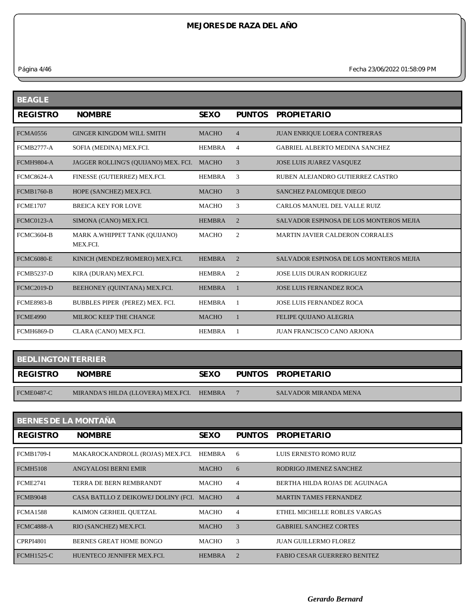*Página 4/46 Fecha 23/06/2022 01:58:09 PM*

| <b>NOMBRE</b>                             | <b>SEXO</b>   | <b>PUNTOS</b>  | <b>PROPIETARIO</b>                      |
|-------------------------------------------|---------------|----------------|-----------------------------------------|
| <b>GINGER KINGDOM WILL SMITH</b>          | <b>MACHO</b>  | $\overline{4}$ | <b>JUAN ENRIQUE LOERA CONTRERAS</b>     |
| SOFIA (MEDINA) MEX.FCI.                   | <b>HEMBRA</b> | $\overline{4}$ | <b>GABRIEL ALBERTO MEDINA SANCHEZ</b>   |
| JAGGER ROLLING'S (QUIJANO) MEX. FCI.      | <b>MACHO</b>  | 3              | JOSE LUIS JUAREZ VASQUEZ                |
| FINESSE (GUTIERREZ) MEX.FCI.              | <b>HEMBRA</b> | 3              | RUBEN ALEJANDRO GUTIERREZ CASTRO        |
| HOPE (SANCHEZ) MEX.FCI.                   | <b>MACHO</b>  | 3              | SANCHEZ PALOMEQUE DIEGO                 |
| <b>BREICA KEY FOR LOVE</b>                | <b>MACHO</b>  | 3              | CARLOS MANUEL DEL VALLE RUIZ            |
| SIMONA (CANO) MEX.FCI.                    | <b>HEMBRA</b> | $\overline{2}$ | SALVADOR ESPINOSA DE LOS MONTEROS MEJIA |
| MARK A.WHIPPET TANK (QUIJANO)<br>MEX.FCI. | <b>MACHO</b>  | $\overline{2}$ | <b>MARTIN JAVIER CALDERON CORRALES</b>  |
| KINICH (MENDEZ/ROMERO) MEX.FCI.           | <b>HEMBRA</b> | $\overline{2}$ | SALVADOR ESPINOSA DE LOS MONTEROS MEJIA |
| KIRA (DURAN) MEX.FCI.                     | <b>HEMBRA</b> | 2              | <b>JOSE LUIS DURAN RODRIGUEZ</b>        |
| BEEHONEY (QUINTANA) MEX.FCI.              | <b>HEMBRA</b> | 1              | <b>JOSE LUIS FERNANDEZ ROCA</b>         |
| BUBBLES PIPER (PEREZ) MEX. FCI.           | <b>HEMBRA</b> | -1             | <b>JOSE LUIS FERNANDEZ ROCA</b>         |
| MILROC KEEP THE CHANGE                    | <b>MACHO</b>  | $\mathbf{1}$   | FELIPE QUIJANO ALEGRIA                  |
| CLARA (CANO) MEX.FCI.                     | <b>HEMBRA</b> |                | JUAN FRANCISCO CANO ARJONA              |
|                                           |               |                |                                         |

| <b>BEDLINGTON TERRIER</b> |                                    |               |  |                              |  |  |
|---------------------------|------------------------------------|---------------|--|------------------------------|--|--|
| <b>REGISTRO</b>           | <b>NOMBRE</b>                      | <b>SEXO</b>   |  | PUNTOS PROPIETARIO           |  |  |
| <b>FCME0487-C</b>         | MIRANDA'S HILDA (LLOVERA) MEX.FCI. | <b>HEMBRA</b> |  | <b>SALVADOR MIRANDA MENA</b> |  |  |

| <b>BERNES DE LA MONTAÑA</b> |                                           |               |                |                                     |  |  |
|-----------------------------|-------------------------------------------|---------------|----------------|-------------------------------------|--|--|
| <b>REGISTRO</b>             | <b>NOMBRE</b>                             | <b>SEXO</b>   | <b>PUNTOS</b>  | <b>PROPIETARIO</b>                  |  |  |
| <b>FCMB1709-I</b>           | MAKAROCKANDROLL (ROJAS) MEX.FCI.          | HEMBRA        | -6             | LUIS ERNESTO ROMO RUIZ              |  |  |
| <b>FCMH5108</b>             | <b>ANGYALOSI BERNI EMIR</b>               | <b>MACHO</b>  | 6              | RODRIGO JIMENEZ SANCHEZ             |  |  |
| <b>FCME2741</b>             | TERRA DE BERN REMBRANDT                   | MACHO         | 4              | BERTHA HILDA ROJAS DE AGUINAGA      |  |  |
| <b>FCMB9048</b>             | CASA BATLLO Z DEIKOWEJ DOLINY (FCI. MACHO |               | $\overline{4}$ | <b>MARTIN TAMES FERNANDEZ</b>       |  |  |
| <b>FCMA1588</b>             | KAIMON GERHEIL QUETZAL                    | MACHO         | $\overline{4}$ | ETHEL MICHELLE ROBLES VARGAS        |  |  |
| <b>FCMC4888-A</b>           | RIO (SANCHEZ) MEX.FCI.                    | <b>MACHO</b>  | $\mathcal{R}$  | <b>GABRIEL SANCHEZ CORTES</b>       |  |  |
| <b>CPRPI4801</b>            | <b>BERNES GREAT HOME BONGO</b>            | MACHO         | 3              | <b>JUAN GUILLERMO FLOREZ</b>        |  |  |
| <b>FCMH1525-C</b>           | HUENTECO JENNIFER MEX.FCI.                | <b>HEMBRA</b> | 2              | <b>FABIO CESAR GUERRERO BENITEZ</b> |  |  |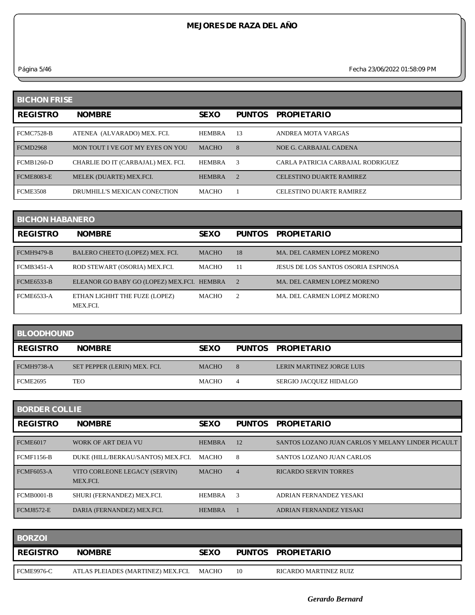*Página 5/46 Fecha 23/06/2022 01:58:09 PM*

| <b>BICHON FRISE</b> |                                    |               |                       |                                   |  |
|---------------------|------------------------------------|---------------|-----------------------|-----------------------------------|--|
| <b>REGISTRO</b>     | <b>NOMBRE</b>                      | <b>SEXO</b>   | <b>PUNTOS</b>         | <b>PROPIETARIO</b>                |  |
| <b>FCMC7528-B</b>   | ATENEA (ALVARADO) MEX. FCI.        | <b>HEMBRA</b> | 13                    | ANDREA MOTA VARGAS                |  |
| <b>FCMD2968</b>     | MON TOUT I VE GOT MY EYES ON YOU   | <b>MACHO</b>  | 8                     | NOE G. CARBAJAL CADENA            |  |
| <b>FCMB1260-D</b>   | CHARLIE DO IT (CARBAJAL) MEX. FCI. | <b>HEMBRA</b> | $\mathcal{R}$         | CARLA PATRICIA CARBAJAL RODRIGUEZ |  |
| <b>FCME8083-E</b>   | MELEK (DUARTE) MEX.FCI.            | <b>HEMBRA</b> | $\mathcal{D}_{\cdot}$ | <b>CELESTINO DUARTE RAMIREZ</b>   |  |
| <b>FCME3508</b>     | DRUMHILL'S MEXICAN CONECTION       | <b>MACHO</b>  |                       | <b>CELESTINO DUARTE RAMIREZ</b>   |  |

| <b>BICHON HABANERO</b> |                                            |              |                |                                     |  |
|------------------------|--------------------------------------------|--------------|----------------|-------------------------------------|--|
| <b>REGISTRO</b>        | <b>NOMBRE</b>                              | <b>SEXO</b>  | <b>PUNTOS</b>  | <b>PROPIETARIO</b>                  |  |
| <b>FCMH9479-B</b>      | BALERO CHEETO (LOPEZ) MEX. FCI.            | <b>MACHO</b> | 18             | MA. DEL CARMEN LOPEZ MORENO         |  |
| <b>FCMB3451-A</b>      | ROD STEWART (OSORIA) MEX.FCI.              | <b>MACHO</b> | 11             | JESUS DE LOS SANTOS OSORIA ESPINOSA |  |
| <b>FCME6533-B</b>      | ELEANOR GO BABY GO (LOPEZ) MEX.FCI. HEMBRA |              | $\overline{2}$ | MA. DEL CARMEN LOPEZ MORENO         |  |
| <b>FCME6533-A</b>      | ETHAN LIGHHT THE FUZE (LOPEZ)<br>MEX.FCI.  | <b>MACHO</b> | 2              | MA. DEL CARMEN LOPEZ MORENO         |  |

| <b>BLOODHOUND</b> |                              |              |  |                                  |  |
|-------------------|------------------------------|--------------|--|----------------------------------|--|
| <b>REGISTRO</b>   | <b>NOMBRE</b>                | <b>SEXO</b>  |  | PUNTOS PROPIETARIO               |  |
|                   |                              |              |  |                                  |  |
| <b>FCMH9738-A</b> | SET PEPPER (LERIN) MEX. FCI. | <b>MACHO</b> |  | <b>LERIN MARTINEZ JORGE LUIS</b> |  |

| <b>BORDER COLLIE</b> |                                           |               |                |                                                   |  |  |
|----------------------|-------------------------------------------|---------------|----------------|---------------------------------------------------|--|--|
| <b>REGISTRO</b>      | <b>NOMBRE</b>                             | <b>SEXO</b>   | <b>PUNTOS</b>  | <b>PROPIETARIO</b>                                |  |  |
| <b>FCME6017</b>      | WORK OF ART DEJA VU                       | <b>HEMBRA</b> | 12             | SANTOS LOZANO JUAN CARLOS Y MELANY LINDER PICAULT |  |  |
| <b>FCMF1156-B</b>    | DUKE (HILL/BERKAU/SANTOS) MEX.FCI.        | МАСНО         | 8              | SANTOS LOZANO JUAN CARLOS                         |  |  |
| <b>FCMF6053-A</b>    | VITO CORLEONE LEGACY (SERVIN)<br>MEX.FCI. | <b>MACHO</b>  | $\overline{4}$ | <b>RICARDO SERVIN TORRES</b>                      |  |  |
| <b>FCMB0001-B</b>    | SHURI (FERNANDEZ) MEX.FCI.                | <b>HEMBRA</b> | 3              | ADRIAN FERNANDEZ YESAKI                           |  |  |
| <b>FCMJ8572-E</b>    | DARIA (FERNANDEZ) MEX.FCI.                | <b>HEMBRA</b> |                | ADRIAN FERNANDEZ YESAKI                           |  |  |

| <b>BORZOI</b>   |                                    |             |    |                       |
|-----------------|------------------------------------|-------------|----|-----------------------|
| <b>REGISTRO</b> | <b>NOMBRE</b>                      | <b>SEXO</b> |    | PUNTOS PROPIETARIO    |
| FCME9976-C      | ATLAS PLEIADES (MARTINEZ) MEX.FCI. | MACHO       | 10 | RICARDO MARTINEZ RUIZ |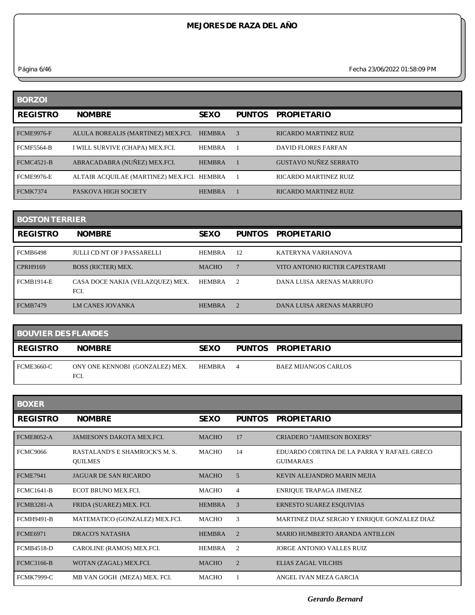*Página 6/46 Fecha 23/06/2022 01:58:09 PM*

| <b>BORZOI</b>     |                                            |               |               |                              |
|-------------------|--------------------------------------------|---------------|---------------|------------------------------|
| <b>REGISTRO</b>   | <b>NOMBRE</b>                              | <b>SEXO</b>   | <b>PUNTOS</b> | <b>PROPIETARIO</b>           |
| <b>FCME9976-F</b> | ALULA BOREALIS (MARTINEZ) MEX.FCI.         | <b>HEMBRA</b> | $\mathcal{R}$ | <b>RICARDO MARTINEZ RUIZ</b> |
| <b>FCMF5564-B</b> | I WILL SURVIVE (CHAPA) MEX.FCI.            | <b>HEMBRA</b> |               | DAVID FLORES FARFAN          |
| FCMC4521-B        | ABRACADABRA (NUÑEZ) MEX.FCI.               | <b>HEMBRA</b> |               | <b>GUSTAVO NUÑEZ SERRATO</b> |
| <b>FCME9976-E</b> | ALTAIR ACQUILAE (MARTINEZ) MEX.FCI. HEMBRA |               |               | <b>RICARDO MARTINEZ RUIZ</b> |
| <b>FCMK7374</b>   | PASKOVA HIGH SOCIETY                       | <b>HEMBRA</b> |               | <b>RICARDO MARTINEZ RUIZ</b> |

| <b>BOSTON TERRIER</b> |                                          |               |                |                                |  |
|-----------------------|------------------------------------------|---------------|----------------|--------------------------------|--|
| <b>REGISTRO</b>       | <b>NOMBRE</b>                            | <b>SEXO</b>   | <b>PUNTOS</b>  | <b>PROPIETARIO</b>             |  |
| <b>FCMB6498</b>       | <b>JULLI CD NT OF J PASSARELLI</b>       | <b>HEMBRA</b> | 12             | KATERYNA VARHANOVA             |  |
| <b>CPRH9169</b>       | <b>BOSS (RICTER) MEX.</b>                | <b>MACHO</b>  |                | VITO ANTONIO RICTER CAPESTRAMI |  |
| <b>FCMB1914-E</b>     | CASA DOCE NAKIA (VELAZQUEZ) MEX.<br>FCI. | <b>HEMBRA</b> | $\mathcal{D}$  | DANA LUISA ARENAS MARRUFO      |  |
| <b>FCMB7479</b>       | <b>LM CANES JOVANKA</b>                  | <b>HEMBRA</b> | $\overline{2}$ | DANA LUISA ARENAS MARRUFO      |  |

| <b>BOUVIER DES FLANDES</b> |                                         |               |   |                             |
|----------------------------|-----------------------------------------|---------------|---|-----------------------------|
| <b>REGISTRO</b>            | <b>NOMBRE</b>                           | <b>SEXO</b>   |   | PUNTOS PROPIETARIO          |
| <b>FCME3660-C</b>          | ONY ONE KENNOBI (GONZALEZ) MEX.<br>FCI. | <b>HEMBRA</b> | 4 | <b>BAEZ MIJANGOS CARLOS</b> |

| <b>BOXER</b>      |                                                  |               |                |                                                                |
|-------------------|--------------------------------------------------|---------------|----------------|----------------------------------------------------------------|
| <b>REGISTRO</b>   | <b>NOMBRE</b>                                    | <b>SEXO</b>   | <b>PUNTOS</b>  | <b>PROPIETARIO</b>                                             |
| <b>FCME8052-A</b> | <b>JAMIESON'S DAKOTA MEX.FCL</b>                 | <b>MACHO</b>  | 17             | CRIADERO "JAMIESON BOXERS"                                     |
| <b>FCMC9066</b>   | RASTALAND'S E SHAMROCK'S M. S.<br><b>OUILMES</b> | <b>MACHO</b>  | 14             | EDUARDO CORTINA DE LA PARRA Y RAFAEL GRECO<br><b>GUIMARAES</b> |
| <b>FCME7941</b>   | <b>JAGUAR DE SAN RICARDO</b>                     | <b>MACHO</b>  | 5              | KEVIN ALEJANDRO MARIN MEJIA                                    |
| <b>FCMC1641-B</b> | <b>ECOT BRUNO MEX FCL</b>                        | <b>MACHO</b>  | 4              | ENRIQUE TRAPAGA JIMENEZ                                        |
| <b>FCMB3281-A</b> | FRIDA (SUAREZ) MEX. FCI.                         | <b>HEMBRA</b> | 3              | ERNESTO SUAREZ ESQUIVIAS                                       |
| <b>FCMH9491-B</b> | MATEMATICO (GONZALEZ) MEX.FCI.                   | <b>MACHO</b>  | 3              | MARTINEZ DIAZ SERGIO Y ENRIQUE GONZALEZ DIAZ                   |
| <b>FCME6971</b>   | DRACO'S NATASHA                                  | <b>HEMBRA</b> | $\overline{2}$ | MARIO HUMBERTO ARANDA ANTILLON                                 |
| <b>FCMB4518-D</b> | CAROLINE (RAMOS) MEX.FCI.                        | <b>HEMBRA</b> | $\overline{2}$ | JORGE ANTONIO VALLES RUIZ                                      |
| <b>FCMC3166-B</b> | WOTAN (ZAGAL) MEX.FCI.                           | <b>MACHO</b>  | $\overline{2}$ | ELIAS ZAGAL VILCHIS                                            |
| <b>FCMK7999-C</b> | MB VAN GOGH (MEZA) MEX. FCI.                     | <b>MACHO</b>  |                | ANGEL IVAN MEZA GARCIA                                         |

*Gerardo Bernard*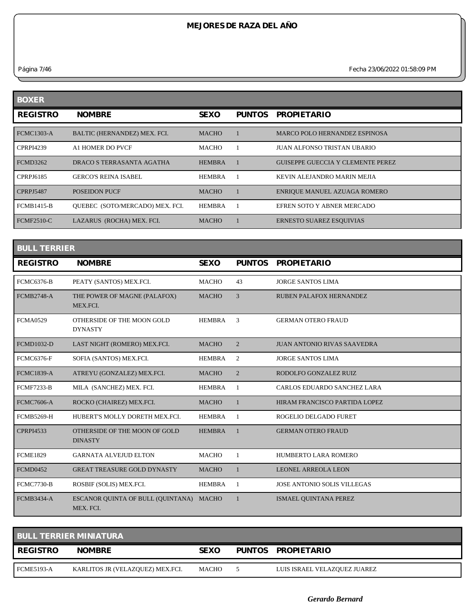*Página 7/46 Fecha 23/06/2022 01:58:09 PM*

| <b>BOXER</b>      |                                        |               |               |                                          |
|-------------------|----------------------------------------|---------------|---------------|------------------------------------------|
| <b>REGISTRO</b>   | <b>NOMBRE</b>                          | <b>SEXO</b>   | <b>PUNTOS</b> | <b>PROPIETARIO</b>                       |
| <b>FCMC1303-A</b> | BALTIC (HERNANDEZ) MEX. FCI.           | <b>MACHO</b>  |               | <b>MARCO POLO HERNANDEZ ESPINOSA</b>     |
| <b>CPRPI4239</b>  | A1 HOMER DO PVCF                       | <b>MACHO</b>  |               | JUAN ALFONSO TRISTAN UBARIO              |
| <b>FCMD3262</b>   | DRACO S TERRASANTA AGATHA              | <b>HEMBRA</b> |               | <b>GUISEPPE GUECCIA Y CLEMENTE PEREZ</b> |
| <b>CPRPJ6185</b>  | <b>GERCO'S REINA ISABEL</b>            | <b>HEMBRA</b> |               | KEVIN ALEJANDRO MARIN MEJIA              |
| <b>CPRPJ5487</b>  | <b>POSEIDON PUCF</b>                   | <b>MACHO</b>  |               | ENRIQUE MANUEL AZUAGA ROMERO             |
| <b>FCMB1415-B</b> | <b>OUEBEC (SOTO/MERCADO) MEX. FCI.</b> | <b>HEMBRA</b> |               | EFREN SOTO Y ABNER MERCADO               |
| <b>FCMF2510-C</b> | LAZARUS (ROCHA) MEX. FCI.              | <b>MACHO</b>  |               | ERNESTO SUAREZ ESQUIVIAS                 |

| <b>BULL TERRIER</b> |                                                      |               |                |                                    |  |  |
|---------------------|------------------------------------------------------|---------------|----------------|------------------------------------|--|--|
| <b>REGISTRO</b>     | <b>NOMBRE</b>                                        | <b>SEXO</b>   | <b>PUNTOS</b>  | <b>PROPIETARIO</b>                 |  |  |
| <b>FCMC6376-B</b>   | PEATY (SANTOS) MEX.FCI.                              | <b>MACHO</b>  | 43             | <b>JORGE SANTOS LIMA</b>           |  |  |
| <b>FCMB2748-A</b>   | THE POWER OF MAGNE (PALAFOX)<br>MEX.FCI.             | <b>MACHO</b>  | 3              | RUBEN PALAFOX HERNANDEZ            |  |  |
| <b>FCMA0529</b>     | OTHERSIDE OF THE MOON GOLD<br><b>DYNASTY</b>         | <b>HEMBRA</b> | 3              | <b>GERMAN OTERO FRAUD</b>          |  |  |
| <b>FCMD1032-D</b>   | LAST NIGHT (ROMERO) MEX.FCI.                         | <b>MACHO</b>  | $\overline{2}$ | <b>JUAN ANTONIO RIVAS SAAVEDRA</b> |  |  |
| <b>FCMC6376-F</b>   | SOFIA (SANTOS) MEX.FCI.                              | <b>HEMBRA</b> | 2              | <b>JORGE SANTOS LIMA</b>           |  |  |
| <b>FCMC1839-A</b>   | ATREYU (GONZALEZ) MEX.FCI.                           | <b>MACHO</b>  | $\overline{2}$ | RODOLFO GONZALEZ RUIZ              |  |  |
| <b>FCMF7233-B</b>   | MILA (SANCHEZ) MEX. FCI.                             | <b>HEMBRA</b> | $\mathbf{1}$   | CARLOS EDUARDO SANCHEZ LARA        |  |  |
| <b>FCMC7606-A</b>   | ROCKO (CHAIREZ) MEX.FCI.                             | <b>MACHO</b>  | $\mathbf{1}$   | HIRAM FRANCISCO PARTIDA LOPEZ      |  |  |
| <b>FCMB5269-H</b>   | HUBERT'S MOLLY DORETH MEX.FCL                        | <b>HEMBRA</b> | $\mathbf{1}$   | ROGELIO DELGADO FURET              |  |  |
| <b>CPRPI4533</b>    | OTHERSIDE OF THE MOON OF GOLD<br><b>DINASTY</b>      | <b>HEMBRA</b> | 1              | <b>GERMAN OTERO FRAUD</b>          |  |  |
| <b>FCME1829</b>     | <b>GARNATA ALVEIUD ELTON</b>                         | <b>MACHO</b>  | $\mathbf{1}$   | HUMBERTO LARA ROMERO               |  |  |
| <b>FCMD0452</b>     | <b>GREAT TREASURE GOLD DYNASTY</b>                   | <b>MACHO</b>  | $\mathbf{1}$   | LEONEL ARREOLA LEON                |  |  |
| <b>FCMC7730-B</b>   | ROSBIF (SOLIS) MEX.FCI.                              | <b>HEMBRA</b> | 1              | <b>JOSE ANTONIO SOLIS VILLEGAS</b> |  |  |
| <b>FCMB3434-A</b>   | ESCANOR QUINTA OF BULL (QUINTANA) MACHO<br>MEX. FCI. |               | 1              | ISMAEL OUINTANA PEREZ              |  |  |

| <b>BULL TERRIER MINIATURA</b> |                                  |              |  |                              |  |  |
|-------------------------------|----------------------------------|--------------|--|------------------------------|--|--|
| <b>REGISTRO</b>               | <b>NOMBRE</b>                    | <b>SEXO</b>  |  | PUNTOS PROPIETARIO           |  |  |
| <b>FCME5193-A</b>             | KARLITOS JR (VELAZQUEZ) MEX.FCI. | <b>MACHO</b> |  | LUIS ISRAEL VELAZQUEZ JUAREZ |  |  |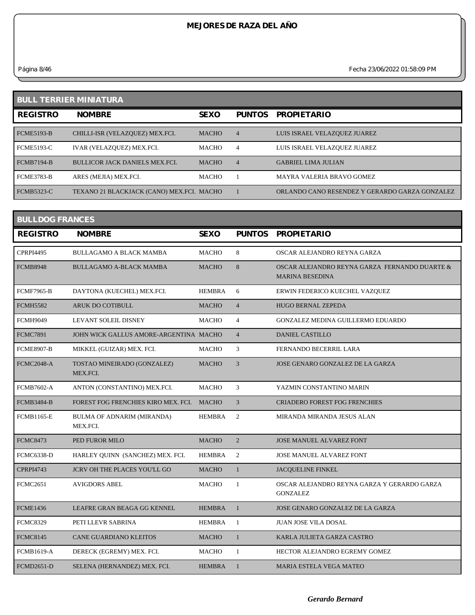*Página 8/46 Fecha 23/06/2022 01:58:09 PM*

| <b>BULL TERRIER MINIATURA</b> |                                           |              |                |                                                |  |  |
|-------------------------------|-------------------------------------------|--------------|----------------|------------------------------------------------|--|--|
| <b>REGISTRO</b>               | <b>NOMBRE</b>                             | <b>SEXO</b>  | <b>PUNTOS</b>  | <b>PROPIETARIO</b>                             |  |  |
| <b>FCME5193-B</b>             | CHILLI-ISR (VELAZQUEZ) MEX.FCI.           | <b>MACHO</b> | $\overline{4}$ | LUIS ISRAEL VELAZQUEZ JUAREZ                   |  |  |
| <b>FCME5193-C</b>             | IVAR (VELAZQUEZ) MEX.FCI.                 | <b>MACHO</b> | $\overline{4}$ | LUIS ISRAEL VELAZQUEZ JUAREZ                   |  |  |
| <b>FCMB7194-B</b>             | <b>BULLICOR JACK DANIELS MEX.FCI.</b>     | <b>MACHO</b> | $\overline{4}$ | <b>GABRIEL LIMA JULIAN</b>                     |  |  |
| <b>FCME3783-B</b>             | ARES (MEJIA) MEX.FCI.                     | <b>MACHO</b> |                | MAYRA VALERIA BRAVO GOMEZ                      |  |  |
| <b>FCMB5323-C</b>             | TEXANO 21 BLACKJACK (CANO) MEX.FCI. MACHO |              |                | ORLANDO CANO RESENDEZ Y GERARDO GARZA GONZALEZ |  |  |

| <b>BULLDOG FRANCES</b> |                                           |               |                |                                                                         |  |  |
|------------------------|-------------------------------------------|---------------|----------------|-------------------------------------------------------------------------|--|--|
| <b>REGISTRO</b>        | <b>NOMBRE</b>                             | <b>SEXO</b>   | <b>PUNTOS</b>  | <b>PROPIETARIO</b>                                                      |  |  |
| <b>CPRPI4495</b>       | <b>BULLAGAMO A BLACK MAMBA</b>            | <b>MACHO</b>  | 8              | OSCAR ALEJANDRO REYNA GARZA                                             |  |  |
| <b>FCMB8948</b>        | <b>BULLAGAMO A-BLACK MAMBA</b>            | <b>MACHO</b>  | 8              | OSCAR ALEJANDRO REYNA GARZA FERNANDO DUARTE &<br><b>MARINA BESEDINA</b> |  |  |
| <b>FCMF7965-B</b>      | DAYTONA (KUECHEL) MEX.FCI.                | <b>HEMBRA</b> | 6              | ERWIN FEDERICO KUECHEL VAZQUEZ                                          |  |  |
| <b>FCMH5582</b>        | <b>ARUK DO COTIBULL</b>                   | <b>MACHO</b>  | $\overline{4}$ | <b>HUGO BERNAL ZEPEDA</b>                                               |  |  |
| <b>FCMH9049</b>        | LEVANT SOLEIL DISNEY                      | MACHO         | $\overline{4}$ | <b>GONZALEZ MEDINA GUILLERMO EDUARDO</b>                                |  |  |
| <b>FCMC7891</b>        | JOHN WICK GALLUS AMORE-ARGENTINA MACHO    |               | $\overline{4}$ | <b>DANIEL CASTILLO</b>                                                  |  |  |
| <b>FCME8907-B</b>      | MIKKEL (GUIZAR) MEX. FCI.                 | MACHO         | 3              | FERNANDO BECERRIL LARA                                                  |  |  |
| <b>FCMC2048-A</b>      | TOSTAO MINEIRADO (GONZALEZ)<br>MEX.FCI.   | <b>MACHO</b>  | 3              | JOSE GENARO GONZALEZ DE LA GARZA                                        |  |  |
| <b>FCMB7602-A</b>      | ANTON (CONSTANTINO) MEX.FCI.              | MACHO         | 3              | YAZMIN CONSTANTINO MARIN                                                |  |  |
| <b>FCMB3484-B</b>      | FOREST FOG FRENCHIES KIRO MEX. FCI. MACHO |               | 3              | <b>CRIADERO FOREST FOG FRENCHIES</b>                                    |  |  |
| <b>FCMB1165-E</b>      | BULMA OF ADNARIM (MIRANDA)<br>MEX.FCI.    | <b>HEMBRA</b> | 2              | MIRANDA MIRANDA JESUS ALAN                                              |  |  |
| <b>FCMC8473</b>        | PED FUROR MILO                            | <b>MACHO</b>  | $\overline{2}$ | <b>JOSE MANUEL ALVAREZ FONT</b>                                         |  |  |
| <b>FCMC6338-D</b>      | HARLEY QUINN (SANCHEZ) MEX. FCI.          | <b>HEMBRA</b> | 2              | JOSE MANUEL ALVAREZ FONT                                                |  |  |
| <b>CPRPI4743</b>       | <b>JCRV OH THE PLACES YOU'LL GO</b>       | <b>MACHO</b>  | $\mathbf{1}$   | <b>JACQUELINE FINKEL</b>                                                |  |  |
| <b>FCMC2651</b>        | <b>AVIGDORS ABEL</b>                      | <b>MACHO</b>  | $\mathbf{1}$   | OSCAR ALEJANDRO REYNA GARZA Y GERARDO GARZA<br><b>GONZALEZ</b>          |  |  |
| <b>FCME1436</b>        | LEAFRE GRAN BEAGA GG KENNEL               | <b>HEMBRA</b> | $\mathbf{1}$   | JOSE GENARO GONZALEZ DE LA GARZA                                        |  |  |
| <b>FCMC8329</b>        | PETI LLEVR SABRINA                        | <b>HEMBRA</b> | $\mathbf{1}$   | <b>JUAN JOSE VILA DOSAL</b>                                             |  |  |
| <b>FCMC8145</b>        | CANE GUARDIANO KLEITOS                    | <b>MACHO</b>  | $\mathbf{1}$   | KARLA JULIETA GARZA CASTRO                                              |  |  |
| <b>FCMB1619-A</b>      | DERECK (EGREMY) MEX. FCI.                 | MACHO         | $\mathbf{1}$   | HECTOR ALEJANDRO EGREMY GOMEZ                                           |  |  |
| <b>FCMD2651-D</b>      | SELENA (HERNANDEZ) MEX. FCI.              | <b>HEMBRA</b> | $\mathbf{1}$   | <b>MARIA ESTELA VEGA MATEO</b>                                          |  |  |
|                        |                                           |               |                |                                                                         |  |  |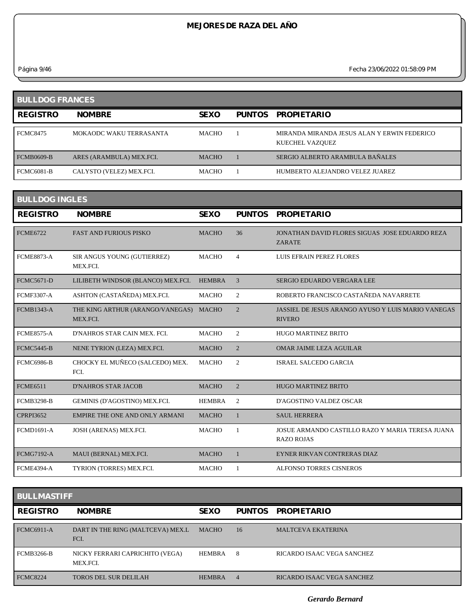*Página 9/46 Fecha 23/06/2022 01:58:09 PM*

| <b>BULLDOG FRANCES</b> |                          |              |               |                                                                |  |  |
|------------------------|--------------------------|--------------|---------------|----------------------------------------------------------------|--|--|
| <b>REGISTRO</b>        | <b>NOMBRE</b>            | <b>SEXO</b>  | <b>PUNTOS</b> | <b>PROPIETARIO</b>                                             |  |  |
| <b>FCMC8475</b>        | MOKAODC WAKU TERRASANTA  | <b>MACHO</b> |               | MIRANDA MIRANDA JESUS ALAN Y ERWIN FEDERICO<br>KUECHEL VAZQUEZ |  |  |
| <b>FCMB0609-B</b>      | ARES (ARAMBULA) MEX.FCI. | <b>MACHO</b> |               | SERGIO ALBERTO ARAMBULA BAÑALES                                |  |  |
| <b>FCMC6081-B</b>      | CALYSTO (VELEZ) MEX.FCI. | MACHO        |               | HUMBERTO ALEJANDRO VELEZ JUAREZ                                |  |  |

| <b>BULLDOG INGLES</b> |                                              |               |                |                                                                            |  |  |  |
|-----------------------|----------------------------------------------|---------------|----------------|----------------------------------------------------------------------------|--|--|--|
| <b>REGISTRO</b>       | <b>NOMBRE</b>                                | <b>SEXO</b>   | <b>PUNTOS</b>  | <b>PROPIETARIO</b>                                                         |  |  |  |
| <b>FCME6722</b>       | <b>FAST AND FURIOUS PISKO</b>                | <b>MACHO</b>  | 36             | JONATHAN DAVID FLORES SIGUAS JOSE EDUARDO REZA<br><b>ZARATE</b>            |  |  |  |
| <b>FCME8873-A</b>     | SIR ANGUS YOUNG (GUTIERREZ)<br>MEX.FCI.      | <b>MACHO</b>  | $\overline{4}$ | <b>LUIS EFRAIN PEREZ FLORES</b>                                            |  |  |  |
| <b>FCMC5671-D</b>     | LILIBETH WINDSOR (BLANCO) MEX.FCI.           | <b>HEMBRA</b> | 3              | SERGIO EDUARDO VERGARA LEE                                                 |  |  |  |
| <b>FCMF3307-A</b>     | ASHTON (CASTAÑEDA) MEX.FCI.                  | <b>MACHO</b>  | $\overline{2}$ | ROBERTO FRANCISCO CASTAÑEDA NAVARRETE                                      |  |  |  |
| <b>FCMB1343-A</b>     | THE KING ARTHUR (ARANGO/VANEGAS)<br>MEX.FCI. | <b>MACHO</b>  | $\overline{2}$ | <b>JASSIEL DE JESUS ARANGO AYUSO Y LUIS MARIO VANEGAS</b><br><b>RIVERO</b> |  |  |  |
| <b>FCME8575-A</b>     | D'NAHROS STAR CAIN MEX. FCI.                 | <b>MACHO</b>  | 2              | <b>HUGO MARTINEZ BRITO</b>                                                 |  |  |  |
| <b>FCMC5445-B</b>     | NENE TYRION (LEZA) MEX.FCI.                  | <b>MACHO</b>  | $\overline{2}$ | <b>OMAR JAIME LEZA AGUILAR</b>                                             |  |  |  |
| FCMC6986-B            | CHOCKY EL MUÑECO (SALCEDO) MEX.<br>FCI.      | <b>MACHO</b>  | $\overline{2}$ | <b>ISRAEL SALCEDO GARCIA</b>                                               |  |  |  |
| <b>FCME6511</b>       | <b>D'NAHROS STAR JACOB</b>                   | <b>MACHO</b>  | $\overline{2}$ | <b>HUGO MARTINEZ BRITO</b>                                                 |  |  |  |
| <b>FCMB3298-B</b>     | GEMINIS (D'AGOSTINO) MEX.FCI.                | <b>HEMBRA</b> | $\overline{2}$ | D'AGOSTINO VALDEZ OSCAR                                                    |  |  |  |
| <b>CPRPI3652</b>      | EMPIRE THE ONE AND ONLY ARMANI               | <b>MACHO</b>  |                | <b>SAUL HERRERA</b>                                                        |  |  |  |
| <b>FCMD1691-A</b>     | JOSH (ARENAS) MEX.FCI.                       | <b>MACHO</b>  | 1              | JOSUE ARMANDO CASTILLO RAZO Y MARIA TERESA JUANA<br><b>RAZO ROJAS</b>      |  |  |  |
| <b>FCMG7192-A</b>     | MAUI (BERNAL) MEX.FCI.                       | <b>MACHO</b>  |                | EYNER RIKVAN CONTRERAS DIAZ                                                |  |  |  |
| FCME4394-A            | TYRION (TORRES) MEX.FCI.                     | <b>MACHO</b>  | 1              | <b>ALFONSO TORRES CISNEROS</b>                                             |  |  |  |

| <b>BULLMASTIFF</b> |                                             |               |                |                            |  |  |
|--------------------|---------------------------------------------|---------------|----------------|----------------------------|--|--|
| <b>REGISTRO</b>    | <b>NOMBRE</b>                               | <b>SEXO</b>   | PUNTOS         | <b>PROPIETARIO</b>         |  |  |
| <b>FCMC6911-A</b>  | DART IN THE RING (MALTCEVA) MEX.L<br>FCI.   | <b>MACHO</b>  | 16             | <b>MALTCEVA EKATERINA</b>  |  |  |
| <b>FCMB3266-B</b>  | NICKY FERRARI CAPRICHITO (VEGA)<br>MEX.FCI. | <b>HEMBRA</b> | 8              | RICARDO ISAAC VEGA SANCHEZ |  |  |
| <b>FCMC8224</b>    | TOROS DEL SUR DELILAH                       | <b>HEMBRA</b> | $\overline{4}$ | RICARDO ISAAC VEGA SANCHEZ |  |  |

*Gerardo Bernard*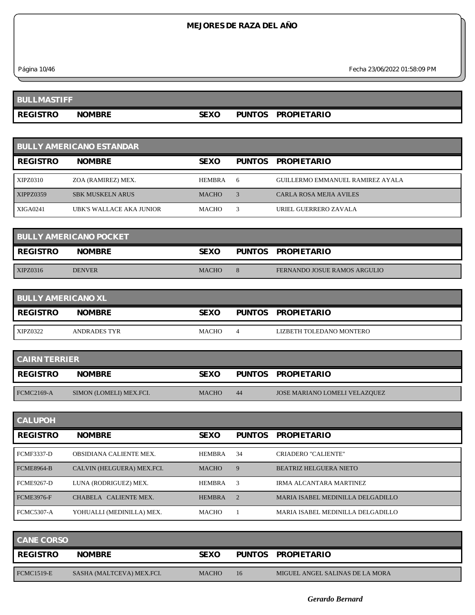*Página 10/46 Fecha 23/06/2022 01:58:09 PM*

| <b>BULLMASTIFF</b> |               |      |               |                    |
|--------------------|---------------|------|---------------|--------------------|
| <b>REGISTRO</b>    | <b>NOMBRE</b> | SEXO | <b>PUNTOS</b> | <b>PROPIETARIO</b> |

| <b>BULLY AMERICANO ESTANDAR</b> |                          |               |    |                                  |  |  |
|---------------------------------|--------------------------|---------------|----|----------------------------------|--|--|
| <b>REGISTRO</b>                 | <b>NOMBRE</b>            | <b>SEXO</b>   |    | PUNTOS PROPIETARIO               |  |  |
| XIPZ0310                        | ZOA (RAMIREZ) MEX.       | <b>HEMBRA</b> | -6 | GUILLERMO EMMANUEL RAMIREZ AYALA |  |  |
| XIPPZ0359                       | <b>SBK MUSKELN ARUS</b>  | <b>MACHO</b>  |    | CARLA ROSA MEJIA AVILES          |  |  |
| <b>XIGA0241</b>                 | UBK'S WALLACE AKA JUNIOR | <b>MACHO</b>  |    | URIEL GUERRERO ZAVALA            |  |  |

| <b>BULLY AMERICANO POCKET</b> |               |              |  |                                     |  |
|-------------------------------|---------------|--------------|--|-------------------------------------|--|
| <b>REGISTRO</b>               | <b>NOMBRE</b> | <b>SEXO</b>  |  | PUNTOS PROPIETARIO                  |  |
| XIPZ0316                      | <b>DENVER</b> | <b>MACHO</b> |  | <b>FERNANDO JOSUE RAMOS ARGULIO</b> |  |

| <b>BULLY AMERICANO XL</b> |               |              |  |                          |  |  |
|---------------------------|---------------|--------------|--|--------------------------|--|--|
| <b>REGISTRO</b>           | <b>NOMBRE</b> | <b>SEXO</b>  |  | PUNTOS PROPIETARIO       |  |  |
| XIPZ0322                  | ANDRADES TYR  | <b>MACHO</b> |  | LIZBETH TOLEDANO MONTERO |  |  |

| <b>CAIRN TERRIER</b> |                         |              |    |                               |  |  |
|----------------------|-------------------------|--------------|----|-------------------------------|--|--|
| <b>REGISTRO</b>      | <b>NOMBRE</b>           | SEXO         |    | PUNTOS PROPIETARIO            |  |  |
|                      |                         |              |    |                               |  |  |
| <b>FCMC2169-A</b>    | SIMON (LOMELI) MEX.FCI. | <b>MACHO</b> | 44 | JOSE MARIANO LOMELI VELAZQUEZ |  |  |

| <b>CALUPOH</b>    |                                |               |                |                                   |
|-------------------|--------------------------------|---------------|----------------|-----------------------------------|
| <b>REGISTRO</b>   | <b>NOMBRE</b>                  | <b>SEXO</b>   | <b>PUNTOS</b>  | <b>PROPIETARIO</b>                |
| <b>FCMF3337-D</b> | <b>OBSIDIANA CALIENTE MEX.</b> | <b>HEMBRA</b> | 34             | CRIADERO "CALIENTE"               |
| <b>FCME8964-B</b> | CALVIN (HELGUERA) MEX.FCI.     | <b>MACHO</b>  | 9              | <b>BEATRIZ HELGUERA NIETO</b>     |
| <b>FCME9267-D</b> | LUNA (RODRIGUEZ) MEX.          | <b>HEMBRA</b> | 3              | IRMA ALCANTARA MARTINEZ           |
| <b>FCME3976-F</b> | CHABELA CALIENTE MEX.          | <b>HEMBRA</b> | $\overline{2}$ | MARIA ISABEL MEDINILLA DELGADILLO |
| <b>FCMC5307-A</b> | YOHUALLI (MEDINILLA) MEX.      | <b>MACHO</b>  |                | MARIA ISABEL MEDINILLA DELGADILLO |

| <b>CANE CORSO</b> |                           |              |    |                                 |
|-------------------|---------------------------|--------------|----|---------------------------------|
| <b>REGISTRO</b>   | <b>NOMBRE</b>             | <b>SEXO</b>  |    | PUNTOS PROPIETARIO              |
| <b>FCMC1519-E</b> | SASHA (MALTCEVA) MEX.FCI. | <b>MACHO</b> | 16 | MIGUEL ANGEL SALINAS DE LA MORA |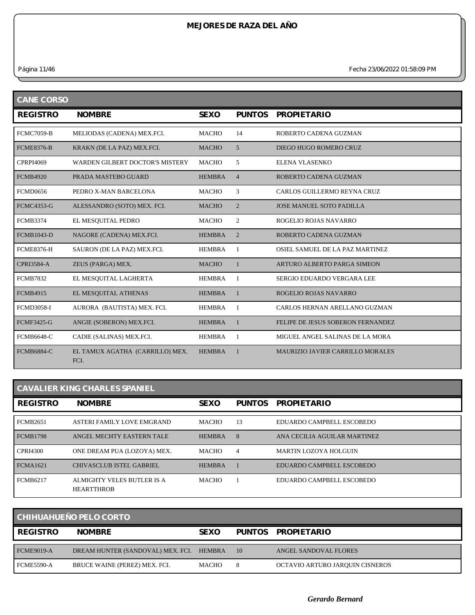*Página 11/46 Fecha 23/06/2022 01:58:09 PM*

| <b>CANE CORSO</b> |                                         |               |                |                                         |  |  |
|-------------------|-----------------------------------------|---------------|----------------|-----------------------------------------|--|--|
| <b>REGISTRO</b>   | <b>NOMBRE</b>                           | <b>SEXO</b>   | <b>PUNTOS</b>  | <b>PROPIETARIO</b>                      |  |  |
| <b>FCMC7059-B</b> | MELIODAS (CADENA) MEX.FCI.              | <b>MACHO</b>  | 14             | ROBERTO CADENA GUZMAN                   |  |  |
| <b>FCME8376-B</b> | KRAKN (DE LA PAZ) MEX.FCI.              | <b>MACHO</b>  | 5              | DIEGO HUGO ROMERO CRUZ                  |  |  |
| <b>CPRPI4069</b>  | <b>WARDEN GILBERT DOCTOR'S MISTERY</b>  | <b>MACHO</b>  | 5              | ELENA VLASENKO                          |  |  |
| <b>FCMB4920</b>   | PRADA MASTEBO GUARD                     | <b>HEMBRA</b> | $\overline{4}$ | ROBERTO CADENA GUZMAN                   |  |  |
| <b>FCMD0656</b>   | PEDRO X-MAN BARCELONA                   | <b>MACHO</b>  | 3              | CARLOS GUILLERMO REYNA CRUZ             |  |  |
| <b>FCMC4353-G</b> | ALESSANDRO (SOTO) MEX. FCI.             | <b>MACHO</b>  | $\overline{2}$ | <b>JOSE MANUEL SOTO PADILLA</b>         |  |  |
| <b>FCMB3374</b>   | EL MESQUITAL PEDRO                      | <b>MACHO</b>  | 2              | ROGELIO ROJAS NAVARRO                   |  |  |
| <b>FCMB1043-D</b> | NAGORE (CADENA) MEX.FCI.                | <b>HEMBRA</b> | $\overline{2}$ | ROBERTO CADENA GUZMAN                   |  |  |
| <b>FCME8376-H</b> | SAURON (DE LA PAZ) MEX.FCI.             | <b>HEMBRA</b> | 1              | OSIEL SAMUEL DE LA PAZ MARTINEZ         |  |  |
| <b>CPRI3584-A</b> | ZEUS (PARGA) MEX.                       | <b>MACHO</b>  | $\mathbf{1}$   | ARTURO ALBERTO PARGA SIMEON             |  |  |
| <b>FCMB7832</b>   | EL MESQUITAL LAGHERTA                   | <b>HEMBRA</b> | -1             | SERGIO EDUARDO VERGARA LEE              |  |  |
| <b>FCMB4915</b>   | EL MESQUITAL ATHENAS                    | <b>HEMBRA</b> | $\mathbf{1}$   | ROGELIO ROJAS NAVARRO                   |  |  |
| <b>FCMD3058-I</b> | AURORA (BAUTISTA) MEX. FCI.             | <b>HEMBRA</b> | $\overline{1}$ | CARLOS HERNAN ARELLANO GUZMAN           |  |  |
| <b>FCMF3425-G</b> | ANGIE (SOBERON) MEX.FCI.                | <b>HEMBRA</b> | $\mathbf{1}$   | FELIPE DE JESUS SOBERON FERNANDEZ       |  |  |
| <b>FCMB6648-C</b> | CADIE (SALINAS) MEX.FCI.                | <b>HEMBRA</b> | -1             | MIGUEL ANGEL SALINAS DE LA MORA         |  |  |
| <b>FCMB6884-C</b> | EL TAMUX AGATHA (CARRILLO) MEX.<br>FCI. | <b>HEMBRA</b> | $\mathbf{1}$   | <b>MAURIZIO JAVIER CARRILLO MORALES</b> |  |  |

## **CAVALIER KING CHARLES SPANIEL**

| <b>REGISTRO</b> | <b>NOMBRE</b>                                   | <b>SEXO</b>   | <b>PUNTOS</b> | <b>PROPIETARIO</b>           |
|-----------------|-------------------------------------------------|---------------|---------------|------------------------------|
| <b>FCMB2651</b> | ASTERI FAMILY LOVE EMGRAND                      | <b>MACHO</b>  | 13            | EDUARDO CAMPBELL ESCOBEDO    |
| <b>FCMB1798</b> | ANGEL MECHTY EASTERN TALE                       | <b>HEMBRA</b> | 8             | ANA CECILIA AGUILAR MARTINEZ |
| <b>CPRI4300</b> | ONE DREAM PUA (LOZOYA) MEX.                     | <b>MACHO</b>  | 4             | MARTIN LOZOYA HOLGUIN        |
| <b>FCMA1621</b> | <b>CHIVASCLUB ISTEL GABRIEL</b>                 | <b>HEMBRA</b> |               | EDUARDO CAMPBELL ESCOBEDO    |
| <b>FCMB6217</b> | ALMIGHTY VELES BUTLER IS A<br><b>HEARTTHROB</b> | <b>MACHO</b>  |               | EDUARDO CAMPBELL ESCOBEDO    |

| <b>CHIHUAHUEÑO PELO CORTO</b> |                                   |              |    |                                 |  |
|-------------------------------|-----------------------------------|--------------|----|---------------------------------|--|
| <b>REGISTRO</b>               | <b>NOMBRE</b>                     | <b>SEXO</b>  |    | PUNTOS PROPIETARIO              |  |
| FCME9019-A                    | DREAM HUNTER (SANDOVAL) MEX. FCI. | HEMBRA       | 10 | ANGEL SANDOVAL FLORES           |  |
| <b>FCME5590-A</b>             | BRUCE WAINE (PEREZ) MEX. FCI.     | <b>MACHO</b> | 8  | OCTAVIO ARTURO JARQUIN CISNEROS |  |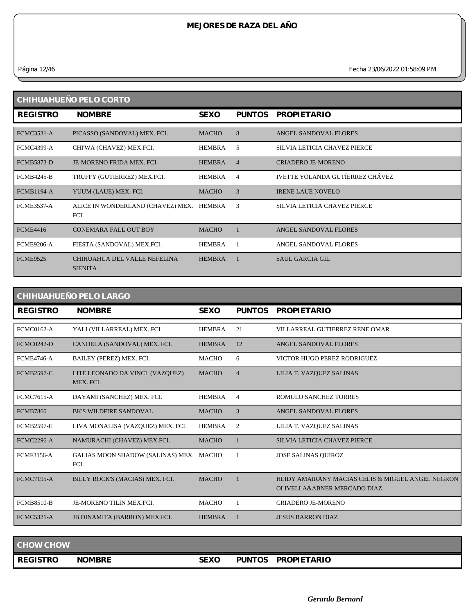*Página 12/46 Fecha 23/06/2022 01:58:09 PM*

| CHIHUAHUEÑO PELO CORTO |                                                |               |                |                                 |  |  |
|------------------------|------------------------------------------------|---------------|----------------|---------------------------------|--|--|
| <b>REGISTRO</b>        | <b>NOMBRE</b>                                  | <b>SEXO</b>   | <b>PUNTOS</b>  | <b>PROPIETARIO</b>              |  |  |
| <b>FCMC3531-A</b>      | PICASSO (SANDOVAL) MEX. FCI.                   | <b>MACHO</b>  | 8              | ANGEL SANDOVAL FLORES           |  |  |
| <b>FCMC4399-A</b>      | CHI'WA (CHAVEZ) MEX.FCI.                       | <b>HEMBRA</b> | 5              | SILVIA LETICIA CHAVEZ PIERCE    |  |  |
| <b>FCMB5873-D</b>      | JE-MORENO FRIDA MEX. FCI.                      | <b>HEMBRA</b> | $\overline{4}$ | CRIADERO JE-MORENO              |  |  |
| <b>FCMB4245-B</b>      | TRUFFY (GUTIERREZ) MEX.FCI.                    | <b>HEMBRA</b> | 4              | IVETTE YOLANDA GUTÍERREZ CHÁVEZ |  |  |
| <b>FCMB1194-A</b>      | YUUM (LAUE) MEX. FCI.                          | <b>MACHO</b>  | 3              | <b>IRENE LAUE NOVELO</b>        |  |  |
| <b>FCME3537-A</b>      | ALICE IN WONDERLAND (CHAVEZ) MEX.<br>FCI.      | HEMBRA        | 3              | SILVIA LETICIA CHAVEZ PIERCE    |  |  |
| <b>FCME4416</b>        | <b>CONEMARA FALL OUT BOY</b>                   | <b>MACHO</b>  |                | ANGEL SANDOVAL FLORES           |  |  |
| <b>FCME9206-A</b>      | FIESTA (SANDOVAL) MEX.FCI.                     | <b>HEMBRA</b> |                | ANGEL SANDOVAL FLORES           |  |  |
| <b>FCME9525</b>        | CHIHUAHUA DEL VALLE NEFELINA<br><b>SIENITA</b> | <b>HEMBRA</b> |                | <b>SAUL GARCIA GIL</b>          |  |  |

### **CHIHUAHUEÑO PELO LARGO**

| <b>REGISTRO</b>   | <b>NOMBRE</b>                                   | <b>SEXO</b>   | <b>PUNTOS</b>  | <b>PROPIETARIO</b>                                                               |
|-------------------|-------------------------------------------------|---------------|----------------|----------------------------------------------------------------------------------|
| <b>FCMC0162-A</b> | YALI (VILLARREAL) MEX. FCI.                     | <b>HEMBRA</b> | 21             | VILLARREAL GUTIERREZ RENE OMAR                                                   |
| <b>FCMC0242-D</b> | CANDELA (SANDOVAL) MEX. FCI.                    | <b>HEMBRA</b> | 12             | ANGEL SANDOVAL FLORES                                                            |
| <b>FCME4746-A</b> | BAILEY (PEREZ) MEX. FCI.                        | <b>MACHO</b>  | 6              | VICTOR HUGO PEREZ RODRIGUEZ                                                      |
| <b>FCMB2597-C</b> | LITE LEONADO DA VINCI (VAZQUEZ)<br>MEX. FCI.    | <b>MACHO</b>  | $\overline{4}$ | LILIA T. VAZQUEZ SALINAS                                                         |
| <b>FCMC7615-A</b> | DAYAMI (SANCHEZ) MEX. FCI.                      | <b>HEMBRA</b> | $\overline{4}$ | ROMULO SANCHEZ TORRES                                                            |
| <b>FCMB7860</b>   | <b>BK'S WILDFIRE SANDOVAL</b>                   | <b>MACHO</b>  | 3              | ANGEL SANDOVAL FLORES                                                            |
| <b>FCMB2597-E</b> | LIVA MONALISA (VAZQUEZ) MEX. FCI.               | <b>HEMBRA</b> | 2              | LILIA T. VAZQUEZ SALINAS                                                         |
| <b>FCMC2296-A</b> | NAMURACHI (CHAVEZ) MEX.FCI.                     | <b>MACHO</b>  |                | SILVIA LETICIA CHAVEZ PIERCE                                                     |
| <b>FCMF3156-A</b> | GALIAS MOON SHADOW (SALINAS) MEX. MACHO<br>FCI. |               |                | <b>JOSE SALINAS OUIROZ</b>                                                       |
| <b>FCMC7195-A</b> | BILLY ROCK'S (MACIAS) MEX. FCI.                 | <b>MACHO</b>  |                | HEIDY AMAIRANY MACIAS CELIS & MIGUEL ANGEL NEGRON<br>OLIVELLA&ABNER MERCADO DIAZ |
| <b>FCMB8510-B</b> | JE-MORENO TILIN MEX.FCI.                        | <b>MACHO</b>  |                | <b>CRIADERO JE-MORENO</b>                                                        |
| <b>FCMC5321-A</b> | <b>JB DINAMITA (BARRON) MEX.FCI.</b>            | <b>HEMBRA</b> |                | <b>JESUS BARRON DIAZ</b>                                                         |

| <b>CHOW CHOW</b> |               |             |               |                    |  |
|------------------|---------------|-------------|---------------|--------------------|--|
| <b>REGISTRO</b>  | <b>NOMBRE</b> | <b>SEXO</b> | <b>PUNTOS</b> | <b>PROPIETARIO</b> |  |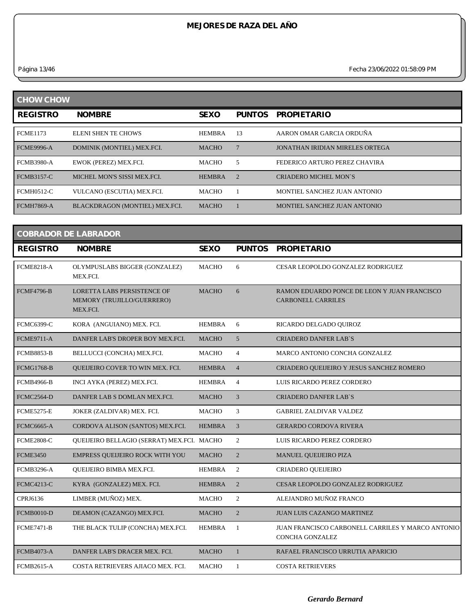*Página 13/46 Fecha 23/06/2022 01:58:09 PM*

| <b>CHOW CHOW</b>  |                                |               |               |                                 |  |  |
|-------------------|--------------------------------|---------------|---------------|---------------------------------|--|--|
| <b>REGISTRO</b>   | <b>NOMBRE</b>                  | <b>SEXO</b>   | <b>PUNTOS</b> | <b>PROPIETARIO</b>              |  |  |
| <b>FCME1173</b>   | <b>ELENI SHEN TE CHOWS</b>     | <b>HEMBRA</b> | 13            | AARON OMAR GARCIA ORDUÑA        |  |  |
| <b>FCME9996-A</b> | DOMINIK (MONTIEL) MEX.FCI.     | <b>MACHO</b>  |               | JONATHAN IRIDIAN MIRELES ORTEGA |  |  |
| <b>FCMB3980-A</b> | EWOK (PEREZ) MEX.FCI.          | MACHO         | 5             | FEDERICO ARTURO PEREZ CHAVIRA   |  |  |
| <b>FCMB3157-C</b> | MICHEL MON'S SISSI MEX.FCL     | <b>HEMBRA</b> | $\mathcal{D}$ | CRIADERO MICHEL MON'S           |  |  |
| <b>FCMH0512-C</b> | VULCANO (ESCUTIA) MEX.FCI.     | MACHO         |               | MONTIEL SANCHEZ JUAN ANTONIO    |  |  |
| <b>FCMH7869-A</b> | BLACKDRAGON (MONTIEL) MEX.FCI. | <b>MACHO</b>  |               | MONTIEL SANCHEZ JUAN ANTONIO    |  |  |

| <b>COBRADOR DE LABRADOR</b> |                                                                       |               |                |                                                                           |  |  |  |
|-----------------------------|-----------------------------------------------------------------------|---------------|----------------|---------------------------------------------------------------------------|--|--|--|
| <b>REGISTRO</b>             | <b>NOMBRE</b>                                                         | <b>SEXO</b>   | <b>PUNTOS</b>  | <b>PROPIETARIO</b>                                                        |  |  |  |
| <b>FCME8218-A</b>           | OLYMPUSLABS BIGGER (GONZALEZ)<br>MEX.FCI.                             | <b>MACHO</b>  | 6              | CESAR LEOPOLDO GONZALEZ RODRIGUEZ                                         |  |  |  |
| <b>FCMF4796-B</b>           | LORETTA LABS PERSISTENCE OF<br>MEMORY (TRUJILLO/GUERRERO)<br>MEX.FCI. | <b>MACHO</b>  | 6              | RAMON EDUARDO PONCE DE LEON Y JUAN FRANCISCO<br><b>CARBONELL CARRILES</b> |  |  |  |
| <b>FCMC6399-C</b>           | KORA (ANGUIANO) MEX. FCI.                                             | <b>HEMBRA</b> | 6              | RICARDO DELGADO OUIROZ                                                    |  |  |  |
| <b>FCME9711-A</b>           | DANFER LAB'S DROPER BOY MEX.FCI.                                      | <b>MACHO</b>  | 5 <sup>5</sup> | <b>CRIADERO DANFER LAB'S</b>                                              |  |  |  |
| <b>FCMB8853-B</b>           | BELLUCCI (CONCHA) MEX.FCI.                                            | <b>MACHO</b>  | $\overline{4}$ | MARCO ANTONIO CONCHA GONZALEZ                                             |  |  |  |
| <b>FCMG1768-B</b>           | QUEIJEIRO COVER TO WIN MEX. FCI.                                      | <b>HEMBRA</b> | $\overline{4}$ | CRIADERO QUEIJEIRO Y JESUS SANCHEZ ROMERO                                 |  |  |  |
| <b>FCMB4966-B</b>           | INCI AYKA (PEREZ) MEX.FCI.                                            | <b>HEMBRA</b> | $\overline{4}$ | LUIS RICARDO PEREZ CORDERO                                                |  |  |  |
| <b>FCMC2564-D</b>           | DANFER LAB S DOMLAN MEX.FCI.                                          | <b>MACHO</b>  | $\overline{3}$ | <b>CRIADERO DANFER LAB'S</b>                                              |  |  |  |
| <b>FCME5275-E</b>           | JOKER (ZALDIVAR) MEX. FCI.                                            | <b>MACHO</b>  | 3              | <b>GABRIEL ZALDIVAR VALDEZ</b>                                            |  |  |  |
| <b>FCMC6665-A</b>           | CORDOVA ALISON (SANTOS) MEX.FCI.                                      | <b>HEMBRA</b> | 3              | <b>GERARDO CORDOVA RIVERA</b>                                             |  |  |  |
| <b>FCME2808-C</b>           | QUEIJEIRO BELLAGIO (SERRAT) MEX.FCI. MACHO                            |               | $\overline{c}$ | LUIS RICARDO PEREZ CORDERO                                                |  |  |  |
| <b>FCME3450</b>             | <b>EMPRESS QUEIJEIRO ROCK WITH YOU</b>                                | <b>MACHO</b>  | $\overline{2}$ | <b>MANUEL QUEIJEIRO PIZA</b>                                              |  |  |  |
| <b>FCMB3296-A</b>           | QUEIJEIRO BIMBA MEX.FCI.                                              | <b>HEMBRA</b> | 2              | CRIADERO QUEIJEIRO                                                        |  |  |  |
| <b>FCMC4213-C</b>           | KYRA (GONZALEZ) MEX. FCI.                                             | <b>HEMBRA</b> | $\overline{c}$ | CESAR LEOPOLDO GONZALEZ RODRIGUEZ                                         |  |  |  |
| CPRJ6136                    | LIMBER (MUÑOZ) MEX.                                                   | <b>MACHO</b>  | $\overline{c}$ | ALEJANDRO MUÑOZ FRANCO                                                    |  |  |  |
| <b>FCMB0010-D</b>           | DEAMON (CAZANGO) MEX.FCI.                                             | <b>MACHO</b>  | $\overline{2}$ | <b>JUAN LUIS CAZANGO MARTINEZ</b>                                         |  |  |  |
| <b>FCME7471-B</b>           | THE BLACK TULIP (CONCHA) MEX.FCI.                                     | <b>HEMBRA</b> | 1              | JUAN FRANCISCO CARBONELL CARRILES Y MARCO ANTONIO<br>CONCHA GONZALEZ      |  |  |  |
| <b>FCMB4073-A</b>           | DANFER LAB'S DRACER MEX. FCI.                                         | <b>MACHO</b>  | $\mathbf{1}$   | RAFAEL FRANCISCO URRUTIA APARICIO                                         |  |  |  |
| <b>FCMB2615-A</b>           | COSTA RETRIEVERS AJIACO MEX. FCI.                                     | <b>MACHO</b>  | 1              | <b>COSTA RETRIEVERS</b>                                                   |  |  |  |
|                             |                                                                       |               |                |                                                                           |  |  |  |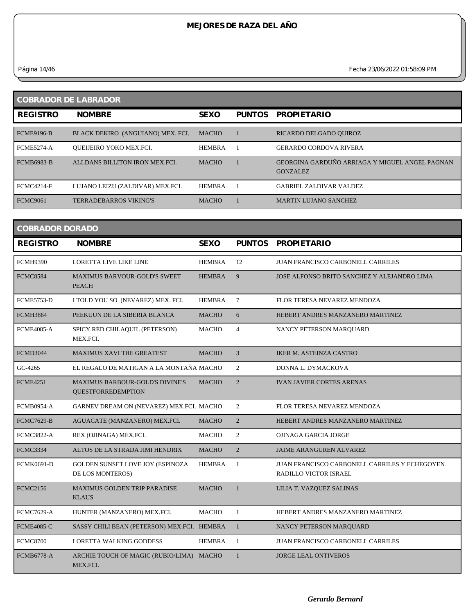*Página 14/46 Fecha 23/06/2022 01:58:09 PM*

| <b>COBRADOR DE LABRADOR</b> |                                   |               |               |                                                                   |  |  |
|-----------------------------|-----------------------------------|---------------|---------------|-------------------------------------------------------------------|--|--|
| <b>REGISTRO</b>             | <b>NOMBRE</b>                     | <b>SEXO</b>   | <b>PUNTOS</b> | <b>PROPIETARIO</b>                                                |  |  |
| <b>FCME9196-B</b>           | BLACK DEKIRO (ANGUIANO) MEX. FCI. | <b>MACHO</b>  |               | RICARDO DELGADO QUIROZ                                            |  |  |
| <b>FCME5274-A</b>           | <b>OUEIJEIRO YOKO MEX.FCI.</b>    | <b>HEMBRA</b> |               | <b>GERARDO CORDOVA RIVERA</b>                                     |  |  |
| <b>FCMB6983-B</b>           | ALLDANS BILLITON IRON MEX.FCL     | <b>MACHO</b>  |               | GEORGINA GARDUÑO ARRIAGA Y MIGUEL ANGEL PAGNAN<br><b>GONZALEZ</b> |  |  |
| <b>FCMC4214-F</b>           | LUJANO LEIZU (ZALDIVAR) MEX.FCI.  | <b>HEMBRA</b> |               | <b>GABRIEL ZALDIVAR VALDEZ</b>                                    |  |  |
| FCMC9061                    | <b>TERRADEBARROS VIKING'S</b>     | <b>MACHO</b>  |               | <b>MARTIN LUJANO SANCHEZ</b>                                      |  |  |

| <b>COBRADOR DORADO</b> |                                                                     |               |                |                                                                               |  |  |  |
|------------------------|---------------------------------------------------------------------|---------------|----------------|-------------------------------------------------------------------------------|--|--|--|
| <b>REGISTRO</b>        | <b>NOMBRE</b>                                                       | <b>SEXO</b>   | <b>PUNTOS</b>  | <b>PROPIETARIO</b>                                                            |  |  |  |
| <b>FCMH9390</b>        | <b>LORETTA LIVE LIKE LINE</b>                                       | <b>HEMBRA</b> | 12             | <b>JUAN FRANCISCO CARBONELL CARRILES</b>                                      |  |  |  |
| <b>FCMC8584</b>        | <b>MAXIMUS BARVOUR-GOLD'S SWEET</b><br><b>PEACH</b>                 | <b>HEMBRA</b> | 9              | JOSE ALFONSO BRITO SANCHEZ Y ALEJANDRO LIMA                                   |  |  |  |
| <b>FCME5753-D</b>      | I TOLD YOU SO (NEVAREZ) MEX. FCI.                                   | <b>HEMBRA</b> | $\tau$         | FLOR TERESA NEVAREZ MENDOZA                                                   |  |  |  |
| <b>FCMH3864</b>        | PEEKUUN DE LA SIBERIA BLANCA                                        | <b>MACHO</b>  | 6              | HEBERT ANDRES MANZANERO MARTINEZ                                              |  |  |  |
| <b>FCME4085-A</b>      | SPICY RED CHILAQUIL (PETERSON)<br>MEX.FCI.                          | MACHO         | $\overline{4}$ | NANCY PETERSON MARQUARD                                                       |  |  |  |
| <b>FCMD3044</b>        | <b>MAXIMUS XAVI THE GREATEST</b>                                    | <b>MACHO</b>  | 3              | <b>IKER M. ASTEINZA CASTRO</b>                                                |  |  |  |
| GC-4265                | EL REGALO DE MATIGAN A LA MONTAÑA MACHO                             |               | 2              | DONNA L. DYMACKOVA                                                            |  |  |  |
| <b>FCME4251</b>        | <b>MAXIMUS BARBOUR-GOLD'S DIVINE'S</b><br><b>QUESTFORREDEMPTION</b> | <b>MACHO</b>  | 2              | <b>IVAN JAVIER CORTES ARENAS</b>                                              |  |  |  |
| <b>FCMB0954-A</b>      | GARNEV DREAM ON (NEVAREZ) MEX.FCI. MACHO                            |               | 2              | FLOR TERESA NEVAREZ MENDOZA                                                   |  |  |  |
| <b>FCMC7629-B</b>      | AGUACATE (MANZANERO) MEX.FCI.                                       | <b>MACHO</b>  | 2              | HEBERT ANDRES MANZANERO MARTINEZ                                              |  |  |  |
| <b>FCMC3822-A</b>      | REX (OJINAGA) MEX.FCI.                                              | <b>MACHO</b>  | 2              | OJINAGA GARCIA JORGE                                                          |  |  |  |
| <b>FCMC3334</b>        | ALTOS DE LA STRADA JIMI HENDRIX                                     | <b>MACHO</b>  | $\overline{2}$ | <b>JAIME ARANGUREN ALVAREZ</b>                                                |  |  |  |
| <b>FCMK0691-D</b>      | <b>GOLDEN SUNSET LOVE JOY (ESPINOZA)</b><br>DE LOS MONTEROS)        | HEMBRA        | 1              | JUAN FRANCISCO CARBONELL CARRILES Y ECHEGOYEN<br><b>RADILLO VICTOR ISRAEL</b> |  |  |  |
| <b>FCMC2156</b>        | <b>MAXIMUS GOLDEN TRIP PARADISE</b><br><b>KLAUS</b>                 | <b>MACHO</b>  | $\mathbf{1}$   | LILIA T. VAZQUEZ SALINAS                                                      |  |  |  |
| <b>FCMC7629-A</b>      | HUNTER (MANZANERO) MEX.FCI.                                         | <b>MACHO</b>  | 1              | HEBERT ANDRES MANZANERO MARTINEZ                                              |  |  |  |
| <b>FCME4085-C</b>      | SASSY CHILI BEAN (PETERSON) MEX.FCI. HEMBRA                         |               | $\mathbf{1}$   | <b>NANCY PETERSON MARQUARD</b>                                                |  |  |  |
| <b>FCMC8700</b>        | LORETTA WALKING GODDESS                                             | <b>HEMBRA</b> | 1              | JUAN FRANCISCO CARBONELL CARRILES                                             |  |  |  |
| <b>FCMB6778-A</b>      | ARCHIE TOUCH OF MAGIC (RUBIO/LIMA) MACHO<br>MEX.FCI.                |               | $\mathbf{1}$   | <b>JORGE LEAL ONTIVEROS</b>                                                   |  |  |  |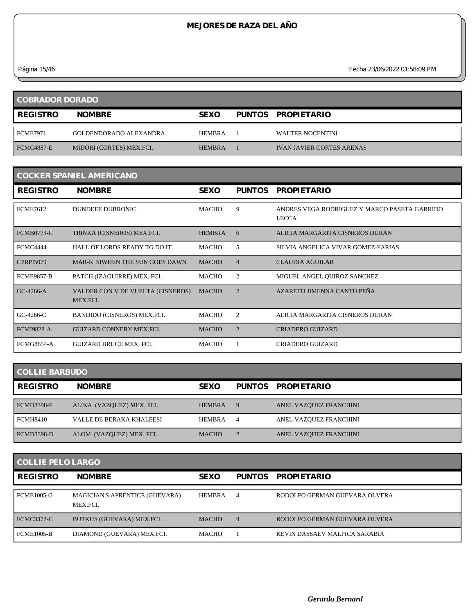*Página 15/46 Fecha 23/06/2022 01:58:09 PM*

| <b>COBRADOR DORADO</b> |                               |               |  |                                  |  |
|------------------------|-------------------------------|---------------|--|----------------------------------|--|
| <b>REGISTRO</b>        | <b>NOMBRE</b>                 | <b>SEXO</b>   |  | PUNTOS PROPIETARIO               |  |
| <b>FCME7971</b>        | <b>GOLDENDORADO ALEXANDRA</b> | <b>HEMBRA</b> |  | <b>WALTER NOCENTINI</b>          |  |
| <b>FCMC4887-E</b>      | MIDORI (CORTES) MEX.FCI.      | <b>HEMBRA</b> |  | <b>IVAN JAVIER CORTES ARENAS</b> |  |

| <b>COCKER SPANIEL AMERICANO</b> |                                               |               |                |                                                              |  |  |  |
|---------------------------------|-----------------------------------------------|---------------|----------------|--------------------------------------------------------------|--|--|--|
| <b>REGISTRO</b>                 | <b>NOMBRE</b>                                 | <b>SEXO</b>   | <b>PUNTOS</b>  | <b>PROPIETARIO</b>                                           |  |  |  |
| <b>FCME7612</b>                 | <b>DUNDEEE DUBRONIC</b>                       | <b>MACHO</b>  | 9              | ANDRES VEGA RODRIGUEZ Y MARCO PASETA GARRIDO<br><b>LECCA</b> |  |  |  |
| <b>FCMB0773-C</b>               | TRINKA (CISNEROS) MEX.FCI.                    | <b>HEMBRA</b> | 6              | ALICIA MARGARITA CISNEROS DURAN                              |  |  |  |
| <b>FCMC4444</b>                 | HALL OF LORDS READY TO DO IT                  | MACHO         | 5              | SILVIA ANGELICA VIVAR GOMEZ-FARIAS                           |  |  |  |
| <b>CPRPI5079</b>                | MAR-K' SIWHEN THE SUN GOES DAWN               | <b>MACHO</b>  | $\overline{4}$ | <b>CLAUDIA AGUILAR</b>                                       |  |  |  |
| <b>FCME9857-B</b>               | PATCH (IZAGUIRRE) MEX. FCI.                   | MACHO         | 2              | MIGUEL ANGEL QUIROZ SANCHEZ                                  |  |  |  |
| GC-4266-A                       | VALDER CON V DE VUELTA (CISNEROS)<br>MEX.FCI. | <b>MACHO</b>  | $\overline{2}$ | AZARETH JIMENNA CANTÚ PEÑA                                   |  |  |  |
| GC-4266-C                       | BANDIDO (CISNEROS) MEX.FCI.                   | MACHO         | 2              | ALICIA MARGARITA CISNEROS DURAN                              |  |  |  |
| <b>FCMI9828-A</b>               | <b>GUIZARD CONNERY MEX.FCI.</b>               | <b>MACHO</b>  | $\overline{2}$ | <b>CRIADERO GUIZARD</b>                                      |  |  |  |
| <b>FCMG8654-A</b>               | <b>GUIZARD BRUCE MEX. FCI.</b>                | <b>MACHO</b>  |                | <b>CRIADERO GUIZARD</b>                                      |  |  |  |

| <b>COLLIE BARBUDO</b> |  |
|-----------------------|--|
|-----------------------|--|

and the control of the control of

| <b>REGISTRO</b>   | <b>NOMBRE</b>             | <b>SEXO</b>   |                | PUNTOS PROPIETARIO     |
|-------------------|---------------------------|---------------|----------------|------------------------|
|                   |                           |               |                |                        |
| <b>FCMD3398-F</b> | ALIKA (VAZQUEZ) MEX. FCI. | <b>HEMBRA</b> | 9              | ANEL VAZQUEZ FRANCHINI |
| <b>FCMH8410</b>   | VALLE DE BERAKA KHALEESI  | HEMBRA        | $\overline{4}$ | ANEL VAZQUEZ FRANCHINI |
| <b>FCMD3398-D</b> | ALOM (VAZQUEZ) MEX. FCI.  | <b>MACHO</b>  |                | ANEL VAZQUEZ FRANCHINI |

| <b>COLLIE PELO LARGO</b> |                                                   |               |                |                               |  |  |
|--------------------------|---------------------------------------------------|---------------|----------------|-------------------------------|--|--|
| <b>REGISTRO</b>          | <b>NOMBRE</b>                                     | <b>SEXO</b>   | <b>PUNTOS</b>  | <b>PROPIETARIO</b>            |  |  |
| FCME1005-G               | <b>MAGICIAN'S APRENTICE (GUEVARA)</b><br>MEX.FCI. | <b>HEMBRA</b> | $\overline{4}$ | RODOLFO GERMAN GUEVARA OLVERA |  |  |
| <b>FCMC3372-C</b>        | BUTKUS (GUEVARA) MEX.FCI.                         | <b>MACHO</b>  | $\overline{4}$ | RODOLFO GERMAN GUEVARA OLVERA |  |  |
| <b>FCME1005-B</b>        | DIAMOND (GUEVARA) MEX.FCI.                        | <b>MACHO</b>  |                | KEVIN DASSAEV MALPICA SARABIA |  |  |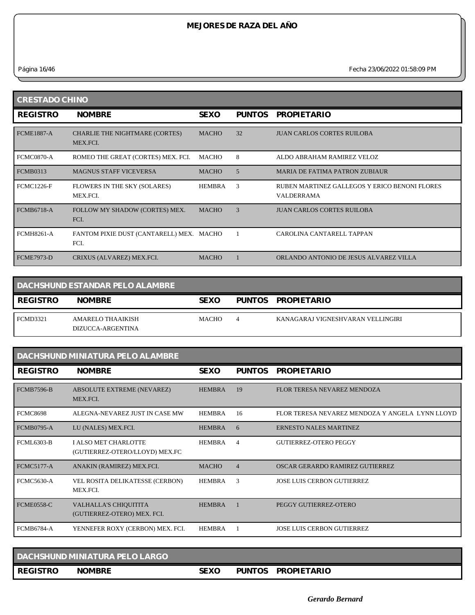*Página 16/46 Fecha 23/06/2022 01:58:09 PM*

| <b>CRESTADO CHINO</b> |                                                  |               |               |                                                                    |  |  |
|-----------------------|--------------------------------------------------|---------------|---------------|--------------------------------------------------------------------|--|--|
| <b>REGISTRO</b>       | <b>NOMBRE</b>                                    | <b>SEXO</b>   | <b>PUNTOS</b> | <b>PROPIETARIO</b>                                                 |  |  |
| <b>FCME1887-A</b>     | CHARLIE THE NIGHTMARE (CORTES)<br>MEX.FCI.       | <b>MACHO</b>  | 32            | <b>JUAN CARLOS CORTES RUILOBA</b>                                  |  |  |
| FCMC0870-A            | ROMEO THE GREAT (CORTES) MEX. FCI.               | MACHO         | 8             | ALDO ABRAHAM RAMIREZ VELOZ                                         |  |  |
| <b>FCMB0313</b>       | <b>MAGNUS STAFF VICEVERSA</b>                    | <b>MACHO</b>  | 5             | <b>MARIA DE FATIMA PATRON ZUBIAUR</b>                              |  |  |
| <b>FCMC1226-F</b>     | FLOWERS IN THE SKY (SOLARES)<br>MEX.FCI.         | <b>HEMBRA</b> | 3             | RUBEN MARTINEZ GALLEGOS Y ERICO BENONI FLORES<br><b>VALDERRAMA</b> |  |  |
| <b>FCMB6718-A</b>     | FOLLOW MY SHADOW (CORTES) MEX.<br>FCI.           | <b>MACHO</b>  | $\mathcal{R}$ | <b>JUAN CARLOS CORTES RUILOBA</b>                                  |  |  |
| <b>FCMH8261-A</b>     | FANTOM PIXIE DUST (CANTARELL) MEX. MACHO<br>FCI. |               |               | CAROLINA CANTARELL TAPPAN                                          |  |  |
| <b>FCME7973-D</b>     | CRIXUS (ALVAREZ) MEX.FCI.                        | <b>MACHO</b>  |               | ORLANDO ANTONIO DE JESUS ALVAREZ VILLA                             |  |  |

|                 | <b>DACHSHUND ESTANDAR PELO ALAMBRE</b> |              |                                   |
|-----------------|----------------------------------------|--------------|-----------------------------------|
| <b>REGISTRO</b> | <b>NOMBRE</b>                          | <b>SEXO</b>  | PUNTOS PROPIETARIO                |
| FCMD3321        | AMARELO THAAIKISH<br>DIZUCCA-ARGENTINA | <b>MACHO</b> | KANAGARAJ VIGNESHVARAN VELLINGIRI |

| DACHSHUND MINIATURA PELO ALAMBRE |                                                             |               |                |                                                 |  |  |
|----------------------------------|-------------------------------------------------------------|---------------|----------------|-------------------------------------------------|--|--|
| <b>REGISTRO</b>                  | <b>NOMBRE</b>                                               | <b>SEXO</b>   | <b>PUNTOS</b>  | <b>PROPIETARIO</b>                              |  |  |
| <b>FCMB7596-B</b>                | ABSOLUTE EXTREME (NEVAREZ)<br>MEX.FCI.                      | <b>HEMBRA</b> | 19             | FLOR TERESA NEVAREZ MENDOZA                     |  |  |
| <b>FCMC8698</b>                  | ALEGNA-NEVAREZ JUST IN CASE MW                              | <b>HEMBRA</b> | 16             | FLOR TERESA NEVAREZ MENDOZA Y ANGELA LYNN LLOYD |  |  |
| <b>FCMB0795-A</b>                | LU (NALES) MEX.FCI.                                         | <b>HEMBRA</b> | 6              | <b>ERNESTO NALES MARTINEZ</b>                   |  |  |
| <b>FCML6303-B</b>                | I ALSO MET CHARLOTTE<br>(GUTIERREZ-OTERO/LLOYD) MEX.FC      | <b>HEMBRA</b> | $\overline{4}$ | <b>GUTIERREZ-OTERO PEGGY</b>                    |  |  |
| <b>FCMC5177-A</b>                | ANAKIN (RAMIREZ) MEX.FCI.                                   | <b>MACHO</b>  | $\overline{4}$ | OSCAR GERARDO RAMIREZ GUTIERREZ                 |  |  |
| FCMC5630-A                       | VEL ROSITA DELIKATESSE (CERBON)<br>MEX.FCI.                 | <b>HEMBRA</b> | 3              | <b>JOSE LUIS CERBON GUTIERREZ</b>               |  |  |
| <b>FCME0558-C</b>                | <b>VALHALLA'S CHIQUITITA</b><br>(GUTIERREZ-OTERO) MEX. FCI. | <b>HEMBRA</b> |                | PEGGY GUTIERREZ-OTERO                           |  |  |
| <b>FCMB6784-A</b>                | YENNEFER ROXY (CERBON) MEX. FCI.                            | <b>HEMBRA</b> |                | <b>JOSE LUIS CERBON GUTIERREZ</b>               |  |  |

|                 | DACHSHUND MINIATURA PELO LARGO |             |               |                    |
|-----------------|--------------------------------|-------------|---------------|--------------------|
| <b>REGISTRO</b> | <b>NOMBRE</b>                  | <b>SEXO</b> | <b>PUNTOS</b> | <b>PROPIETARIO</b> |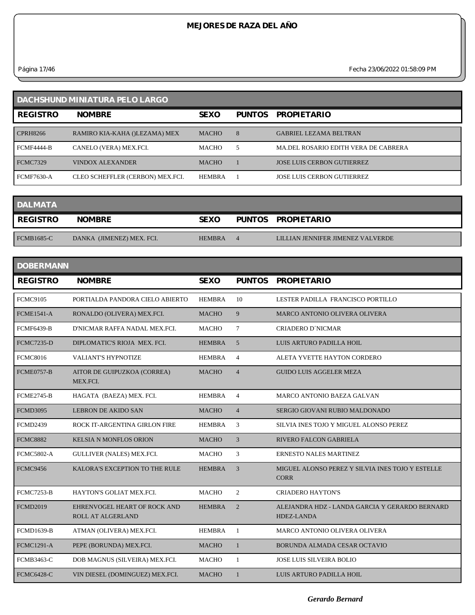*Página 17/46 Fecha 23/06/2022 01:58:09 PM*

| DACHSHUND MINIATURA PELO LARGO |                                  |               |               |                                      |  |  |
|--------------------------------|----------------------------------|---------------|---------------|--------------------------------------|--|--|
| <b>REGISTRO</b>                | <b>NOMBRE</b>                    | <b>SEXO</b>   | <b>PUNTOS</b> | <b>PROPIETARIO</b>                   |  |  |
| <b>CPRH8266</b>                | RAMIRO KIA-KAHA ()LEZAMA) MEX    | <b>MACHO</b>  | 8             | <b>GABRIEL LEZAMA BELTRAN</b>        |  |  |
| <b>FCMF4444-B</b>              | CANELO (VERA) MEX.FCI.           | <b>MACHO</b>  | 5             | MA.DEL ROSARIO EDITH VERA DE CABRERA |  |  |
| <b>FCMC7329</b>                | <b>VINDOX ALEXANDER</b>          | <b>MACHO</b>  |               | <b>JOSE LUIS CERBON GUTIERREZ</b>    |  |  |
| <b>FCMF7630-A</b>              | CLEO SCHEFFLER (CERBON) MEX.FCI. | <b>HEMBRA</b> |               | <b>JOSE LUIS CERBON GUTIERREZ</b>    |  |  |

| <b>DALMATA</b>  |                           |               |          |                                   |
|-----------------|---------------------------|---------------|----------|-----------------------------------|
| <b>REGISTRO</b> | <b>NOMBRE</b>             | <b>SEXO</b>   |          | PUNTOS PROPIETARIO                |
| $FCMB1685-C$    | DANKA (JIMENEZ) MEX. FCI. | <b>HEMBRA</b> | $\Delta$ | LILLIAN JENNIFER JIMENEZ VALVERDE |

| <b>DOBERMANN</b>  |                                                   |               |                |                                                                 |
|-------------------|---------------------------------------------------|---------------|----------------|-----------------------------------------------------------------|
| <b>REGISTRO</b>   | <b>NOMBRE</b>                                     | <b>SEXO</b>   | <b>PUNTOS</b>  | <b>PROPIETARIO</b>                                              |
| <b>FCMC9105</b>   | PORTIALDA PANDORA CIELO ABIERTO                   | <b>HEMBRA</b> | 10             | LESTER PADILLA FRANCISCO PORTILLO                               |
| <b>FCME1541-A</b> | RONALDO (OLIVERA) MEX.FCI.                        | <b>MACHO</b>  | 9              | MARCO ANTONIO OLIVERA OLIVERA                                   |
| <b>FCMF6439-B</b> | D'NICMAR RAFFA NADAL MEX.FCI.                     | <b>MACHO</b>  | $\tau$         | <b>CRIADERO D'NICMAR</b>                                        |
| <b>FCMC7235-D</b> | DIPLOMATIC'S RIOJA MEX. FCI.                      | <b>HEMBRA</b> | 5              | LUIS ARTURO PADILLA HOIL                                        |
| <b>FCMC8016</b>   | <b>VALIANT'S HYPNOTIZE</b>                        | <b>HEMBRA</b> | $\overline{4}$ | ALETA YVETTE HAYTON CORDERO                                     |
| <b>FCME0757-B</b> | AITOR DE GUIPUZKOA (CORREA)<br>MEX.FCI.           | <b>MACHO</b>  | $\overline{4}$ | <b>GUIDO LUIS AGGELER MEZA</b>                                  |
| <b>FCME2745-B</b> | HAGATA (BAEZA) MEX. FCI.                          | <b>HEMBRA</b> | $\overline{4}$ | <b>MARCO ANTONIO BAEZA GALVAN</b>                               |
| <b>FCMD3095</b>   | <b>LEBRON DE AKIDO SAN</b>                        | <b>MACHO</b>  | $\overline{4}$ | SERGIO GIOVANI RUBIO MALDONADO                                  |
| <b>FCMD2439</b>   | ROCK IT-ARGENTINA GIRLON FIRE                     | <b>HEMBRA</b> | 3              | SILVIA INES TOJO Y MIGUEL ALONSO PEREZ                          |
| <b>FCMC8882</b>   | <b>KELSIA N MONFLOS ORION</b>                     | <b>MACHO</b>  | 3              | <b>RIVERO FALCON GABRIELA</b>                                   |
| <b>FCMC5802-A</b> | GULLIVER (NALES) MEX.FCI.                         | <b>MACHO</b>  | 3              | <b>ERNESTO NALES MARTINEZ</b>                                   |
| <b>FCMC9456</b>   | KALORA'S EXCEPTION TO THE RULE                    | <b>HEMBRA</b> | 3              | MIGUEL ALONSO PEREZ Y SILVIA INES TOJO Y ESTELLE<br><b>CORR</b> |
| <b>FCMC7253-B</b> | HAYTON'S GOLIAT MEX.FCI.                          | <b>MACHO</b>  | $\overline{2}$ | <b>CRIADERO HAYTON'S</b>                                        |
| <b>FCMD2019</b>   | EHRENVOGEL HEART OF ROCK AND<br>ROLL AT ALGERLAND | <b>HEMBRA</b> | $\overline{2}$ | ALEJANDRA HDZ - LANDA GARCIA Y GERARDO BERNARD<br>HDEZ-LANDA    |
| <b>FCMD1639-B</b> | ATMAN (OLIVERA) MEX.FCI.                          | <b>HEMBRA</b> | -1             | MARCO ANTONIO OLIVERA OLIVERA                                   |
| <b>FCMC1291-A</b> | PEPE (BORUNDA) MEX.FCI.                           | <b>MACHO</b>  |                | BORUNDA ALMADA CESAR OCTAVIO                                    |
| <b>FCMB3463-C</b> | DOB MAGNUS (SILVEIRA) MEX.FCI.                    | <b>MACHO</b>  | 1              | <b>JOSE LUIS SILVEIRA BOLIO</b>                                 |
| <b>FCMC6428-C</b> | VIN DIESEL (DOMINGUEZ) MEX.FCI.                   | <b>MACHO</b>  | 1              | LUIS ARTURO PADILLA HOIL                                        |
|                   |                                                   |               |                |                                                                 |

*Gerardo Bernard*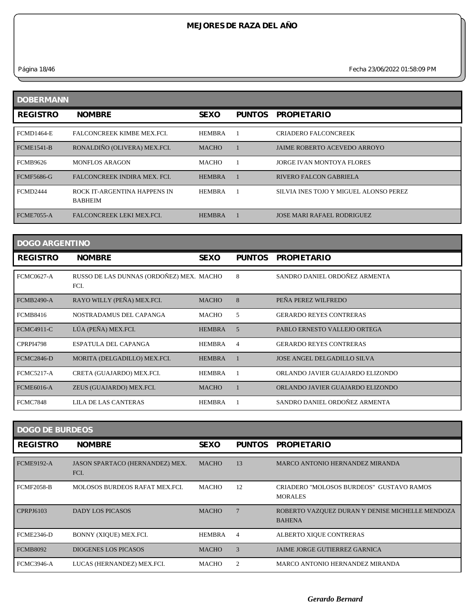*Página 18/46 Fecha 23/06/2022 01:58:09 PM*

| <b>DOBERMANN</b>  |                                                |               |               |                                        |
|-------------------|------------------------------------------------|---------------|---------------|----------------------------------------|
| <b>REGISTRO</b>   | <b>NOMBRE</b>                                  | <b>SEXO</b>   | <b>PUNTOS</b> | <b>PROPIETARIO</b>                     |
| <b>FCMD1464-E</b> | <b>FALCONCREEK KIMBE MEX.FCI.</b>              | <b>HEMBRA</b> |               | <b>CRIADERO FALCONCREEK</b>            |
| <b>FCME1541-B</b> | RONALDIÑO (OLIVERA) MEX.FCI.                   | <b>MACHO</b>  |               | <b>JAIME ROBERTO ACEVEDO ARROYO</b>    |
| <b>FCMB9626</b>   | <b>MONFLOS ARAGON</b>                          | <b>MACHO</b>  |               | <b>JORGE IVAN MONTOYA FLORES</b>       |
| <b>FCMF5686-G</b> | FALCONCREEK INDIRA MEX. FCI.                   | <b>HEMBRA</b> |               | <b>RIVERO FALCON GABRIELA</b>          |
| <b>FCMD2444</b>   | ROCK IT-ARGENTINA HAPPENS IN<br><b>BABHEIM</b> | <b>HEMBRA</b> |               | SILVIA INES TOJO Y MIGUEL ALONSO PEREZ |
| <b>FCME7055-A</b> | <b>FALCONCREEK LEKI MEX.FCI.</b>               | <b>HEMBRA</b> |               | <b>JOSE MARI RAFAEL RODRIGUEZ</b>      |

| <b>DOGO ARGENTINO</b> |                                                  |               |                |                                    |  |
|-----------------------|--------------------------------------------------|---------------|----------------|------------------------------------|--|
| <b>REGISTRO</b>       | <b>NOMBRE</b>                                    | <b>SEXO</b>   | <b>PUNTOS</b>  | <b>PROPIETARIO</b>                 |  |
| <b>FCMC0627-A</b>     | RUSSO DE LAS DUNNAS (ORDOÑEZ) MEX. MACHO<br>FCI. |               | 8              | SANDRO DANIEL ORDOÑEZ ARMENTA      |  |
| <b>FCMB2490-A</b>     | RAYO WILLY (PEÑA) MEX.FCI.                       | <b>MACHO</b>  | 8              | PEÑA PEREZ WILFREDO                |  |
| <b>FCMB8416</b>       | NOSTRADAMUS DEL CAPANGA                          | <b>MACHO</b>  | 5              | <b>GERARDO REYES CONTRERAS</b>     |  |
| <b>FCMC4911-C</b>     | LÚA (PEÑA) MEX.FCI.                              | <b>HEMBRA</b> | 5              | PABLO ERNESTO VALLEJO ORTEGA       |  |
| <b>CPRPI4798</b>      | <b>ESPATULA DEL CAPANGA</b>                      | <b>HEMBRA</b> | $\overline{4}$ | <b>GERARDO REYES CONTRERAS</b>     |  |
| <b>FCMC2846-D</b>     | MORITA (DELGADILLO) MEX.FCI.                     | <b>HEMBRA</b> |                | <b>JOSE ANGEL DELGADILLO SILVA</b> |  |
| <b>FCMC5217-A</b>     | CRETA (GUAJARDO) MEX.FCI.                        | <b>HEMBRA</b> |                | ORLANDO JAVIER GUAJARDO ELIZONDO   |  |
| <b>FCME6016-A</b>     | ZEUS (GUAJARDO) MEX.FCI.                         | <b>MACHO</b>  |                | ORLANDO JAVIER GUAJARDO ELIZONDO   |  |
| <b>FCMC7848</b>       | <b>LILA DE LAS CANTERAS</b>                      | <b>HEMBRA</b> |                | SANDRO DANIEL ORDOÑEZ ARMENTA      |  |

| <b>DOGO DE BURDEOS</b> |                                         |              |               |                                                                  |  |  |
|------------------------|-----------------------------------------|--------------|---------------|------------------------------------------------------------------|--|--|
| <b>REGISTRO</b>        | <b>NOMBRE</b>                           | <b>SEXO</b>  | <b>PUNTOS</b> | <b>PROPIETARIO</b>                                               |  |  |
| <b>FCME9192-A</b>      | JASON SPARTACO (HERNANDEZ) MEX.<br>FCI. | <b>MACHO</b> | 13            | MARCO ANTONIO HERNANDEZ MIRANDA                                  |  |  |
| FCMF2058-B             | MOLOSOS BURDEOS RAFAT MEX.FCI.          | MACHO        | 12            | CRIADERO "MOLOSOS BURDEOS" GUSTAVO RAMOS<br><b>MORALES</b>       |  |  |
| CPRPJ6103              | <b>DADY LOS PICASOS</b>                 | <b>MACHO</b> |               | ROBERTO VAZQUEZ DURAN Y DENISE MICHELLE MENDOZA<br><b>BAHENA</b> |  |  |
| FCME2346-D             | BONNY (XIQUE) MEX.FCI.                  | HEMBRA       | 4             | ALBERTO XIQUE CONTRERAS                                          |  |  |
| <b>FCMB8092</b>        | <b>DIOGENES LOS PICASOS</b>             | <b>MACHO</b> | $\mathcal{R}$ | JAIME JORGE GUTIERREZ GARNICA                                    |  |  |
| <b>FCMC3946-A</b>      | LUCAS (HERNANDEZ) MEX.FCI.              | <b>MACHO</b> |               | MARCO ANTONIO HERNANDEZ MIRANDA                                  |  |  |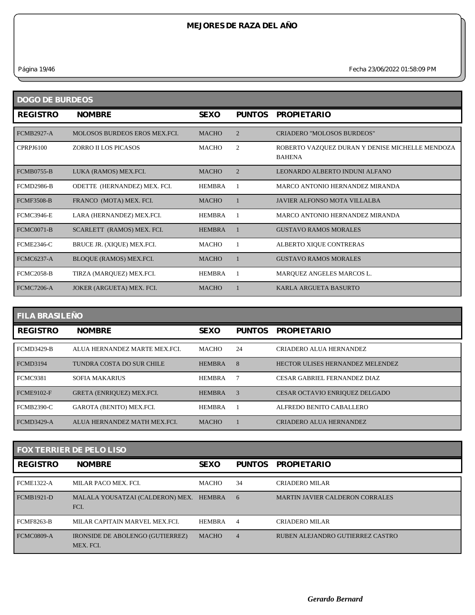*Página 19/46 Fecha 23/06/2022 01:58:09 PM*

| <b>DOGO DE BURDEOS</b> |                               |               |                |                                                                  |  |  |  |
|------------------------|-------------------------------|---------------|----------------|------------------------------------------------------------------|--|--|--|
| <b>REGISTRO</b>        | <b>NOMBRE</b>                 | <b>SEXO</b>   | <b>PUNTOS</b>  | <b>PROPIETARIO</b>                                               |  |  |  |
| <b>FCMB2927-A</b>      | MOLOSOS BURDEOS EROS MEX.FCI. | <b>MACHO</b>  | $\overline{2}$ | <b>CRIADERO "MOLOSOS BURDEOS"</b>                                |  |  |  |
| CPRPJ6100              | <b>ZORRO II LOS PICASOS</b>   | <b>MACHO</b>  | 2              | ROBERTO VAZQUEZ DURAN Y DENISE MICHELLE MENDOZA<br><b>BAHENA</b> |  |  |  |
| <b>FCMB0755-B</b>      | LUKA (RAMOS) MEX.FCI.         | <b>MACHO</b>  | $\overline{2}$ | LEONARDO ALBERTO INDUNI ALFANO                                   |  |  |  |
| <b>FCMD2986-B</b>      | ODETTE (HERNANDEZ) MEX. FCI.  | <b>HEMBRA</b> |                | <b>MARCO ANTONIO HERNANDEZ MIRANDA</b>                           |  |  |  |
| <b>FCMF3508-B</b>      | FRANCO (MOTA) MEX. FCI.       | <b>MACHO</b>  |                | JAVIER ALFONSO MOTA VILLALBA                                     |  |  |  |
| <b>FCMC3946-E</b>      | LARA (HERNANDEZ) MEX.FCI.     | <b>HEMBRA</b> |                | MARCO ANTONIO HERNANDEZ MIRANDA                                  |  |  |  |
| <b>FCMC0071-B</b>      | SCARLETT (RAMOS) MEX. FCI.    | <b>HEMBRA</b> |                | <b>GUSTAVO RAMOS MORALES</b>                                     |  |  |  |
| <b>FCME2346-C</b>      | BRUCE JR. (XIQUE) MEX.FCI.    | <b>MACHO</b>  |                | ALBERTO XIQUE CONTRERAS                                          |  |  |  |
| <b>FCMC6237-A</b>      | BLOQUE (RAMOS) MEX.FCI.       | <b>MACHO</b>  |                | <b>GUSTAVO RAMOS MORALES</b>                                     |  |  |  |
| <b>FCMC2058-B</b>      | TIRZA (MARQUEZ) MEX.FCI.      | <b>HEMBRA</b> |                | MARQUEZ ANGELES MARCOS L.                                        |  |  |  |
| <b>FCMC7206-A</b>      | JOKER (ARGUETA) MEX. FCI.     | <b>MACHO</b>  |                | KARLA ARGUETA BASURTO                                            |  |  |  |

| <b>FILA BRASILEÑO</b> |                              |               |               |                                       |  |  |
|-----------------------|------------------------------|---------------|---------------|---------------------------------------|--|--|
| <b>REGISTRO</b>       | <b>NOMBRE</b>                | <b>SEXO</b>   | <b>PUNTOS</b> | <b>PROPIETARIO</b>                    |  |  |
| <b>FCMD3429-B</b>     | ALUA HERNANDEZ MARTE MEX.FCL | <b>MACHO</b>  | 24            | CRIADERO ALUA HERNANDEZ               |  |  |
| <b>FCMD3194</b>       | TUNDRA COSTA DO SUR CHILE    | <b>HEMBRA</b> | 8             | HECTOR ULISES HERNANDEZ MELENDEZ      |  |  |
| <b>FCMC9381</b>       | <b>SOFIA MAKARIUS</b>        | <b>HEMBRA</b> |               | CESAR GABRIEL FERNANDEZ DIAZ          |  |  |
| <b>FCME9102-F</b>     | GRETA (ENRIQUEZ) MEX.FCI.    | <b>HEMBRA</b> | 3             | <b>CESAR OCTAVIO ENRIQUEZ DELGADO</b> |  |  |
| <b>FCMB2390-C</b>     | GAROTA (BENITO) MEX.FCI.     | <b>HEMBRA</b> |               | ALFREDO BENITO CABALLERO              |  |  |
| <b>FCMD3429-A</b>     | ALUA HERNANDEZ MATH MEX FCL  | <b>MACHO</b>  |               | CRIADERO ALUA HERNANDEZ               |  |  |

| <b>FOX TERRIER DE PELO LISO</b> |                                                      |               |                |                                        |  |
|---------------------------------|------------------------------------------------------|---------------|----------------|----------------------------------------|--|
| <b>REGISTRO</b>                 | <b>NOMBRE</b>                                        | <b>SEXO</b>   | PUNTOS         | <b>PROPIETARIO</b>                     |  |
| <b>FCME1322-A</b>               | MILAR PACO MEX. FCI.                                 | <b>MACHO</b>  | 34             | CRIADERO MILAR                         |  |
| <b>FCMB1921-D</b>               | MALALA YOUSATZAI (CALDERON) MEX.<br>FCI.             | HEMBRA        | 6              | <b>MARTIN JAVIER CALDERON CORRALES</b> |  |
| <b>FCMF8263-B</b>               | MILAR CAPITAIN MARVEL MEX.FCL                        | <b>HEMBRA</b> | $\overline{4}$ | CRIADERO MILAR                         |  |
| <b>FCMC0809-A</b>               | <b>IRONSIDE DE ABOLENGO (GUTIERREZ)</b><br>MEX. FCI. | <b>MACHO</b>  | $\overline{4}$ | RUBEN ALEJANDRO GUTIERREZ CASTRO       |  |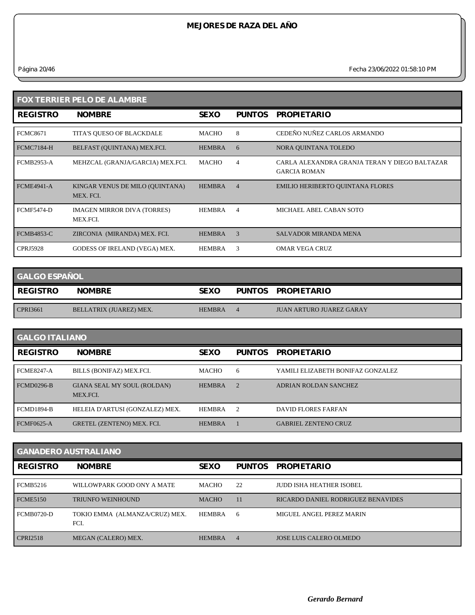*Página 20/46 Fecha 23/06/2022 01:58:10 PM*

| <b>FOX TERRIER PELO DE ALAMBRE</b> |                                                |               |                |                                                                      |  |  |
|------------------------------------|------------------------------------------------|---------------|----------------|----------------------------------------------------------------------|--|--|
| <b>REGISTRO</b>                    | <b>NOMBRE</b>                                  | <b>SEXO</b>   | <b>PUNTOS</b>  | <b>PROPIETARIO</b>                                                   |  |  |
| <b>FCMC8671</b>                    | TITA'S QUESO OF BLACKDALE                      | MACHO         | 8              | CEDEÑO NUÑEZ CARLOS ARMANDO                                          |  |  |
| FCMC7184-H                         | BELFAST (OUINTANA) MEX.FCI.                    | <b>HEMBRA</b> | 6              | NORA QUINTANA TOLEDO                                                 |  |  |
| <b>FCMB2953-A</b>                  | MEHZCAL (GRANJA/GARCIA) MEX.FCI.               | MACHO         | 4              | CARLA ALEXANDRA GRANJA TERAN Y DIEGO BALTAZAR<br><b>GARCIA ROMAN</b> |  |  |
| <b>FCMF4941-A</b>                  | KINGAR VENUS DE MILO (OUINTANA)<br>MEX. FCI.   | <b>HEMBRA</b> | $\overline{4}$ | <b>EMILIO HERIBERTO QUINTANA FLORES</b>                              |  |  |
| <b>FCMF5474-D</b>                  | <b>IMAGEN MIRROR DIVA (TORRES)</b><br>MEX.FCI. | <b>HEMBRA</b> | $\overline{4}$ | MICHAEL ABEL CABAN SOTO                                              |  |  |
| <b>FCMB4853-C</b>                  | ZIRCONIA (MIRANDA) MEX. FCI.                   | <b>HEMBRA</b> | 3              | <b>SALVADOR MIRANDA MENA</b>                                         |  |  |
| <b>CPRJ5928</b>                    | GODESS OF IRELAND (VEGA) MEX.                  | <b>HEMBRA</b> | 3              | <b>OMAR VEGA CRUZ</b>                                                |  |  |

| <b>GALGO ESPAÑOL</b> |                         |               |  |                                 |  |  |
|----------------------|-------------------------|---------------|--|---------------------------------|--|--|
| <b>REGISTRO</b>      | <b>NOMBRE</b>           | <b>SEXO</b>   |  | PUNTOS PROPIETARIO              |  |  |
|                      |                         |               |  |                                 |  |  |
| CPRI3661             | BELLATRIX (JUAREZ) MEX. | <b>HEMBRA</b> |  | <b>JUAN ARTURO JUAREZ GARAY</b> |  |  |

| <b>GALGO ITALIANO</b> |                                         |               |               |                                   |  |
|-----------------------|-----------------------------------------|---------------|---------------|-----------------------------------|--|
| <b>REGISTRO</b>       | <b>NOMBRE</b>                           | <b>SEXO</b>   | <b>PUNTOS</b> | <b>PROPIETARIO</b>                |  |
| <b>FCME8247-A</b>     | BILLS (BONIFAZ) MEX.FCI.                | <b>MACHO</b>  | 6             | YAMILI ELIZABETH BONIFAZ GONZALEZ |  |
| FCMD0296-B            | GIANA SEAL MY SOUL (ROLDAN)<br>MEX.FCI. | <b>HEMBRA</b> | $\mathcal{D}$ | ADRIAN ROLDAN SANCHEZ             |  |
| <b>FCMD1894-B</b>     | HELEIA D'ARTUSI (GONZALEZ) MEX.         | <b>HEMBRA</b> | $\mathcal{D}$ | <b>DAVID FLORES FARFAN</b>        |  |
| <b>FCMF0625-A</b>     | GRETEL (ZENTENO) MEX. FCI.              | <b>HEMBRA</b> |               | <b>GABRIEL ZENTENO CRUZ</b>       |  |

| <b>GANADERO AUSTRALIANO</b> |                                        |               |                |                                    |  |  |
|-----------------------------|----------------------------------------|---------------|----------------|------------------------------------|--|--|
| <b>REGISTRO</b>             | <b>NOMBRE</b>                          | <b>SEXO</b>   | <b>PUNTOS</b>  | <b>PROPIETARIO</b>                 |  |  |
| <b>FCMB5216</b>             | WILLOWPARK GOOD ONY A MATE             | <b>MACHO</b>  | 22             | JUDD ISHA HEATHER ISOBEL           |  |  |
| <b>FCME5150</b>             | <b>TRIUNFO WEINHOUND</b>               | <b>MACHO</b>  | 11             | RICARDO DANIEL RODRIGUEZ BENAVIDES |  |  |
| <b>FCMB0720-D</b>           | TOKIO EMMA (ALMANZA/CRUZ) MEX.<br>FCI. | <b>HEMBRA</b> | 6              | MIGUEL ANGEL PEREZ MARIN           |  |  |
| <b>CPRI2518</b>             | MEGAN (CALERO) MEX.                    | <b>HEMBRA</b> | $\overline{4}$ | <b>JOSE LUIS CALERO OLMEDO</b>     |  |  |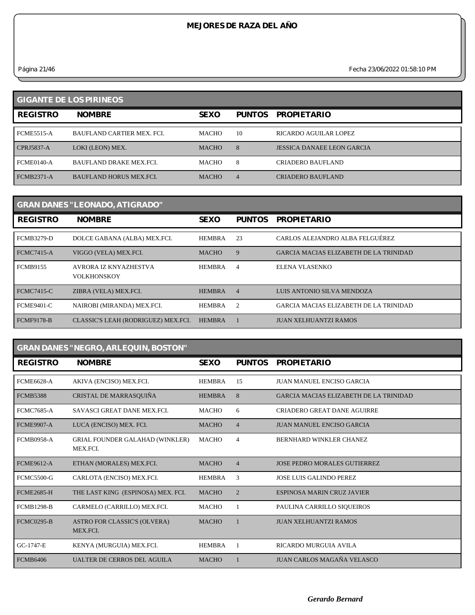*Página 21/46 Fecha 23/06/2022 01:58:10 PM*

| <b>GIGANTE DE LOS PIRINEOS</b> |                                  |              |                |                            |  |  |
|--------------------------------|----------------------------------|--------------|----------------|----------------------------|--|--|
| <b>REGISTRO</b>                | <b>NOMBRE</b>                    | <b>SEXO</b>  | <b>PUNTOS</b>  | <b>PROPIETARIO</b>         |  |  |
| <b>FCME5515-A</b>              | <b>BAUFLAND CARTIER MEX. FCL</b> | <b>MACHO</b> | 10             | RICARDO AGUILAR LOPEZ      |  |  |
| $CPRJ5837-A$                   | LOKI (LEON) MEX.                 | <b>MACHO</b> | 8              | JESSICA DANAEE LEON GARCIA |  |  |
| <b>FCME0140-A</b>              | <b>BAUFLAND DRAKE MEX FCL</b>    | <b>MACHO</b> | 8              | <b>CRIADERO BAUFLAND</b>   |  |  |
| <b>FCMB2371-A</b>              | <b>BAUFLAND HORUS MEX FCL</b>    | <b>MACHO</b> | $\overline{4}$ | <b>CRIADERO BAUFLAND</b>   |  |  |

| <b>GRAN DANES "LEONADO, ATIGRADO"</b> |                                             |               |                |                                               |  |  |
|---------------------------------------|---------------------------------------------|---------------|----------------|-----------------------------------------------|--|--|
| <b>REGISTRO</b>                       | <b>NOMBRE</b>                               | <b>SEXO</b>   | <b>PUNTOS</b>  | <b>PROPIETARIO</b>                            |  |  |
| <b>FCMB3279-D</b>                     | DOLCE GABANA (ALBA) MEX.FCI.                | <b>HEMBRA</b> | 23             | CARLOS ALEJANDRO ALBA FELGUÉREZ               |  |  |
| <b>FCMC7415-A</b>                     | VIGGO (VELA) MEX.FCI.                       | <b>MACHO</b>  | 9              | <b>GARCIA MACIAS ELIZABETH DE LA TRINIDAD</b> |  |  |
| <b>FCMB9155</b>                       | AVRORA IZ KNYAZHESTVA<br><b>VOLKHONSKOY</b> | <b>HEMBRA</b> | 4              | ELENA VLASENKO                                |  |  |
| <b>FCMC7415-C</b>                     | ZIBRA (VELA) MEX.FCI.                       | <b>HEMBRA</b> | $\overline{4}$ | LUIS ANTONIO SILVA MENDOZA                    |  |  |
| <b>FCME9401-C</b>                     | NAIROBI (MIRANDA) MEX.FCI.                  | <b>HEMBRA</b> | $\overline{2}$ | GARCIA MACIAS ELIZABETH DE LA TRINIDAD        |  |  |
| <b>FCMF9178-B</b>                     | CLASSIC'S LEAH (RODRIGUEZ) MEX.FCI.         | <b>HEMBRA</b> |                | <b>JUAN XELHUANTZI RAMOS</b>                  |  |  |

| <b>GRAN DANES "NEGRO, ARLEQUIN, BOSTON"</b> |                                                    |               |                |                                               |  |  |
|---------------------------------------------|----------------------------------------------------|---------------|----------------|-----------------------------------------------|--|--|
| <b>REGISTRO</b>                             | <b>NOMBRE</b>                                      | <b>SEXO</b>   | <b>PUNTOS</b>  | <b>PROPIETARIO</b>                            |  |  |
| <b>FCME6628-A</b>                           | AKIVA (ENCISO) MEX.FCI.                            | <b>HEMBRA</b> | 15             | JUAN MANUEL ENCISO GARCIA                     |  |  |
| <b>FCMB5388</b>                             | CRISTAL DE MARRASQUIÑA                             | <b>HEMBRA</b> | 8              | <b>GARCIA MACIAS ELIZABETH DE LA TRINIDAD</b> |  |  |
| <b>FCMC7685-A</b>                           | <b>SAVASCI GREAT DANE MEX.FCI.</b>                 | <b>MACHO</b>  | 6              | <b>CRIADERO GREAT DANE AGUIRRE</b>            |  |  |
| <b>FCME9907-A</b>                           | LUCA (ENCISO) MEX. FCI.                            | <b>MACHO</b>  | $\overline{4}$ | <b>JUAN MANUEL ENCISO GARCIA</b>              |  |  |
| <b>FCMB0958-A</b>                           | <b>GRIAL FOUNDER GALAHAD (WINKLER)</b><br>MEX.FCI. | <b>MACHO</b>  | $\overline{4}$ | BERNHARD WINKLER CHANEZ                       |  |  |
| <b>FCME9612-A</b>                           | ETHAN (MORALES) MEX.FCI.                           | <b>MACHO</b>  | $\overline{4}$ | <b>JOSE PEDRO MORALES GUTIERREZ</b>           |  |  |
| <b>FCMC5500-G</b>                           | CARLOTA (ENCISO) MEX.FCI.                          | <b>HEMBRA</b> | 3              | <b>JOSE LUIS GALINDO PEREZ</b>                |  |  |
| <b>FCME2685-H</b>                           | THE LAST KING (ESPINOSA) MEX. FCI.                 | <b>MACHO</b>  | 2              | <b>ESPINOSA MARIN CRUZ JAVIER</b>             |  |  |
| <b>FCMB1298-B</b>                           | CARMELO (CARRILLO) MEX.FCI.                        | <b>MACHO</b>  |                | PAULINA CARRILLO SIQUEIROS                    |  |  |
| <b>FCMC0295-B</b>                           | <b>ASTRO FOR CLASSIC'S (OLVERA)</b><br>MEX.FCI.    | <b>MACHO</b>  |                | <b>JUAN XELHUANTZI RAMOS</b>                  |  |  |
| GC-1747-E                                   | KENYA (MURGUIA) MEX.FCI.                           | <b>HEMBRA</b> | $\overline{1}$ | RICARDO MURGUIA AVILA                         |  |  |
| <b>FCMB6406</b>                             | <b>UALTER DE CERROS DEL AGUILA</b>                 | <b>MACHO</b>  |                | JUAN CARLOS MAGAÑA VELASCO                    |  |  |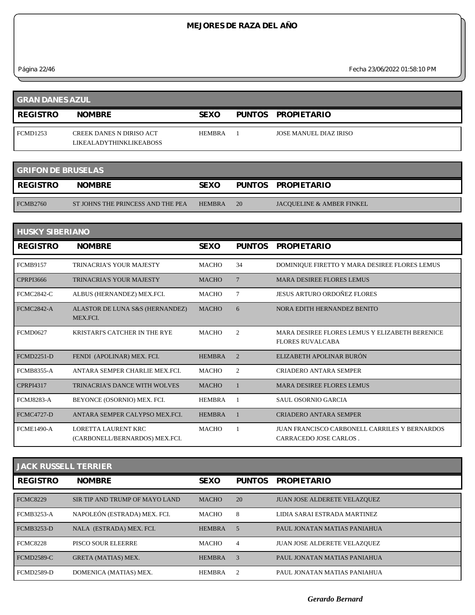*Página 22/46 Fecha 23/06/2022 01:58:10 PM*

| <b>GRAN DANES AZUL</b> |                                                                   |               |  |                        |  |
|------------------------|-------------------------------------------------------------------|---------------|--|------------------------|--|
| <b>REGISTRO</b>        | <b>NOMBRE</b>                                                     | <b>SEXO</b>   |  | PUNTOS PROPIETARIO     |  |
| <b>FCMD1253</b>        | <b>CREEK DANES N DIRISO ACT</b><br><b>LIKEALADYTHINKLIKEABOSS</b> | <b>HEMBRA</b> |  | JOSE MANUEL DIAZ IRISO |  |
|                        |                                                                   |               |  |                        |  |

| <b>GRIFON DE BRUSELAS</b> |                                   |               |    |                                      |  |  |
|---------------------------|-----------------------------------|---------------|----|--------------------------------------|--|--|
| REGISTRO                  | <b>NOMBRE</b>                     | <b>SEXO</b>   |    | PUNTOS PROPIETARIO                   |  |  |
| <b>FCMB2760</b>           | ST JOHNS THE PRINCESS AND THE PEA | <b>HEMBRA</b> | 20 | <b>JACOUELINE &amp; AMBER FINKEL</b> |  |  |

| <b>HUSKY SIBERIANO</b> |                                                       |               |                |                                                                                |  |  |  |  |
|------------------------|-------------------------------------------------------|---------------|----------------|--------------------------------------------------------------------------------|--|--|--|--|
| <b>REGISTRO</b>        | <b>NOMBRE</b>                                         | <b>SEXO</b>   | <b>PUNTOS</b>  | <b>PROPIETARIO</b>                                                             |  |  |  |  |
| <b>FCMB9157</b>        | <b>TRINACRIA'S YOUR MAJESTY</b>                       | <b>MACHO</b>  | 34             | DOMINIQUE FIRETTO Y MARA DESIREE FLORES LEMUS                                  |  |  |  |  |
| <b>CPRPI3666</b>       | <b>TRINACRIA'S YOUR MAJESTY</b>                       | <b>MACHO</b>  | $\overline{7}$ | <b>MARA DESIREE FLORES LEMUS</b>                                               |  |  |  |  |
| <b>FCMC2842-C</b>      | ALBUS (HERNANDEZ) MEX.FCI.                            | <b>MACHO</b>  | 7              | <b>JESUS ARTURO ORDOÑEZ FLORES</b>                                             |  |  |  |  |
| <b>FCMC2842-A</b>      | ALASTOR DE LUNA S&S (HERNANDEZ)<br>MEX.FCI.           | <b>MACHO</b>  | 6              | NORA EDITH HERNANDEZ BENITO                                                    |  |  |  |  |
| <b>FCMD0627</b>        | <b>KRISTARI'S CATCHER IN THE RYE</b>                  | <b>MACHO</b>  | 2              | MARA DESIREE FLORES LEMUS Y ELIZABETH BERENICE<br><b>FLORES RUVALCABA</b>      |  |  |  |  |
| <b>FCMD2251-D</b>      | FENDI (APOLINAR) MEX. FCI.                            | <b>HEMBRA</b> | $\overline{2}$ | ELIZABETH APOLINAR BURÓN                                                       |  |  |  |  |
| <b>FCMB8355-A</b>      | ANTARA SEMPER CHARLIE MEX.FCI.                        | <b>MACHO</b>  | 2              | <b>CRIADERO ANTARA SEMPER</b>                                                  |  |  |  |  |
| <b>CPRPI4317</b>       | <b>TRINACRIA'S DANCE WITH WOLVES</b>                  | <b>MACHO</b>  |                | <b>MARA DESIREE FLORES LEMUS</b>                                               |  |  |  |  |
| <b>FCMJ8283-A</b>      | BEYONCE (OSORNIO) MEX. FCI.                           | <b>HEMBRA</b> |                | SAUL OSORNIO GARCIA                                                            |  |  |  |  |
| <b>FCMC4727-D</b>      | ANTARA SEMPER CALYPSO MEX.FCI.                        | <b>HEMBRA</b> |                | <b>CRIADERO ANTARA SEMPER</b>                                                  |  |  |  |  |
| <b>FCME1490-A</b>      | LORETTA LAURENT KRC<br>(CARBONELL/BERNARDOS) MEX.FCI. | <b>MACHO</b>  |                | JUAN FRANCISCO CARBONELL CARRILES Y BERNARDOS<br><b>CARRACEDO JOSE CARLOS.</b> |  |  |  |  |

| <b>JACK RUSSELL TERRIER</b> |                                |               |               |                                     |  |  |  |
|-----------------------------|--------------------------------|---------------|---------------|-------------------------------------|--|--|--|
| <b>REGISTRO</b>             | <b>NOMBRE</b>                  | <b>SEXO</b>   | <b>PUNTOS</b> | <b>PROPIETARIO</b>                  |  |  |  |
| <b>FCMC8229</b>             | SIR TIP AND TRUMP OF MAYO LAND | <b>MACHO</b>  | 20            | <b>JUAN JOSE ALDERETE VELAZQUEZ</b> |  |  |  |
| <b>FCMB3253-A</b>           | NAPOLEÓN (ESTRADA) MEX. FCI.   | <b>MACHO</b>  | 8             | LIDIA SARAI ESTRADA MARTINEZ        |  |  |  |
| <b>FCMB3253-D</b>           | NALA (ESTRADA) MEX. FCI.       | <b>HEMBRA</b> | 5             | PAUL JONATAN MATIAS PANIAHUA        |  |  |  |
| <b>FCMC8228</b>             | PISCO SOUR ELEERRE             | <b>MACHO</b>  | 4             | JUAN JOSE ALDERETE VELAZOUEZ        |  |  |  |
| <b>FCMD2589-C</b>           | <b>GRETA (MATIAS) MEX.</b>     | <b>HEMBRA</b> | 3             | PAUL JONATAN MATIAS PANIAHUA        |  |  |  |
| <b>FCMD2589-D</b>           | DOMENICA (MATIAS) MEX.         | <b>HEMBRA</b> | 2             | PAUL JONATAN MATIAS PANJAHUA        |  |  |  |

*Gerardo Bernard*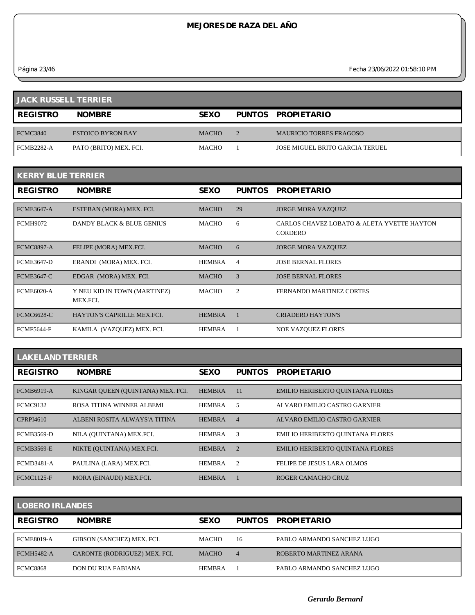*Página 23/46 Fecha 23/06/2022 01:58:10 PM*

| <b>JACK RUSSELL TERRIER</b> |                          |              |  |                                 |  |  |
|-----------------------------|--------------------------|--------------|--|---------------------------------|--|--|
| <b>REGISTRO</b>             | <b>NOMBRE</b>            | <b>SEXO</b>  |  | PUNTOS PROPIETARIO              |  |  |
| <b>FCMC3840</b>             | <b>ESTOICO BYRON BAY</b> | <b>MACHO</b> |  | <b>MAURICIO TORRES FRAGOSO</b>  |  |  |
| <b>FCMB2282-A</b>           | PATO (BRITO) MEX. FCI.   | <b>MACHO</b> |  | JOSE MIGUEL BRITO GARCIA TERUEL |  |  |

| <b>KERRY BLUE TERRIER</b> |                                          |               |                |                                                              |  |  |  |
|---------------------------|------------------------------------------|---------------|----------------|--------------------------------------------------------------|--|--|--|
| <b>REGISTRO</b>           | <b>NOMBRE</b>                            | <b>SEXO</b>   | <b>PUNTOS</b>  | <b>PROPIETARIO</b>                                           |  |  |  |
| <b>FCME3647-A</b>         | ESTEBAN (MORA) MEX. FCI.                 | <b>MACHO</b>  | 29             | <b>JORGE MORA VAZQUEZ</b>                                    |  |  |  |
| <b>FCMH9072</b>           | DANDY BLACK & BLUE GENIUS                | MACHO         | 6              | CARLOS CHAVEZ LOBATO & ALETA YVETTE HAYTON<br><b>CORDERO</b> |  |  |  |
| <b>FCMC8897-A</b>         | FELIPE (MORA) MEX.FCI.                   | <b>MACHO</b>  | 6              | <b>JORGE MORA VAZQUEZ</b>                                    |  |  |  |
| <b>FCME3647-D</b>         | ERANDI (MORA) MEX. FCI.                  | <b>HEMBRA</b> | $\overline{4}$ | <b>JOSE BERNAL FLORES</b>                                    |  |  |  |
| <b>FCME3647-C</b>         | EDGAR (MORA) MEX. FCI.                   | <b>MACHO</b>  | 3              | <b>JOSE BERNAL FLORES</b>                                    |  |  |  |
| <b>FCME6020-A</b>         | Y NEU KID IN TOWN (MARTINEZ)<br>MEX.FCI. | <b>MACHO</b>  | 2              | FERNANDO MARTINEZ CORTES                                     |  |  |  |
| <b>FCMC6628-C</b>         | HAYTON'S CAPRILLE MEX.FCI.               | <b>HEMBRA</b> |                | <b>CRIADERO HAYTON'S</b>                                     |  |  |  |
| <b>FCMF5644-F</b>         | KAMILA (VAZQUEZ) MEX. FCI.               | <b>HEMBRA</b> |                | <b>NOE VAZQUEZ FLORES</b>                                    |  |  |  |

| <b>LAKELAND TERRIER</b> |                                   |               |                |                                         |  |  |  |
|-------------------------|-----------------------------------|---------------|----------------|-----------------------------------------|--|--|--|
| <b>REGISTRO</b>         | <b>NOMBRE</b>                     | <b>SEXO</b>   | <b>PUNTOS</b>  | <b>PROPIETARIO</b>                      |  |  |  |
| <b>FCMB6919-A</b>       | KINGAR QUEEN (QUINTANA) MEX. FCI. | <b>HEMBRA</b> | -11            | <b>EMILIO HERIBERTO QUINTANA FLORES</b> |  |  |  |
| <b>FCMC9132</b>         | ROSA TITINA WINNER ALBEMI         | <b>HEMBRA</b> | .5             | ALVARO EMILIO CASTRO GARNIER            |  |  |  |
| <b>CPRPI4610</b>        | ALBENI ROSITA ALWAYS'A TITINA     | <b>HEMBRA</b> | $\overline{4}$ | ALVARO EMILIO CASTRO GARNIER            |  |  |  |
| <b>FCMB3569-D</b>       | NILA (OUINTANA) MEX.FCI.          | <b>HEMBRA</b> | 3              | <b>EMILIO HERIBERTO QUINTANA FLORES</b> |  |  |  |
| <b>FCMB3569-E</b>       | NIKTE (OUINTANA) MEX.FCI.         | <b>HEMBRA</b> | $\overline{2}$ | <b>EMILIO HERIBERTO QUINTANA FLORES</b> |  |  |  |
| <b>FCMD3481-A</b>       | PAULINA (LARA) MEX.FCI.           | <b>HEMBRA</b> | $\overline{2}$ | FELIPE DE JESUS LARA OLMOS              |  |  |  |
| <b>FCMC1125-F</b>       | MORA (EINAUDI) MEX.FCI.           | <b>HEMBRA</b> |                | ROGER CAMACHO CRUZ                      |  |  |  |

| <b>LOBERO IRLANDES</b> |                               |               |                |                            |  |  |  |
|------------------------|-------------------------------|---------------|----------------|----------------------------|--|--|--|
| <b>REGISTRO</b>        | <b>NOMBRE</b>                 | <b>SEXO</b>   | <b>PUNTOS</b>  | <b>PROPIETARIO</b>         |  |  |  |
| <b>FCME8019-A</b>      | GIBSON (SANCHEZ) MEX. FCI.    | <b>MACHO</b>  | 16             | PABLO ARMANDO SANCHEZ LUGO |  |  |  |
| <b>FCMH5482-A</b>      | CARONTE (RODRIGUEZ) MEX. FCI. | <b>MACHO</b>  | $\overline{4}$ | ROBERTO MARTINEZ ARANA     |  |  |  |
| <b>FCMC8868</b>        | DON DU RUA FABIANA            | <b>HEMBRA</b> |                | PABLO ARMANDO SANCHEZ LUGO |  |  |  |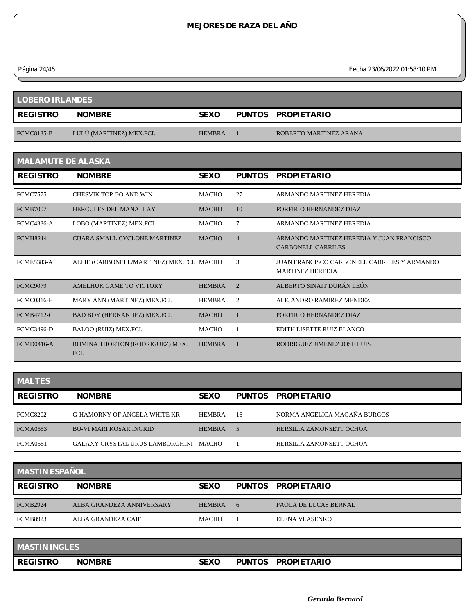*Página 24/46 Fecha 23/06/2022 01:58:10 PM*

| <b>LOBERO IRLANDES</b> |                          |               |  |                        |  |  |
|------------------------|--------------------------|---------------|--|------------------------|--|--|
| <b>REGISTRO</b>        | <b>NOMBRE</b>            | <b>SEXO</b>   |  | PUNTOS PROPIETARIO     |  |  |
| <b>FCMC8135-B</b>      | LULU (MARTINEZ) MEX.FCI. | <b>HEMBRA</b> |  | ROBERTO MARTINEZ ARANA |  |  |

| <b>MALAMUTE DE ALASKA</b> |                                           |               |                |                                                                        |  |  |  |
|---------------------------|-------------------------------------------|---------------|----------------|------------------------------------------------------------------------|--|--|--|
| <b>REGISTRO</b>           | <b>NOMBRE</b>                             | <b>SEXO</b>   | <b>PUNTOS</b>  | <b>PROPIETARIO</b>                                                     |  |  |  |
| <b>FCMC7575</b>           | CHESVIK TOP GO AND WIN                    | <b>MACHO</b>  | 27             | ARMANDO MARTINEZ HEREDIA                                               |  |  |  |
| <b>FCMB7007</b>           | <b>HERCULES DEL MANALLAY</b>              | <b>MACHO</b>  | 10             | PORFIRIO HERNANDEZ DIAZ                                                |  |  |  |
| <b>FCMC4336-A</b>         | LOBO (MARTINEZ) MEX.FCI.                  | <b>MACHO</b>  | 7              | ARMANDO MARTINEZ HEREDIA                                               |  |  |  |
| <b>FCMH8214</b>           | CLIARA SMALL CYCLONE MARTINEZ             | <b>MACHO</b>  | $\overline{4}$ | ARMANDO MARTINEZ HEREDIA Y JUAN FRANCISCO<br>CARBONELL CARRILES        |  |  |  |
| <b>FCME5383-A</b>         | ALFIE (CARBONELL/MARTINEZ) MEX.FCI. MACHO |               | 3              | JUAN FRANCISCO CARBONELL CARRILES Y ARMANDO<br><b>MARTINEZ HEREDIA</b> |  |  |  |
| <b>FCMC9079</b>           | AMELHUK GAME TO VICTORY                   | <b>HEMBRA</b> | $\mathcal{D}$  | ALBERTO SINAIT DURÁN LEÓN                                              |  |  |  |
| <b>FCMC0316-H</b>         | MARY ANN (MARTINEZ) MEX.FCI.              | <b>HEMBRA</b> | $\overline{2}$ | ALEJANDRO RAMIREZ MENDEZ                                               |  |  |  |
| <b>FCMB4712-C</b>         | BAD BOY (HERNANDEZ) MEX.FCI.              | <b>MACHO</b>  | $\overline{1}$ | PORFIRIO HERNANDEZ DIAZ                                                |  |  |  |
| <b>FCMC3496-D</b>         | BALOO (RUIZ) MEX.FCI.                     | <b>MACHO</b>  |                | EDITH LISETTE RUIZ BLANCO                                              |  |  |  |
| <b>FCMD0416-A</b>         | ROMINA THORTON (RODRIGUEZ) MEX.<br>FCI.   | <b>HEMBRA</b> |                | RODRIGUEZ JIMENEZ JOSE LUIS                                            |  |  |  |

| <b>MALTES</b> |  |  |  |  |
|---------------|--|--|--|--|
|               |  |  |  |  |
|               |  |  |  |  |

| <b>MALTES</b>   |                                       |               |    |                              |  |  |  |
|-----------------|---------------------------------------|---------------|----|------------------------------|--|--|--|
| <b>REGISTRO</b> | <b>NOMBRE</b>                         | <b>SEXO</b>   |    | PUNTOS PROPIETARIO           |  |  |  |
| <b>FCMC8202</b> | G-HAMORNY OF ANGELA WHITE KR          | <b>HEMBRA</b> | 16 | NORMA ANGELICA MAGAÑA BURGOS |  |  |  |
| <b>FCMA0553</b> | <b>BO-VI MARI KOSAR INGRID</b>        | <b>HEMBRA</b> |    | HERSILIA ZAMONSETT OCHOA     |  |  |  |
| <b>FCMA0551</b> | GALAXY CRYSTAL URUS LAMBORGHINI MACHO |               |    | HERSILIA ZAMONSETT OCHOA     |  |  |  |

| <b>MASTIN ESPAÑOL</b> |                           |               |   |                       |  |  |
|-----------------------|---------------------------|---------------|---|-----------------------|--|--|
| <b>REGISTRO</b>       | <b>NOMBRE</b>             | <b>SEXO</b>   |   | PUNTOS PROPIETARIO    |  |  |
| <b>FCMB2924</b>       | ALBA GRANDEZA ANNIVERSARY | <b>HEMBRA</b> | 6 | PAOLA DE LUCAS BERNAL |  |  |
| <b>FCMB8923</b>       | ALBA GRANDEZA CAIF        | <b>MACHO</b>  |   | ELENA VLASENKO        |  |  |

| <b>MASTIN INGLES</b> |               |             |               |                    |
|----------------------|---------------|-------------|---------------|--------------------|
| <b>REGISTRO</b>      | <b>NOMBRE</b> | <b>SEXO</b> | <b>PUNTOS</b> | <b>PROPIETARIO</b> |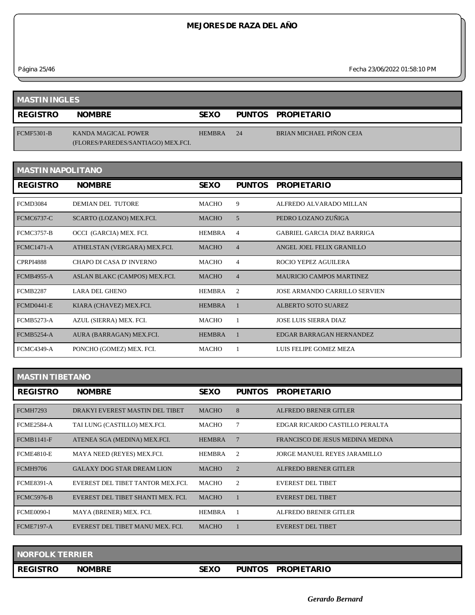*Página 25/46 Fecha 23/06/2022 01:58:10 PM*

| <b>MASTIN INGLES</b> |                                                           |               |    |                                 |  |  |
|----------------------|-----------------------------------------------------------|---------------|----|---------------------------------|--|--|
| <b>REGISTRO</b>      | <b>NOMBRE</b>                                             | <b>SEXO</b>   |    | PUNTOS PROPIETARIO              |  |  |
| <b>FCMF5301-B</b>    | KANDA MAGICAL POWER<br>(FLORES/PAREDES/SANTIAGO) MEX.FCI. | <b>HEMBRA</b> | 24 | <b>BRIAN MICHAEL PIÑON CEJA</b> |  |  |

| <b>MASTIN NAPOLITANO</b> |                               |               |                |                                    |  |  |  |
|--------------------------|-------------------------------|---------------|----------------|------------------------------------|--|--|--|
| <b>REGISTRO</b>          | <b>NOMBRE</b>                 | <b>SEXO</b>   | <b>PUNTOS</b>  | <b>PROPIETARIO</b>                 |  |  |  |
| <b>FCMD3084</b>          | <b>DEMIAN DEL TUTORE</b>      | <b>MACHO</b>  | 9              | ALFREDO ALVARADO MILLAN            |  |  |  |
| <b>FCMC6737-C</b>        | SCARTO (LOZANO) MEX.FCI.      | <b>MACHO</b>  | 5              | PEDRO LOZANO ZUÑIGA                |  |  |  |
| <b>FCMC3757-B</b>        | OCCI (GARCIA) MEX. FCI.       | <b>HEMBRA</b> | $\overline{4}$ | <b>GABRIEL GARCIA DIAZ BARRIGA</b> |  |  |  |
| <b>FCMC1471-A</b>        | ATHELSTAN (VERGARA) MEX.FCI.  | <b>MACHO</b>  | $\overline{4}$ | ANGEL JOEL FELIX GRANILLO          |  |  |  |
| <b>CPRPI4888</b>         | CHAPO DI CASA D'INVERNO       | <b>MACHO</b>  | $\overline{4}$ | ROCIO YEPEZ AGUILERA               |  |  |  |
| <b>FCMB4955-A</b>        | ASLAN BLAKC (CAMPOS) MEX.FCI. | <b>MACHO</b>  | $\overline{4}$ | <b>MAURICIO CAMPOS MARTINEZ</b>    |  |  |  |
| <b>FCMB2287</b>          | <b>LARA DEL GHENO</b>         | <b>HEMBRA</b> | 2              | JOSE ARMANDO CARRILLO SERVIEN      |  |  |  |
| <b>FCMD0441-E</b>        | KIARA (CHAVEZ) MEX.FCI.       | <b>HEMBRA</b> |                | <b>ALBERTO SOTO SUAREZ</b>         |  |  |  |
| <b>FCMB5273-A</b>        | AZUL (SIERRA) MEX. FCI.       | <b>MACHO</b>  |                | <b>JOSE LUIS SIERRA DIAZ</b>       |  |  |  |
| <b>FCMB5254-A</b>        | AURA (BARRAGAN) MEX.FCI.      | <b>HEMBRA</b> |                | EDGAR BARRAGAN HERNANDEZ           |  |  |  |
| <b>FCMC4349-A</b>        | PONCHO (GOMEZ) MEX. FCI.      | <b>MACHO</b>  |                | LUIS FELIPE GOMEZ MEZA             |  |  |  |

| <b>MASTIN TIBETANO</b> |  |  |  |
|------------------------|--|--|--|
|------------------------|--|--|--|

**Contract Contract Contract** 

| <b>REGISTRO</b>   | <b>NOMBRE</b>                      | <b>SEXO</b>   | <b>PUNTOS</b>  | <b>PROPIETARIO</b>               |
|-------------------|------------------------------------|---------------|----------------|----------------------------------|
| <b>FCMH7293</b>   | DRAKYI EVEREST MASTIN DEL TIBET    | <b>MACHO</b>  | 8              | ALFREDO BRENER GITLER            |
| <b>FCME2584-A</b> | TAI LUNG (CASTILLO) MEX.FCI.       | <b>MACHO</b>  |                | EDGAR RICARDO CASTILLO PERALTA   |
| <b>FCMB1141-F</b> | ATENEA SGA (MEDINA) MEX.FCI.       | <b>HEMBRA</b> |                | FRANCISCO DE JESUS MEDINA MEDINA |
| <b>FCME4810-E</b> | MAYA NEED (REYES) MEX.FCI.         | HEMBRA        | 2              | JORGE MANUEL REYES JARAMILLO     |
| <b>FCMH9706</b>   | <b>GALAXY DOG STAR DREAM LION</b>  | <b>MACHO</b>  | $\overline{2}$ | <b>ALFREDO BRENER GITLER</b>     |
| <b>FCME8391-A</b> | EVEREST DEL TIBET TANTOR MEX.FCI.  | <b>MACHO</b>  | 2              | EVEREST DEL TIBET                |
| <b>FCMC5976-B</b> | EVEREST DEL TIBET SHANTI MEX. FCI. | <b>MACHO</b>  |                | EVEREST DEL TIBET                |
| <b>FCME0090-I</b> | MAYA (BRENER) MEX. FCI.            | <b>HEMBRA</b> |                | ALFREDO BRENER GITLER            |
| <b>FCME7197-A</b> | EVEREST DEL TIBET MANU MEX. FCI.   | <b>MACHO</b>  |                | <b>EVEREST DEL TIBET</b>         |

| NORFOLK TERRIER |               |             |                                     |  |
|-----------------|---------------|-------------|-------------------------------------|--|
| <b>REGISTRO</b> | <b>NOMBRE</b> | <b>SEXO</b> | <b>PUNTOS</b><br><b>PROPIETARIO</b> |  |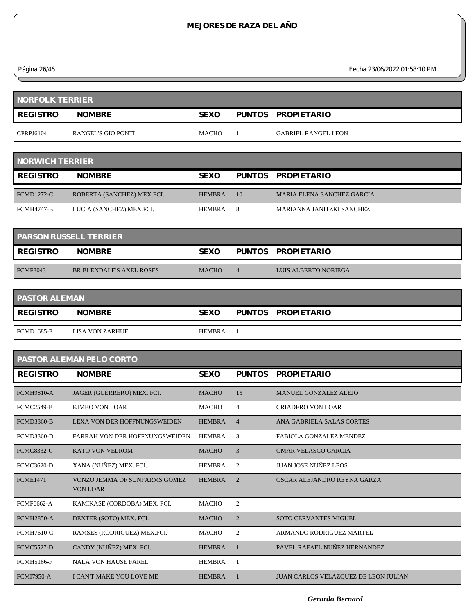*Página 26/46 Fecha 23/06/2022 01:58:10 PM*

| <b>NORFOLK TERRIER</b> |                    |              |  |                            |  |  |
|------------------------|--------------------|--------------|--|----------------------------|--|--|
| <b>REGISTRO</b>        | <b>NOMBRE</b>      | <b>SEXO</b>  |  | PUNTOS PROPIETARIO         |  |  |
| CPRPJ6104              | RANGEL'S GIO PONTI | <b>MACHO</b> |  | <b>GABRIEL RANGEL LEON</b> |  |  |

| <b>NORWICH TERRIER</b> |                            |               |    |                                   |  |  |
|------------------------|----------------------------|---------------|----|-----------------------------------|--|--|
| <b>REGISTRO</b>        | <b>NOMBRE</b>              | <b>SEXO</b>   |    | PUNTOS PROPIETARIO                |  |  |
| <b>FCMD1272-C</b>      | ROBERTA (SANCHEZ) MEX.FCI. | <b>HEMBRA</b> | 10 | <b>MARIA ELENA SANCHEZ GARCIA</b> |  |  |
| FCMH4747-B             | LUCIA (SANCHEZ) MEX.FCI.   | <b>HEMBRA</b> | 8  | MARIANNA JANITZKI SANCHEZ         |  |  |

| <b>PARSON RUSSELL TERRIER</b> |                          |              |  |                      |  |  |
|-------------------------------|--------------------------|--------------|--|----------------------|--|--|
| <b>REGISTRO</b>               | <b>NOMBRE</b>            | <b>SEXO</b>  |  | PUNTOS PROPIETARIO   |  |  |
| <b>FCMF8043</b>               | BR BLENDALE'S AXEL ROSES | <b>MACHO</b> |  | LUIS ALBERTO NORIEGA |  |  |

| <b>PASTOR ALEMAN</b> |                 |               |  |                    |  |
|----------------------|-----------------|---------------|--|--------------------|--|
| <b>REGISTRO</b>      | <b>NOMBRE</b>   | <b>SEXO</b>   |  | PUNTOS PROPIETARIO |  |
| <b>FCMD1685-E</b>    | LISA VON ZARHUE | <b>HEMBRA</b> |  |                    |  |

| <b>PASTOR ALEMAN PELO CORTO</b> |                                                  |               |                       |                                             |  |  |
|---------------------------------|--------------------------------------------------|---------------|-----------------------|---------------------------------------------|--|--|
| <b>REGISTRO</b>                 | <b>NOMBRE</b>                                    | <b>SEXO</b>   | <b>PUNTOS</b>         | <b>PROPIETARIO</b>                          |  |  |
| <b>FCMH9810-A</b>               | JAGER (GUERRERO) MEX. FCI.                       | <b>MACHO</b>  | 15                    | <b>MANUEL GONZALEZ ALEJO</b>                |  |  |
| <b>FCMC2549-B</b>               | <b>KIMBO VON LOAR</b>                            | <b>MACHO</b>  | 4                     | <b>CRIADERO VON LOAR</b>                    |  |  |
| <b>FCMD3360-B</b>               | LEXA VON DER HOFFNUNGSWEIDEN                     | <b>HEMBRA</b> | $\overline{4}$        | ANA GABRIELA SALAS CORTES                   |  |  |
| <b>FCMD3360-D</b>               | <b>FARRAH VON DER HOFFNUNGSWEIDEN</b>            | <b>HEMBRA</b> | 3                     | <b>FABIOLA GONZALEZ MENDEZ</b>              |  |  |
| <b>FCMC8332-C</b>               | <b>KATO VON VELROM</b>                           | <b>MACHO</b>  | 3                     | OMAR VELASCO GARCIA                         |  |  |
| <b>FCMC3620-D</b>               | XANA (NUÑEZ) MEX. FCI.                           | <b>HEMBRA</b> | $\overline{2}$        | <b>JUAN JOSE NUÑEZ LEOS</b>                 |  |  |
| <b>FCME1471</b>                 | VONZO JEMMA OF SUNFARMS GOMEZ<br><b>VON LOAR</b> | <b>HEMBRA</b> | $\mathcal{D}_{\cdot}$ | OSCAR ALEJANDRO REYNA GARZA                 |  |  |
| <b>FCMF6662-A</b>               | KAMIKASE (CORDOBA) MEX. FCI.                     | <b>MACHO</b>  | $\mathfrak{2}$        |                                             |  |  |
| <b>FCMH2850-A</b>               | DEXTER (SOTO) MEX. FCI.                          | <b>MACHO</b>  | $\overline{2}$        | <b>SOTO CERVANTES MIGUEL</b>                |  |  |
| <b>FCMH7610-C</b>               | RAMSES (RODRIGUEZ) MEX.FCI.                      | <b>MACHO</b>  | $\overline{2}$        | ARMANDO RODRIGUEZ MARTEL                    |  |  |
| <b>FCMC5527-D</b>               | CANDY (NUÑEZ) MEX. FCI.                          | <b>HEMBRA</b> |                       | PAVEL RAFAEL NUÑEZ HERNANDEZ                |  |  |
| <b>FCMH5166-F</b>               | <b>NALA VON HAUSE FAREL</b>                      | <b>HEMBRA</b> | -1                    |                                             |  |  |
| <b>FCMI7950-A</b>               | <b>I CAN'T MAKE YOU LOVE ME</b>                  | <b>HEMBRA</b> |                       | <b>JUAN CARLOS VELAZQUEZ DE LEON JULIAN</b> |  |  |

*Gerardo Bernard*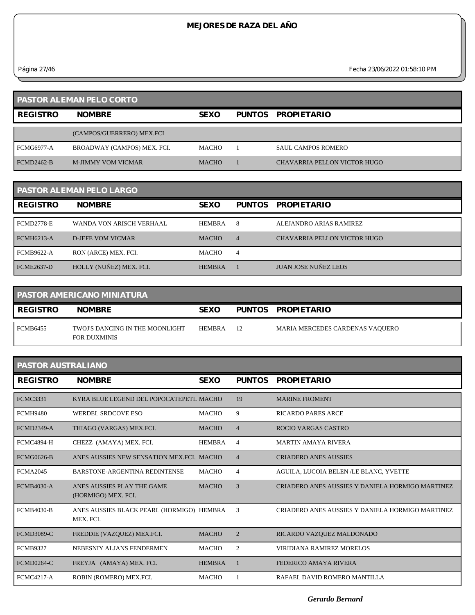*Página 27/46 Fecha 23/06/2022 01:58:10 PM*

|                   | <b>PASTOR ALEMAN PELO CORTO</b> |              |                              |
|-------------------|---------------------------------|--------------|------------------------------|
| <b>REGISTRO</b>   | <b>NOMBRE</b>                   | <b>SEXO</b>  | PUNTOS PROPIETARIO           |
|                   | (CAMPOS/GUERRERO) MEX.FCI       |              |                              |
| <b>FCMG6977-A</b> | BROADWAY (CAMPOS) MEX. FCI.     | <b>MACHO</b> | <b>SAUL CAMPOS ROMERO</b>    |
| FCMD2462-B        | <b>M-JIMMY VOM VICMAR</b>       | <b>MACHO</b> | CHAVARRIA PELLON VICTOR HUGO |

|                   | <b>PASTOR ALEMAN PELO LARGO</b> |               |                |                              |
|-------------------|---------------------------------|---------------|----------------|------------------------------|
| <b>REGISTRO</b>   | <b>NOMBRE</b>                   | <b>SEXO</b>   | PUNTOS         | <b>PROPIETARIO</b>           |
| FCMD2778-E        | WANDA VON ARISCH VERHAAL        | <b>HEMBRA</b> | 8              | ALEJANDRO ARIAS RAMIREZ      |
| <b>FCMH6213-A</b> | <b>D-JEFE VOM VICMAR</b>        | <b>MACHO</b>  | $\overline{4}$ | CHAVARRIA PELLON VICTOR HUGO |
| <b>FCMB9622-A</b> | RON (ARCE) MEX. FCI.            | <b>MACHO</b>  | 4              |                              |
| <b>FCME2637-D</b> | HOLLY (NUÑEZ) MEX. FCI.         | <b>HEMBRA</b> |                | <b>JUAN JOSE NUÑEZ LEOS</b>  |

|                 | <b>PASTOR AMERICANO MINIATURA</b>                      |               |    |                                 |
|-----------------|--------------------------------------------------------|---------------|----|---------------------------------|
| <b>REGISTRO</b> | <b>NOMBRE</b>                                          | <b>SEXO</b>   |    | PUNTOS PROPIETARIO              |
| FCMB6455        | TWOJ'S DANCING IN THE MOONLIGHT<br><b>FOR DUXMINIS</b> | <b>HEMBRA</b> | 12 | MARIA MERCEDES CARDENAS VAQUERO |

| PASTOR AUSTRALIANO |                                                        |               |                |                                                  |  |  |
|--------------------|--------------------------------------------------------|---------------|----------------|--------------------------------------------------|--|--|
| <b>REGISTRO</b>    | <b>NOMBRE</b>                                          | <b>SEXO</b>   | <b>PUNTOS</b>  | <b>PROPIETARIO</b>                               |  |  |
| <b>FCMC3331</b>    | KYRA BLUE LEGEND DEL POPOCATEPETL MACHO                |               | 19             | <b>MARINE FROMENT</b>                            |  |  |
| FCMH9480           | <b>WERDEL SRDCOVE ESO</b>                              | <b>MACHO</b>  | 9              | <b>RICARDO PARES ARCE</b>                        |  |  |
| <b>FCMD2349-A</b>  | THIAGO (VARGAS) MEX.FCI.                               | <b>MACHO</b>  | $\overline{4}$ | <b>ROCIO VARGAS CASTRO</b>                       |  |  |
| FCMC4894-H         | CHEZZ (AMAYA) MEX. FCI.                                | <b>HEMBRA</b> | 4              | <b>MARTIN AMAYA RIVERA</b>                       |  |  |
| <b>FCMG0626-B</b>  | ANES AUSSIES NEW SENSATION MEX. FCL. MACHO             |               | $\overline{4}$ | <b>CRIADERO ANES AUSSIES</b>                     |  |  |
| <b>FCMA2045</b>    | <b>BARSTONE-ARGENTINA REDINTENSE</b>                   | <b>MACHO</b>  | 4              | AGUILA, LUCOIA BELEN /LE BLANC, YVETTE           |  |  |
| <b>FCMB4030-A</b>  | ANES AUSSIES PLAY THE GAME<br>(HORMIGO) MEX. FCI.      | <b>MACHO</b>  | 3              | CRIADERO ANES AUSSIES Y DANIELA HORMIGO MARTINEZ |  |  |
| <b>FCMB4030-B</b>  | ANES AUSSIES BLACK PEARL (HORMIGO) HEMBRA<br>MEX. FCI. |               | 3              | CRIADERO ANES AUSSIES Y DANIELA HORMIGO MARTINEZ |  |  |
| <b>FCMD3089-C</b>  | FREDDIE (VAZQUEZ) MEX.FCI.                             | <b>MACHO</b>  | 2              | RICARDO VAZQUEZ MALDONADO                        |  |  |
| <b>FCMB9327</b>    | NEBESNIY ALJANS FENDERMEN                              | <b>MACHO</b>  | 2              | <b>VIRIDIANA RAMIREZ MORELOS</b>                 |  |  |
| <b>FCMD0264-C</b>  | FREYJA (AMAYA) MEX. FCI.                               | <b>HEMBRA</b> |                | <b>FEDERICO AMAYA RIVERA</b>                     |  |  |
| <b>FCMC4217-A</b>  | ROBIN (ROMERO) MEX.FCI.                                | <b>MACHO</b>  |                | RAFAEL DAVID ROMERO MANTILLA                     |  |  |

*Gerardo Bernard*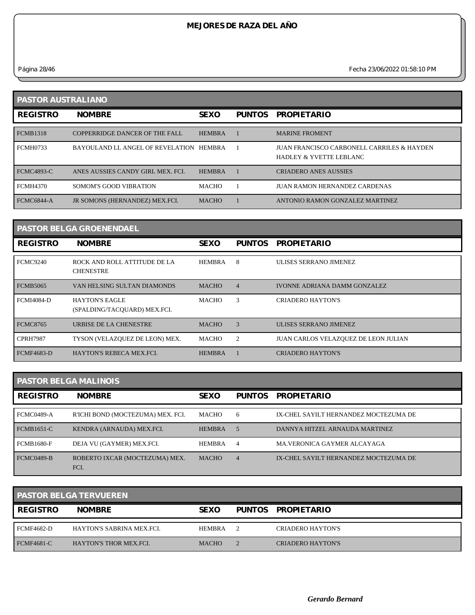*Página 28/46 Fecha 23/06/2022 01:58:10 PM*

| <b>PASTOR AUSTRALIANO</b> |                                         |               |               |                                                                                  |  |
|---------------------------|-----------------------------------------|---------------|---------------|----------------------------------------------------------------------------------|--|
| <b>REGISTRO</b>           | <b>NOMBRE</b>                           | <b>SEXO</b>   | <b>PUNTOS</b> | <b>PROPIETARIO</b>                                                               |  |
| <b>FCMB1318</b>           | COPPERRIDGE DANCER OF THE FALL          | <b>HEMBRA</b> |               | <b>MARINE FROMENT</b>                                                            |  |
| <b>FCMH0733</b>           | BAYOULAND LL ANGEL OF REVELATION HEMBRA |               |               | JUAN FRANCISCO CARBONELL CARRILES & HAYDEN<br><b>HADLEY &amp; YVETTE LEBLANC</b> |  |
| <b>FCMC4893-C</b>         | ANES AUSSIES CANDY GIRL MEX. FCI.       | <b>HEMBRA</b> |               | <b>CRIADERO ANES AUSSIES</b>                                                     |  |
| <b>FCMH4370</b>           | SOMOM'S GOOD VIBRATION                  | <b>MACHO</b>  |               | <b>JUAN RAMON HERNANDEZ CARDENAS</b>                                             |  |
| <b>FCMC6844-A</b>         | JR SOMONS (HERNANDEZ) MEX.FCI.          | <b>MACHO</b>  |               | ANTONIO RAMON GONZALEZ MARTINEZ                                                  |  |

|                   | <b>PASTOR BELGA GROENENDAEL</b>                       |               |                |                                      |
|-------------------|-------------------------------------------------------|---------------|----------------|--------------------------------------|
| <b>REGISTRO</b>   | <b>NOMBRE</b>                                         | <b>SEXO</b>   | <b>PUNTOS</b>  | <b>PROPIETARIO</b>                   |
| <b>FCMC9240</b>   | ROCK AND ROLL ATTITUDE DE LA<br><b>CHENESTRE</b>      | <b>HEMBRA</b> | 8              | ULISES SERRANO JIMENEZ               |
| <b>FCMB5065</b>   | VAN HELSING SULTAN DIAMONDS                           | <b>MACHO</b>  | $\overline{4}$ | <b>IVONNE ADRIANA DAMM GONZALEZ</b>  |
| <b>FCMI4084-D</b> | <b>HAYTON'S EAGLE</b><br>(SPALDING/TACOUARD) MEX.FCI. | <b>MACHO</b>  | 3              | <b>CRIADERO HAYTON'S</b>             |
| <b>FCMC8765</b>   | URBISE DE LA CHENESTRE                                | <b>MACHO</b>  | 3              | ULISES SERRANO JIMENEZ               |
| <b>CPRH7987</b>   | TYSON (VELAZQUEZ DE LEON) MEX.                        | MACHO         | 2              | JUAN CARLOS VELAZQUEZ DE LEON JULIAN |
| <b>FCMF4683-D</b> | <b>HAYTON'S REBECA MEX.FCI.</b>                       | <b>HEMBRA</b> |                | <b>CRIADERO HAYTON'S</b>             |

#### **PASTOR BELGA MALINOIS**

| <b>REGISTRO</b>   | <b>NOMBRE</b>                          | <b>SEXO</b>   | <b>PUNTOS</b>  | <b>PROPIETARIO</b>                    |
|-------------------|----------------------------------------|---------------|----------------|---------------------------------------|
| FCMC0489-A        | R'ICHI BOND (MOCTEZUMA) MEX. FCI.      | МАСНО         | 6              | IX-CHEL SAYILT HERNANDEZ MOCTEZUMA DE |
| <b>FCMB1651-C</b> | KENDRA (ARNAUDA) MEX.FCI.              | <b>HEMBRA</b> | .5             | DANNYA HITZEL ARNAUDA MARTINEZ        |
| <b>FCMB1680-F</b> | DEJA VU (GAYMER) MEX.FCI.              | <b>HEMBRA</b> | $\overline{4}$ | MA.VERONICA GAYMER ALCAYAGA           |
| FCMC0489-B        | ROBERTO IXCAR (MOCTEZUMA) MEX.<br>FCI. | <b>MACHO</b>  | $\overline{4}$ | IX-CHEL SAYILT HERNANDEZ MOCTEZUMA DE |

|                   | <b>PASTOR BELGA TERVUEREN</b> |               |                          |
|-------------------|-------------------------------|---------------|--------------------------|
| <b>REGISTRO</b>   | <b>NOMBRE</b>                 | <b>SEXO</b>   | PUNTOS PROPIETARIO       |
| FCMF4682-D        | HAYTON'S SABRINA MEX.FCI.     | <b>HEMBRA</b> | <b>CRIADERO HAYTON'S</b> |
| <b>FCMF4681-C</b> | <b>HAYTON'S THOR MEX.FCI.</b> | <b>MACHO</b>  | <b>CRIADERO HAYTON'S</b> |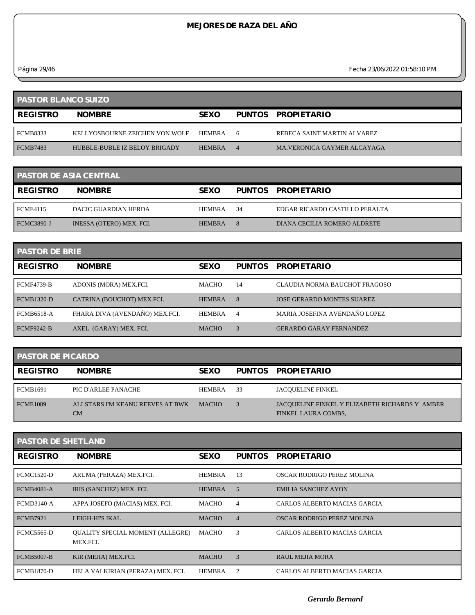*Página 29/46 Fecha 23/06/2022 01:58:10 PM*

| <b>PASTOR BLANCO SUIZO</b> |                                |               |   |                             |
|----------------------------|--------------------------------|---------------|---|-----------------------------|
| <b>REGISTRO</b>            | <b>NOMBRE</b>                  | <b>SEXO</b>   |   | PUNTOS PROPIETARIO          |
| <b>FCMB8333</b>            | KELLYOSBOURNE ZEICHEN VON WOLF | HEMBRA        | 6 | REBECA SAINT MARTIN ALVAREZ |
| <b>FCMB7483</b>            | HUBBLE-BUBLE IZ BELOY BRIGADY  | <b>HEMBRA</b> |   | MA VERONICA GAYMER ALCAYAGA |

|                   | <b>PASTOR DE ASIA CENTRAL</b> |               |     |                                |
|-------------------|-------------------------------|---------------|-----|--------------------------------|
| <b>I REGISTRO</b> | <b>NOMBRE</b>                 | <b>SEXO</b>   |     | PUNTOS PROPIETARIO             |
| <b>FCME4115</b>   | DACIC GUARDIAN HERDA          | HEMBRA        | -34 | EDGAR RICARDO CASTILLO PERALTA |
| <b>FCMC3890-J</b> | INESSA (OTERO) MEX. FCI.      | <b>HEMBRA</b> | 8   | DIANA CECILIA ROMERO ALDRETE   |

| <b>PASTOR DE BRIE</b> |                                |               |               |                                   |  |
|-----------------------|--------------------------------|---------------|---------------|-----------------------------------|--|
| <b>REGISTRO</b>       | <b>NOMBRE</b>                  | <b>SEXO</b>   | <b>PUNTOS</b> | <b>PROPIETARIO</b>                |  |
| <b>FCMF4739-B</b>     | ADONIS (MORA) MEX.FCI.         | <b>MACHO</b>  | 14            | CLAUDIA NORMA BAUCHOT FRAGOSO     |  |
| <b>FCMB1320-D</b>     | CATRINA (BOUCHOT) MEX.FCI.     | <b>HEMBRA</b> | 8             | <b>JOSE GERARDO MONTES SUAREZ</b> |  |
| <b>FCMB6518-A</b>     | FHARA DIVA (AVENDAÑO) MEX.FCI. | <b>HEMBRA</b> | 4             | MARIA JOSEFINA AVENDAÑO LOPEZ     |  |
| <b>FCMF9242-B</b>     | AXEL (GARAY) MEX. FCI.         | <b>MACHO</b>  | 3             | <b>GERARDO GARAY FERNANDEZ</b>    |  |

| <b>PASTOR DE PICARDO</b> |                                        |              |     |                                                                       |
|--------------------------|----------------------------------------|--------------|-----|-----------------------------------------------------------------------|
| <b>REGISTRO</b>          | <b>NOMBRE</b>                          | <b>SEXO</b>  |     | PUNTOS PROPIETARIO                                                    |
| <b>FCMB1691</b>          | PIC D'ARLEE PANACHE                    | HEMBRA       | -33 | <b>JACOUELINE FINKEL</b>                                              |
| <b>FCME1089</b>          | ALLSTARS I'M KEANU REEVES AT BWK<br>CM | <b>MACHO</b> |     | JACOUELINE FINKEL Y ELIZABETH RICHARDS Y AMBER<br>FINKEL LAURA COMBS, |

| <b>PASTOR DE SHETLAND</b> |                                                     |               |                |                              |  |  |
|---------------------------|-----------------------------------------------------|---------------|----------------|------------------------------|--|--|
| <b>REGISTRO</b>           | <b>NOMBRE</b>                                       | <b>SEXO</b>   | <b>PUNTOS</b>  | <b>PROPIETARIO</b>           |  |  |
| <b>FCMC1520-D</b>         | ARUMA (PERAZA) MEX.FCI.                             | <b>HEMBRA</b> | 13             | OSCAR RODRIGO PEREZ MOLINA   |  |  |
| <b>FCMB4081-A</b>         | IRIS (SANCHEZ) MEX. FCI.                            | <b>HEMBRA</b> | 5              | <b>EMILIA SANCHEZ AYON</b>   |  |  |
| <b>FCMD3140-A</b>         | APPA JOSEFO (MACIAS) MEX. FCI.                      | MACHO         | 4              | CARLOS ALBERTO MACIAS GARCIA |  |  |
| <b>FCMB7921</b>           | LEIGH-HI'S IKAL                                     | <b>MACHO</b>  | $\overline{4}$ | OSCAR RODRIGO PEREZ MOLINA   |  |  |
| <b>FCMC5565-D</b>         | <b>OUALITY SPECIAL MOMENT (ALLEGRE)</b><br>MEX.FCI. | MACHO         | 3              | CARLOS ALBERTO MACIAS GARCIA |  |  |
| <b>FCMB5007-B</b>         | KIR (MEJIA) MEX.FCI.                                | <b>MACHO</b>  | 3              | <b>RAUL MEJIA MORA</b>       |  |  |
| <b>FCMB1870-D</b>         | HELA VALKIRIAN (PERAZA) MEX. FCI.                   | <b>HEMBRA</b> | $\overline{c}$ | CARLOS ALBERTO MACIAS GARCIA |  |  |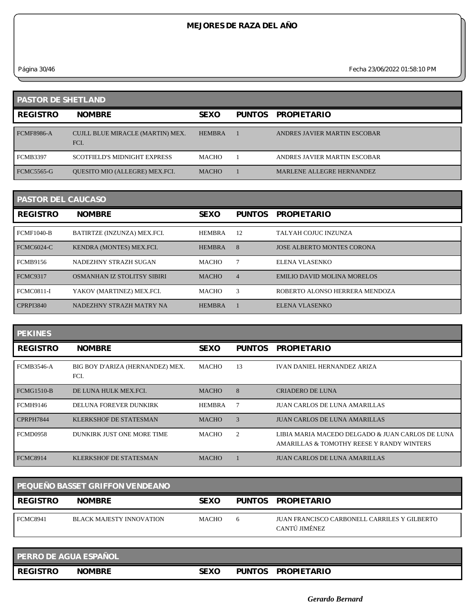*Página 30/46 Fecha 23/06/2022 01:58:10 PM*

| <b>PASTOR DE SHETLAND</b> |                                          |               |               |                              |  |
|---------------------------|------------------------------------------|---------------|---------------|------------------------------|--|
| <b>REGISTRO</b>           | <b>NOMBRE</b>                            | <b>SEXO</b>   | <b>PUNTOS</b> | <b>PROPIETARIO</b>           |  |
| <b>FCMF8986-A</b>         | CUJLL BLUE MIRACLE (MARTIN) MEX.<br>FCI. | <b>HEMBRA</b> |               | ANDRES JAVIER MARTIN ESCOBAR |  |
| <b>FCMB3397</b>           | <b>SCOTFIELD'S MIDNIGHT EXPRESS</b>      | <b>MACHO</b>  |               | ANDRES JAVIER MARTIN ESCOBAR |  |
| <b>FCMC5565-G</b>         | QUESITO MIO (ALLEGRE) MEX.FCI.           | <b>MACHO</b>  |               | MARLENE ALLEGRE HERNANDEZ    |  |

| <b>PASTOR DEL CAUCASO</b> |                                    |               |                |                                   |  |
|---------------------------|------------------------------------|---------------|----------------|-----------------------------------|--|
| <b>REGISTRO</b>           | <b>NOMBRE</b>                      | <b>SEXO</b>   | <b>PUNTOS</b>  | <b>PROPIETARIO</b>                |  |
| <b>FCMF1040-B</b>         | BATIRTZE (INZUNZA) MEX.FCI.        | <b>HEMBRA</b> | -12            | TALYAH COJUC INZUNZA              |  |
| <b>FCMC6024-C</b>         | KENDRA (MONTES) MEX.FCI.           | <b>HEMBRA</b> | 8              | <b>JOSE ALBERTO MONTES CORONA</b> |  |
| <b>FCMB9156</b>           | NADEZHNY STRAZH SUGAN              | <b>MACHO</b>  |                | ELENA VLASENKO                    |  |
| <b>FCMC9317</b>           | <b>OSMANHAN IZ STOLITSY SIBIRI</b> | <b>MACHO</b>  | $\overline{4}$ | EMILIO DAVID MOLINA MORELOS       |  |
| <b>FCMC0811-I</b>         | YAKOV (MARTINEZ) MEX.FCI.          | <b>MACHO</b>  | 3              | ROBERTO ALONSO HERRERA MENDOZA    |  |
| <b>CPRPI3840</b>          | NADEZHNY STRAZH MATRY NA           | <b>HEMBRA</b> |                | ELENA VLASENKO                    |  |

| <b>PEKINES</b>    |                                          |              |                |                                                                                               |
|-------------------|------------------------------------------|--------------|----------------|-----------------------------------------------------------------------------------------------|
| <b>REGISTRO</b>   | <b>NOMBRE</b>                            | <b>SEXO</b>  | <b>PUNTOS</b>  | <b>PROPIETARIO</b>                                                                            |
| <b>FCMB3546-A</b> | BIG BOY D'ARIZA (HERNANDEZ) MEX.<br>FCI. | MACHO        | 13             | <b>IVAN DANIEL HERNANDEZ ARIZA</b>                                                            |
| <b>FCMG1510-B</b> | DE LUNA HULK MEX.FCL                     | <b>MACHO</b> | 8              | <b>CRIADERO DE LUNA</b>                                                                       |
| <b>FCMH9146</b>   | DELUNA FOREVER DUNKIRK                   | HEMBRA       |                | <b>JUAN CARLOS DE LUNA AMARILLAS</b>                                                          |
| CPRPH7844         | <b>KLERKSHOF DE STATESMAN</b>            | <b>MACHO</b> | 3              | <b>JUAN CARLOS DE LUNA AMARILLAS</b>                                                          |
| <b>FCMD0958</b>   | DUNKIRK JUST ONE MORE TIME               | <b>MACHO</b> | $\overline{2}$ | LIBIA MARIA MACEDO DELGADO & JUAN CARLOS DE LUNA<br>AMARILLAS & TOMOTHY REESE Y RANDY WINTERS |
| <b>FCMC8914</b>   | KLERKSHOF DE STATESMAN                   | <b>MACHO</b> |                | <b>JUAN CARLOS DE LUNA AMARILLAS</b>                                                          |

| PEQUEÑO BASSET GRIFFON VENDEANO |                          |              |              |                                                               |  |  |
|---------------------------------|--------------------------|--------------|--------------|---------------------------------------------------------------|--|--|
| REGISTRO                        | <b>NOMBRE</b>            | <b>SEXO</b>  |              | PUNTOS PROPIETARIO                                            |  |  |
| <b>FCMC8941</b>                 | BLACK MAJESTY INNOVATION | <b>MACHO</b> | <sub>6</sub> | JUAN FRANCISCO CARBONELL CARRILES Y GILBERTO<br>CANTÚ JIMÉNEZ |  |  |

| <b>PERRO DE AGUA ESPAÑOL</b> |               |       |               |                    |
|------------------------------|---------------|-------|---------------|--------------------|
| <b>REGISTRO</b>              | <b>NOMBRE</b> | SEX ( | <b>PUNTOS</b> | <b>PROPIETARIO</b> |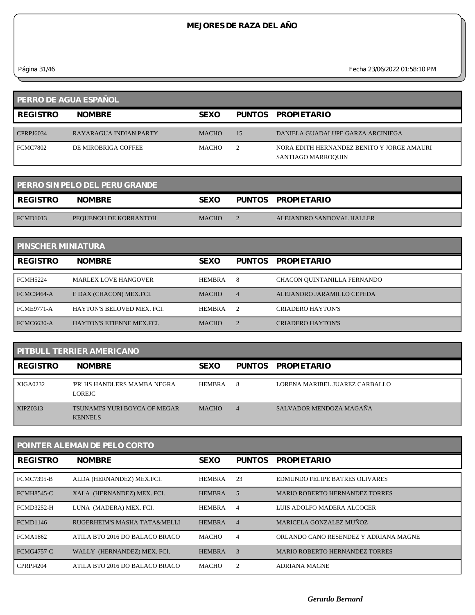$\overline{\phantom{0}}$ 

*Página 31/46 Fecha 23/06/2022 01:58:10 PM*

| PERRO DE AGUA ESPAÑOL |                        |              |    |                                                                  |  |
|-----------------------|------------------------|--------------|----|------------------------------------------------------------------|--|
| <b>REGISTRO</b>       | <b>NOMBRE</b>          | <b>SEXO</b>  |    | PUNTOS PROPIETARIO                                               |  |
| <b>CPRPJ6034</b>      | RAYARAGUA INDIAN PARTY | <b>MACHO</b> | 15 | DANIELA GUADALUPE GARZA ARCINIEGA                                |  |
| <b>FCMC7802</b>       | DE MIROBRIGA COFFEE    | <b>MACHO</b> |    | NORA EDITH HERNANDEZ BENITO Y JORGE AMAURI<br>SANTIAGO MARROQUIN |  |

| <b>PERRO SIN PELO DEL PERU GRANDE</b> |                       |              |  |                           |  |
|---------------------------------------|-----------------------|--------------|--|---------------------------|--|
| <b>REGISTRO</b>                       | <b>NOMBRE</b>         | <b>SEXO</b>  |  | PUNTOS PROPIETARIO        |  |
| FCMD1013                              | PEQUENOH DE KORRANTOH | <b>MACHO</b> |  | ALEJANDRO SANDOVAL HALLER |  |

| <b>PINSCHER MINIATURA</b> |                                  |               |                |                             |  |  |
|---------------------------|----------------------------------|---------------|----------------|-----------------------------|--|--|
| <b>REGISTRO</b>           | <b>NOMBRE</b>                    | <b>SEXO</b>   | <b>PUNTOS</b>  | <b>PROPIETARIO</b>          |  |  |
| <b>FCMH5224</b>           | <b>MARLEX LOVE HANGOVER</b>      | <b>HEMBRA</b> | 8              | CHACON QUINTANILLA FERNANDO |  |  |
| FCMC3464-A                | E DAX (CHACON) MEX.FCI.          | <b>MACHO</b>  | $\overline{4}$ | ALEJANDRO JARAMILLO CEPEDA  |  |  |
| <b>FCME9771-A</b>         | HAYTON'S BELOVED MEX. FCL        | <b>HEMBRA</b> | 2              | CRIADERO HAYTON'S           |  |  |
| <b>FCMC6630-A</b>         | <b>HAYTON'S ETIENNE MEX FCI.</b> | <b>MACHO</b>  |                | <b>CRIADERO HAYTON'S</b>    |  |  |

| <b>PITBULL TERRIER AMERICANO</b> |                                                 |               |                |                                |  |
|----------------------------------|-------------------------------------------------|---------------|----------------|--------------------------------|--|
| <b>REGISTRO</b>                  | <b>NOMBRE</b>                                   | <b>SEXO</b>   |                | PUNTOS PROPIETARIO             |  |
| XIGA0232                         | 'PR' HS HANDLERS MAMBA NEGRA<br>LOREJC          | <b>HEMBRA</b> | 8              | LORENA MARIBEL JUAREZ CARBALLO |  |
| XIPZ0313                         | TSUNAMI'S YURI BOYCA OF MEGAR<br><b>KENNELS</b> | <b>MACHO</b>  | $\overline{4}$ | SALVADOR MENDOZA MAGAÑA        |  |

| POINTER ALEMAN DE PELO CORTO |                                |               |                    |                                       |  |  |
|------------------------------|--------------------------------|---------------|--------------------|---------------------------------------|--|--|
| <b>REGISTRO</b>              | <b>NOMBRE</b>                  | <b>SEXO</b>   | <b>PUNTOS</b>      | <b>PROPIETARIO</b>                    |  |  |
| <b>FCMC7395-B</b>            | ALDA (HERNANDEZ) MEX.FCI.      | HEMBRA        | 23                 | EDMUNDO FELIPE BATRES OLIVARES        |  |  |
| <b>FCMH8545-C</b>            | XALA (HERNANDEZ) MEX. FCI.     | <b>HEMBRA</b> | .5                 | <b>MARIO ROBERTO HERNANDEZ TORRES</b> |  |  |
| <b>FCMD3252-H</b>            | LUNA (MADERA) MEX. FCI.        | <b>HEMBRA</b> | $\overline{4}$     | LUIS ADOLFO MADERA ALCOCER            |  |  |
| <b>FCMD1146</b>              | RUGERHEIM'S MASHA TATA&MELLI   | <b>HEMBRA</b> | $\overline{4}$     | MARICELA GONZALEZ MUÑOZ               |  |  |
| <b>FCMA1862</b>              | ATILA BTO 2016 DO BALACO BRACO | <b>MACHO</b>  | 4                  | ORLANDO CANO RESENDEZ Y ADRIANA MAGNE |  |  |
| <b>FCMG4757-C</b>            | WALLY (HERNANDEZ) MEX. FCI.    | <b>HEMBRA</b> | 3                  | <b>MARIO ROBERTO HERNANDEZ TORRES</b> |  |  |
| <b>CPRPI4204</b>             | ATILA BTO 2016 DO BALACO BRACO | <b>MACHO</b>  | $\mathfrak{D}_{1}$ | <b>ADRIANA MAGNE</b>                  |  |  |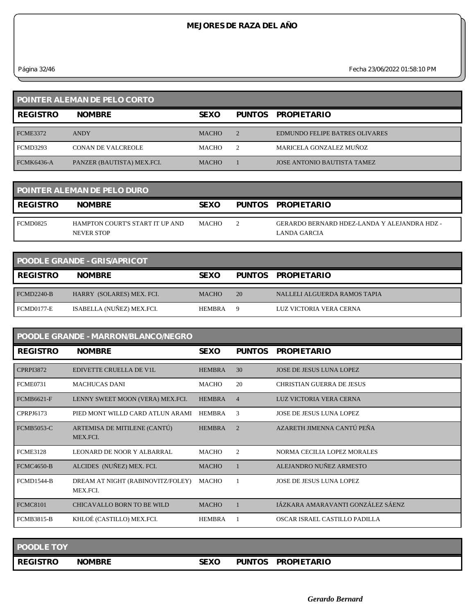*Página 32/46 Fecha 23/06/2022 01:58:10 PM*

| <b>POINTER ALEMAN DE PELO CORTO</b> |                            |              |   |                                       |  |
|-------------------------------------|----------------------------|--------------|---|---------------------------------------|--|
| <b>REGISTRO</b>                     | <b>NOMBRE</b>              | <b>SEXO</b>  |   | PUNTOS PROPIETARIO                    |  |
| <b>FCME3372</b>                     | <b>ANDY</b>                | <b>MACHO</b> | 2 | <b>EDMUNDO FELIPE BATRES OLIVARES</b> |  |
| FCMD3293                            | <b>CONAN DE VALCREOLE</b>  | МАСНО        | 2 | MARICELA GONZALEZ MUÑOZ               |  |
| <b>FCMK6436-A</b>                   | PANZER (BAUTISTA) MEX.FCI. | <b>MACHO</b> |   | <b>JOSE ANTONIO BAUTISTA TAMEZ</b>    |  |

| <b>POINTER ALEMAN DE PELO DURO</b> |                                               |             |  |                                                              |  |
|------------------------------------|-----------------------------------------------|-------------|--|--------------------------------------------------------------|--|
| <b>REGISTRO</b>                    | <b>NOMBRE</b>                                 | <b>SEXO</b> |  | PUNTOS PROPIETARIO                                           |  |
| FCMD0825                           | HAMPTON COURT'S START IT UP AND<br>NEVER STOP | MACHO       |  | GERARDO BERNARD HDEZ-LANDA Y ALEJANDRA HDZ -<br>LANDA GARCIA |  |

| <b>POODLE GRANDE - GRIS/APRICOT</b> |                           |               |    |                              |  |
|-------------------------------------|---------------------------|---------------|----|------------------------------|--|
| <b>REGISTRO</b>                     | <b>NOMBRE</b>             | <b>SEXO</b>   |    | PUNTOS PROPIETARIO           |  |
| <b>FCMD2240-B</b>                   | HARRY (SOLARES) MEX. FCI. | <b>MACHO</b>  | 20 | NALLELI ALGUERDA RAMOS TAPIA |  |
| FCMD0177-E                          | ISABELLA (NUÑEZ) MEX.FCI. | <b>HEMBRA</b> | Q  | LUZ VICTORIA VERA CERNA      |  |

| <b>POODLE GRANDE - MARRON/BLANCO/NEGRO</b> |                                               |               |                |                                   |  |  |
|--------------------------------------------|-----------------------------------------------|---------------|----------------|-----------------------------------|--|--|
| <b>REGISTRO</b>                            | <b>NOMBRE</b>                                 | <b>SEXO</b>   | <b>PUNTOS</b>  | <b>PROPIETARIO</b>                |  |  |
| <b>CPRPI3872</b>                           | <b>EDIVETTE CRUELLA DE V1L</b>                | <b>HEMBRA</b> | 30             | <b>JOSE DE JESUS LUNA LOPEZ</b>   |  |  |
| <b>FCME0731</b>                            | <b>MACHUCAS DANI</b>                          | <b>MACHO</b>  | 20             | <b>CHRISTIAN GUERRA DE JESUS</b>  |  |  |
| <b>FCMB6621-F</b>                          | LENNY SWEET MOON (VERA) MEX.FCI.              | <b>HEMBRA</b> | $\overline{4}$ | LUZ VICTORIA VERA CERNA           |  |  |
| CPRPJ6173                                  | PIED MONT WILLD CARD ATLUN ARAMI              | <b>HEMBRA</b> | 3              | <b>JOSE DE JESUS LUNA LOPEZ</b>   |  |  |
| <b>FCMB5053-C</b>                          | ARTEMISA DE MITILENE (CANTÚ)<br>MEX.FCI.      | <b>HEMBRA</b> | $\overline{2}$ | AZARETH JIMENNA CANTÚ PEÑA        |  |  |
| <b>FCME3128</b>                            | LEONARD DE NOOR Y ALBARRAL                    | <b>MACHO</b>  | $\overline{2}$ | NORMA CECILIA LOPEZ MORALES       |  |  |
| <b>FCMC4650-B</b>                          | ALCIDES (NUÑEZ) MEX. FCI.                     | <b>MACHO</b>  |                | ALEJANDRO NUÑEZ ARMESTO           |  |  |
| <b>FCMD1544-B</b>                          | DREAM AT NIGHT (RABINOVITZ/FOLEY)<br>MEX.FCI. | MACHO         |                | JOSE DE JESUS LUNA LOPEZ          |  |  |
| <b>FCMC8101</b>                            | CHICAVALLO BORN TO BE WILD                    | <b>MACHO</b>  |                | JÁZKARA AMARAVANTI GONZÁLEZ SÁENZ |  |  |
| <b>FCMB3815-B</b>                          | KHLOÉ (CASTILLO) MEX.FCI.                     | <b>HEMBRA</b> |                | OSCAR ISRAEL CASTILLO PADILLA     |  |  |

| <b>POODLE TOY</b> |               |             |               |                    |
|-------------------|---------------|-------------|---------------|--------------------|
| <b>REGISTRO</b>   | <b>NOMBRE</b> | <b>SEXO</b> | <b>PUNTOS</b> | <b>PROPIETARIO</b> |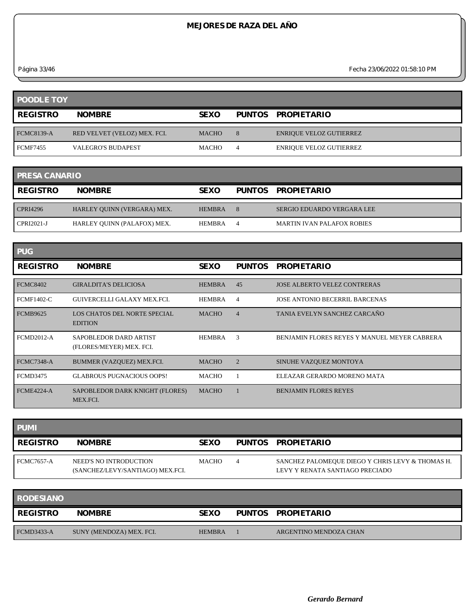*Página 33/46 Fecha 23/06/2022 01:58:10 PM*

| <b>POODLE TOY</b> |                              |              |                |                                |  |
|-------------------|------------------------------|--------------|----------------|--------------------------------|--|
| <b>REGISTRO</b>   | <b>NOMBRE</b>                | <b>SEXO</b>  |                | PUNTOS PROPIETARIO             |  |
| <b>FCMC8139-A</b> | RED VELVET (VELOZ) MEX. FCI. | <b>MACHO</b> | 8              | <b>ENRIQUE VELOZ GUTIERREZ</b> |  |
| <b>FCMF7455</b>   | <b>VALEGRO'S BUDAPEST</b>    | <b>MACHO</b> | $\overline{4}$ | <b>ENRIQUE VELOZ GUTIERREZ</b> |  |

| <b>PRESA CANARIO</b> |                             |               |   |                                   |  |
|----------------------|-----------------------------|---------------|---|-----------------------------------|--|
| <b>I REGISTRO</b>    | <b>NOMBRE</b>               | <b>SEXO</b>   |   | PUNTOS PROPIETARIO                |  |
| <b>CPRI4296</b>      | HARLEY QUINN (VERGARA) MEX. | <b>HEMBRA</b> | 8 | SERGIO EDUARDO VERGARA LEE        |  |
| CPRI2021-J           | HARLEY OUINN (PALAFOX) MEX. | <b>HEMBRA</b> | 4 | <b>MARTIN IVAN PALAFOX ROBIES</b> |  |

| <b>PUG</b>        |                                                    |               |                |                                                     |
|-------------------|----------------------------------------------------|---------------|----------------|-----------------------------------------------------|
| <b>REGISTRO</b>   | <b>NOMBRE</b>                                      | <b>SEXO</b>   | <b>PUNTOS</b>  | <b>PROPIETARIO</b>                                  |
| FCMC8402          | <b>GIRALDITA'S DELICIOSA</b>                       | <b>HEMBRA</b> | 45             | <b>JOSE ALBERTO VELEZ CONTRERAS</b>                 |
| <b>FCMF1402-C</b> | GUIVERCELLI GALAXY MEX.FCI.                        | <b>HEMBRA</b> | $\overline{4}$ | <b>JOSE ANTONIO BECERRIL BARCENAS</b>               |
| <b>FCMB9625</b>   | LOS CHATOS DEL NORTE SPECIAL<br><b>EDITION</b>     | <b>MACHO</b>  | $\overline{4}$ | TANIA EVELYN SANCHEZ CARCAÑO                        |
| <b>FCMD2012-A</b> | SAPOBLEDOR DARD ARTIST<br>(FLORES/MEYER) MEX. FCI. | <b>HEMBRA</b> | 3              | <b>BENJAMIN FLORES REYES Y MANUEL MEYER CABRERA</b> |
| FCMC7348-A        | BUMMER (VAZQUEZ) MEX.FCI.                          | <b>MACHO</b>  | 2              | SINUHE VAZQUEZ MONTOYA                              |
| <b>FCMD3475</b>   | <b>GLABROUS PUGNACIOUS OOPS!</b>                   | <b>MACHO</b>  |                | ELEAZAR GERARDO MORENO MATA                         |
| FCME4224-A        | SAPOBLEDOR DARK KNIGHT (FLORES)<br>MEX.FCI.        | <b>MACHO</b>  |                | <b>BENJAMIN FLORES REYES</b>                        |

| <b>PUMI</b>       |                                                            |              |                                                                                     |
|-------------------|------------------------------------------------------------|--------------|-------------------------------------------------------------------------------------|
| <b>REGISTRO</b>   | <b>NOMBRE</b>                                              | <b>SEXO</b>  | PUNTOS PROPIETARIO                                                                  |
| <b>FCMC7657-A</b> | NEED'S NO INTRODUCTION<br>(SANCHEZ/LEVY/SANTIAGO) MEX.FCI. | <b>MACHO</b> | SANCHEZ PALOMEQUE DIEGO Y CHRIS LEVY & THOMAS H.<br>LEVY Y RENATA SANTIAGO PRECIADO |

| <b>RODESIANO</b> |                          |               |                        |
|------------------|--------------------------|---------------|------------------------|
| <b>REGISTRO</b>  | <b>NOMBRE</b>            | <b>SEXO</b>   | PUNTOS PROPIETARIO     |
| $FCMD3433-A$     | SUNY (MENDOZA) MEX. FCI. | <b>HEMBRA</b> | ARGENTINO MENDOZA CHAN |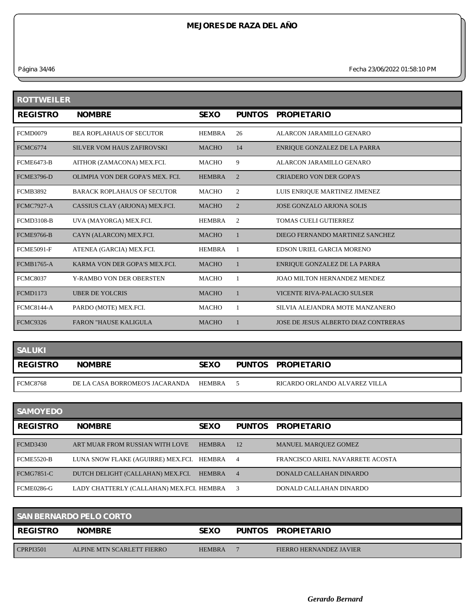*Página 34/46 Fecha 23/06/2022 01:58:10 PM*

| <b>ROTTWEILER</b> |                                    |               |               |                                      |  |  |
|-------------------|------------------------------------|---------------|---------------|--------------------------------------|--|--|
| <b>REGISTRO</b>   | <b>NOMBRE</b>                      | <b>SEXO</b>   | <b>PUNTOS</b> | <b>PROPIETARIO</b>                   |  |  |
| <b>FCMD0079</b>   | <b>BEA ROPLAHAUS OF SECUTOR</b>    | <b>HEMBRA</b> | 26            | ALARCON JARAMILLO GENARO             |  |  |
| <b>FCMC6774</b>   | <b>SILVER VOM HAUS ZAFIROVSKI</b>  | <b>MACHO</b>  | 14            | ENRIQUE GONZALEZ DE LA PARRA         |  |  |
| <b>FCME6473-B</b> | AITHOR (ZAMACONA) MEX.FCI.         | <b>MACHO</b>  | 9             | ALARCON JARAMILLO GENARO             |  |  |
| <b>FCME3796-D</b> | OLIMPIA VON DER GOPA'S MEX. FCL    | <b>HEMBRA</b> | 2             | CRIADERO VON DER GOPA'S              |  |  |
| <b>FCMB3892</b>   | <b>BARACK ROPLAHAUS OF SECUTOR</b> | <b>MACHO</b>  | 2             | LUIS ENRIQUE MARTINEZ JIMENEZ        |  |  |
| <b>FCMC7927-A</b> | CASSIUS CLAY (ARJONA) MEX.FCI.     | <b>MACHO</b>  | 2             | JOSE GONZALO ARJONA SOLIS            |  |  |
| <b>FCMD3108-B</b> | UVA (MAYORGA) MEX.FCI.             | <b>HEMBRA</b> | 2             | <b>TOMAS CUELI GUTIERREZ</b>         |  |  |
| <b>FCME9766-B</b> | CAYN (ALARCON) MEX.FCI.            | <b>MACHO</b>  |               | DIEGO FERNANDO MARTINEZ SANCHEZ      |  |  |
| <b>FCME5091-F</b> | ATENEA (GARCIA) MEX.FCI.           | <b>HEMBRA</b> |               | EDSON URIEL GARCIA MORENO            |  |  |
| <b>FCMB1765-A</b> | KARMA VON DER GOPA'S MEX.FCI.      | <b>MACHO</b>  | -1            | ENRIQUE GONZALEZ DE LA PARRA         |  |  |
| <b>FCMC8037</b>   | Y-RAMBO VON DER OBERSTEN           | <b>MACHO</b>  |               | JOAO MILTON HERNANDEZ MENDEZ         |  |  |
| <b>FCMD1173</b>   | <b>UBER DE YOLCRIS</b>             | <b>MACHO</b>  |               | VICENTE RIVA-PALACIO SULSER          |  |  |
| <b>FCMC8144-A</b> | PARDO (MOTE) MEX.FCI.              | <b>MACHO</b>  | 1             | SILVIA ALEJANDRA MOTE MANZANERO      |  |  |
| <b>FCMC9326</b>   | <b>FARON "HAUSE KALIGULA</b>       | <b>MACHO</b>  |               | JOSE DE JESUS ALBERTO DIAZ CONTRERAS |  |  |

| <b>SALUKI</b>   |                                 |               |                               |
|-----------------|---------------------------------|---------------|-------------------------------|
| <b>REGISTRO</b> | <b>NOMBRE</b>                   | <b>SEXO</b>   | PUNTOS PROPIETARIO            |
| FCMC8768        | DE LA CASA BORROMEO'S JACARANDA | <b>HEMBRA</b> | RICARDO ORLANDO ALVAREZ VILLA |

| <b>SAMOYEDO</b>   |                                           |               |                |                                  |
|-------------------|-------------------------------------------|---------------|----------------|----------------------------------|
| <b>REGISTRO</b>   | <b>NOMBRE</b>                             | <b>SEXO</b>   | <b>PUNTOS</b>  | <b>PROPIETARIO</b>               |
| FCMD3430          | ART MUAR FROM RUSSIAN WITH LOVE           | <b>HEMBRA</b> | 12             | <b>MANUEL MARQUEZ GOMEZ</b>      |
| <b>FCME5520-B</b> | LUNA SNOW FLAKE (AGUIRRE) MEX.FCI.        | HEMBRA        | 4              | FRANCISCO ARIEL NAVARRETE ACOSTA |
| <b>FCMG7851-C</b> | DUTCH DELIGHT (CALLAHAN) MEX.FCI.         | <b>HEMBRA</b> | $\overline{4}$ | DONALD CALLAHAN DINARDO          |
| <b>FCME0286-G</b> | LADY CHATTERLY (CALLAHAN) MEX.FCI. HEMBRA |               | -3             | DONALD CALLAHAN DINARDO          |

| <b>SAN BERNARDO PELO CORTO</b> |                            |               |  |                         |  |
|--------------------------------|----------------------------|---------------|--|-------------------------|--|
| <b>REGISTRO</b>                | <b>NOMBRE</b>              | <b>SEXO</b>   |  | PUNTOS PROPIETARIO      |  |
| CPRP <sub>13501</sub>          | ALPINE MTN SCARLETT FIERRO | <b>HEMBRA</b> |  | FIERRO HERNANDEZ JAVIER |  |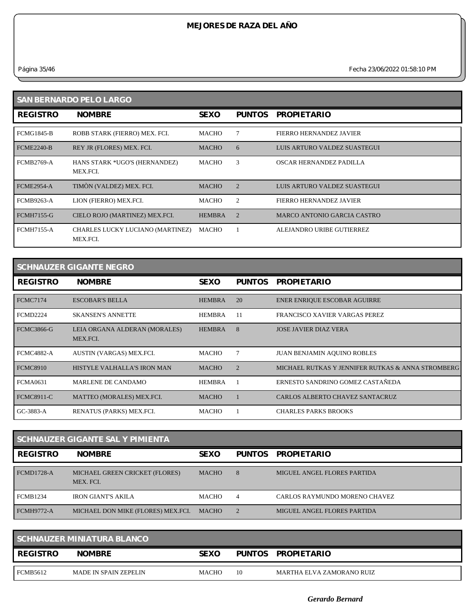*Página 35/46 Fecha 23/06/2022 01:58:10 PM*

| <b>SAN BERNARDO PELO LARGO</b> |                                              |               |               |                                |  |  |
|--------------------------------|----------------------------------------------|---------------|---------------|--------------------------------|--|--|
| <b>REGISTRO</b>                | <b>NOMBRE</b>                                | <b>SEXO</b>   | <b>PUNTOS</b> | <b>PROPIETARIO</b>             |  |  |
| <b>FCMG1845-B</b>              | ROBB STARK (FIERRO) MEX. FCI.                | MACHO         |               | <b>FIERRO HERNANDEZ JAVIER</b> |  |  |
| <b>FCME2240-B</b>              | REY JR (FLORES) MEX. FCI.                    | <b>MACHO</b>  | 6             | LUIS ARTURO VALDEZ SUASTEGUI   |  |  |
| <b>FCMB2769-A</b>              | HANS STARK *UGO'S (HERNANDEZ)<br>MEX.FCI.    | <b>MACHO</b>  | 3             | OSCAR HERNANDEZ PADILLA        |  |  |
| <b>FCME2954-A</b>              | TIMÒN (VALDEZ) MEX. FCI.                     | <b>MACHO</b>  | 2             | LUIS ARTURO VALDEZ SUASTEGUI   |  |  |
| <b>FCMB9263-A</b>              | LION (FIERRO) MEX.FCI.                       | MACHO         | 2             | <b>FIERRO HERNANDEZ JAVIER</b> |  |  |
| <b>FCMH7155-G</b>              | CIELO ROJO (MARTINEZ) MEX.FCI.               | <b>HEMBRA</b> | 2             | MARCO ANTONIO GARCIA CASTRO    |  |  |
| <b>FCMH7155-A</b>              | CHARLES LUCKY LUCIANO (MARTINEZ)<br>MEX.FCI. | MACHO         |               | ALEJANDRO URIBE GUTIERREZ      |  |  |

| <b>SCHNAUZER GIGANTE NEGRO</b> |                                           |               |                |                                                   |  |  |
|--------------------------------|-------------------------------------------|---------------|----------------|---------------------------------------------------|--|--|
| <b>REGISTRO</b>                | <b>NOMBRE</b>                             | <b>SEXO</b>   | <b>PUNTOS</b>  | <b>PROPIETARIO</b>                                |  |  |
| <b>FCMC7174</b>                | <b>ESCOBAR'S BELLA</b>                    | <b>HEMBRA</b> | 20             | ENER ENRIQUE ESCOBAR AGUIRRE                      |  |  |
| <b>FCMD2224</b>                | <b>SKANSEN'S ANNETTE</b>                  | HEMBRA        | -11            | FRANCISCO XAVIER VARGAS PEREZ                     |  |  |
| <b>FCMC3866-G</b>              | LEIA ORGANA ALDERAN (MORALES)<br>MEX.FCI. | <b>HEMBRA</b> | 8              | <b>JOSE JAVIER DIAZ VERA</b>                      |  |  |
| <b>FCMC4882-A</b>              | AUSTIN (VARGAS) MEX.FCI.                  | MACHO         | 7              | <b>JUAN BENJAMIN AQUINO ROBLES</b>                |  |  |
| <b>FCMC8910</b>                | HISTYLE VALHALLA'S IRON MAN               | <b>MACHO</b>  | $\mathfrak{D}$ | MICHAEL RUTKAS Y JENNIFER RUTKAS & ANNA STROMBERG |  |  |
| <b>FCMA0631</b>                | MARLENE DE CANDAMO                        | <b>HEMBRA</b> |                | ERNESTO SANDRINO GOMEZ CASTAÑEDA                  |  |  |
| <b>FCMC8911-C</b>              | MATTEO (MORALES) MEX.FCI.                 | <b>MACHO</b>  |                | <b>CARLOS ALBERTO CHAVEZ SANTACRUZ</b>            |  |  |
| GC-3883-A                      | RENATUS (PARKS) MEX.FCI.                  | <b>MACHO</b>  |                | <b>CHARLES PARKS BROOKS</b>                       |  |  |

| SCHNAUZER GIGANTE SAL Y PIMIENTA |                                             |              |                |                                    |  |  |
|----------------------------------|---------------------------------------------|--------------|----------------|------------------------------------|--|--|
| <b>REGISTRO</b>                  | <b>NOMBRE</b>                               | <b>SEXO</b>  | PUNTOS         | <b>PROPIETARIO</b>                 |  |  |
| FCMD1728-A                       | MICHAEL GREEN CRICKET (FLORES)<br>MEX. FCI. | <b>MACHO</b> | 8              | <b>MIGUEL ANGEL FLORES PARTIDA</b> |  |  |
| <b>FCMB1234</b>                  | IRON GIANT'S AKILA                          | МАСНО        | $\overline{4}$ | CARLOS RAYMUNDO MORENO CHAVEZ      |  |  |
| <b>FCMH9772-A</b>                | MICHAEL DON MIKE (FLORES) MEX.FCI.          | MACHO        |                | MIGUEL ANGEL FLORES PARTIDA        |  |  |

| SCHNAUZER MINIATURA BLANCO |                       |              |    |                           |  |
|----------------------------|-----------------------|--------------|----|---------------------------|--|
| <b>REGISTRO</b>            | <b>NOMBRE</b>         | <b>SEXO</b>  |    | PUNTOS PROPIETARIO        |  |
| FCMB5612                   | MADE IN SPAIN ZEPELIN | <b>MACHO</b> | 10 | MARTHA ELVA ZAMORANO RUIZ |  |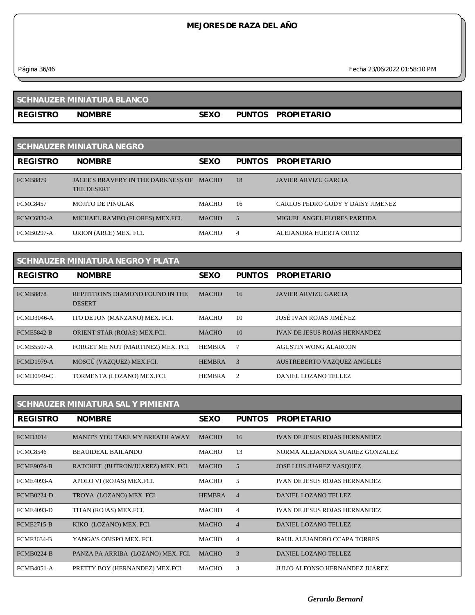*Página 36/46 Fecha 23/06/2022 01:58:10 PM*

# **SCHNAUZER MINIATURA BLANCO**

**REGISTRO NOMBRE SEXO PUNTOS PROPIETARIO**

| <b>SCHNAUZER MINIATURA NEGRO</b> |                                                         |              |                |                                   |  |  |
|----------------------------------|---------------------------------------------------------|--------------|----------------|-----------------------------------|--|--|
| <b>REGISTRO</b>                  | <b>NOMBRE</b>                                           | <b>SEXO</b>  | <b>PUNTOS</b>  | <b>PROPIETARIO</b>                |  |  |
| <b>FCMB8879</b>                  | JACEE'S BRAVERY IN THE DARKNESS OF<br><b>THE DESERT</b> | MACHO        | 18             | <b>JAVIER ARVIZU GARCIA</b>       |  |  |
| <b>FCMC8457</b>                  | <b>MOJITO DE PINULAK</b>                                | <b>MACHO</b> | 16             | CARLOS PEDRO GODY Y DAISY JIMENEZ |  |  |
| <b>FCMC6830-A</b>                | MICHAEL RAMBO (FLORES) MEX.FCI.                         | <b>MACHO</b> | 5              | MIGUEL ANGEL FLORES PARTIDA       |  |  |
| <b>FCMB0297-A</b>                | ORION (ARCE) MEX. FCI.                                  | <b>MACHO</b> | $\overline{4}$ | ALEJANDRA HUERTA ORTIZ            |  |  |

| SCHNAUZER MINIATURA NEGRO Y PLATA |                                                    |               |                |                                      |  |  |
|-----------------------------------|----------------------------------------------------|---------------|----------------|--------------------------------------|--|--|
| <b>REGISTRO</b>                   | <b>NOMBRE</b>                                      | <b>SEXO</b>   | <b>PUNTOS</b>  | <b>PROPIETARIO</b>                   |  |  |
| <b>FCMB8878</b>                   | REPITITION'S DIAMOND FOUND IN THE<br><b>DESERT</b> | <b>MACHO</b>  | 16             | <b>JAVIER ARVIZU GARCIA</b>          |  |  |
| <b>FCMD3046-A</b>                 | ITO DE JON (MANZANO) MEX. FCI.                     | <b>MACHO</b>  | 10             | JOSÉ IVAN ROJAS JIMÉNEZ              |  |  |
| <b>FCME5842-B</b>                 | ORIENT STAR (ROJAS) MEX.FCI.                       | <b>MACHO</b>  | 10             | <b>IVAN DE JESUS ROJAS HERNANDEZ</b> |  |  |
| <b>FCMB5507-A</b>                 | FORGET ME NOT (MARTINEZ) MEX. FCI.                 | <b>HEMBRA</b> |                | <b>AGUSTIN WONG ALARCON</b>          |  |  |
| <b>FCMD1979-A</b>                 | MOSCÚ (VAZQUEZ) MEX.FCI.                           | <b>HEMBRA</b> | 3              | <b>AUSTREBERTO VAZQUEZ ANGELES</b>   |  |  |
| <b>FCMD0949-C</b>                 | TORMENTA (LOZANO) MEX.FCI.                         | <b>HEMBRA</b> | $\overline{2}$ | DANIEL LOZANO TELLEZ                 |  |  |

| <b>SCHNAUZER MINIATURA SAL Y PIMIENTA</b> |                                    |               |                |                                      |  |  |
|-------------------------------------------|------------------------------------|---------------|----------------|--------------------------------------|--|--|
| <b>REGISTRO</b>                           | <b>NOMBRE</b>                      | <b>SEXO</b>   | <b>PUNTOS</b>  | <b>PROPIETARIO</b>                   |  |  |
| <b>FCMD3014</b>                           | MANIT'S YOU TAKE MY BREATH AWAY    | <b>MACHO</b>  | 16             | <b>IVAN DE JESUS ROJAS HERNANDEZ</b> |  |  |
| <b>FCMC8546</b>                           | <b>BEAUIDEAL BAILANDO</b>          | <b>MACHO</b>  | 13             | NORMA ALEJANDRA SUAREZ GONZALEZ      |  |  |
| <b>FCME9074-B</b>                         | RATCHET (BUTRON/JUAREZ) MEX. FCI.  | <b>MACHO</b>  | 5              | <b>JOSE LUIS JUAREZ VASQUEZ</b>      |  |  |
| <b>FCME4093-A</b>                         | APOLO VI (ROJAS) MEX.FCI.          | <b>MACHO</b>  | 5              | <b>IVAN DE JESUS ROJAS HERNANDEZ</b> |  |  |
| <b>FCMB0224-D</b>                         | TROYA (LOZANO) MEX. FCI.           | <b>HEMBRA</b> | $\overline{4}$ | DANIEL LOZANO TELLEZ                 |  |  |
| <b>FCME4093-D</b>                         | TITAN (ROJAS) MEX.FCI.             | MACHO         | 4              | <b>IVAN DE JESUS ROJAS HERNANDEZ</b> |  |  |
| <b>FCME2715-B</b>                         | KIKO (LOZANO) MEX. FCI.            | <b>MACHO</b>  | $\overline{4}$ | DANIEL LOZANO TELLEZ                 |  |  |
| <b>FCMF3634-B</b>                         | YANGA'S OBISPO MEX. FCI.           | <b>MACHO</b>  | $\overline{4}$ | RAUL ALEJANDRO CCAPA TORRES          |  |  |
| <b>FCMB0224-B</b>                         | PANZA PA ARRIBA (LOZANO) MEX. FCI. | <b>MACHO</b>  | 3              | DANIEL LOZANO TELLEZ                 |  |  |
| <b>FCMB4051-A</b>                         | PRETTY BOY (HERNANDEZ) MEX.FCI.    | MACHO         | 3              | JULIO ALFONSO HERNANDEZ JUÁREZ       |  |  |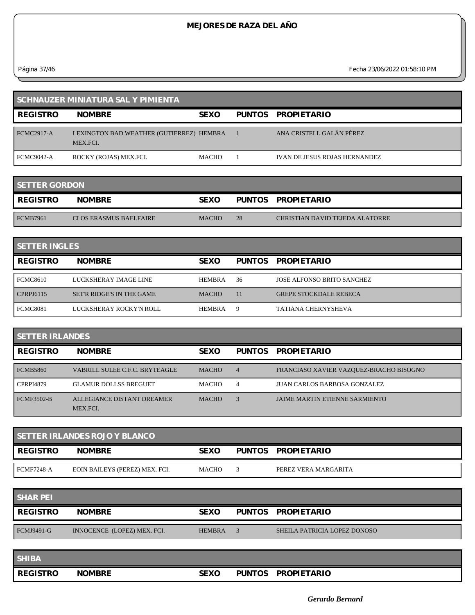*Página 37/46 Fecha 23/06/2022 01:58:10 PM*

| <b>SCHNAUZER MINIATURA SAL Y PIMIENTA</b> |                                                      |              |  |                                      |  |
|-------------------------------------------|------------------------------------------------------|--------------|--|--------------------------------------|--|
| <b>REGISTRO</b>                           | <b>NOMBRE</b>                                        | <b>SEXO</b>  |  | PUNTOS PROPIETARIO                   |  |
| <b>FCMC2917-A</b>                         | LEXINGTON BAD WEATHER (GUTIERREZ) HEMBRA<br>MEX.FCI. |              |  | ANA CRISTELL GALÁN PÉREZ             |  |
| FCMC9042-A                                | ROCKY (ROJAS) MEX.FCI.                               | <b>MACHO</b> |  | <b>IVAN DE JESUS ROJAS HERNANDEZ</b> |  |

| <b>SETTER GORDON</b> |                        |              |    |                                 |  |  |
|----------------------|------------------------|--------------|----|---------------------------------|--|--|
| <b>REGISTRO</b>      | <b>NOMBRE</b>          | <b>SEXO</b>  |    | PUNTOS PROPIETARIO              |  |  |
| FCMB7961             | CLOS ERASMUS BAELFAIRE | <b>MACHO</b> | 28 | CHRISTIAN DAVID TEJEDA ALATORRE |  |  |

| <b>SETTER INGLES</b> |                           |               |    |                                   |  |
|----------------------|---------------------------|---------------|----|-----------------------------------|--|
| <b>REGISTRO</b>      | <b>NOMBRE</b>             | <b>SEXO</b>   |    | PUNTOS PROPIETARIO                |  |
| <b>FCMC8610</b>      | LUCKSHERAY IMAGE LINE     | <b>HEMBRA</b> | 36 | <b>JOSE ALFONSO BRITO SANCHEZ</b> |  |
| CPRPJ6115            | SET'R RIDGE'S IN THE GAME | <b>MACHO</b>  | 11 | <b>GREPE STOCKDALE REBECA</b>     |  |
| <b>FCMC8081</b>      | LUCKSHERAY ROCKY'N'ROLL   | <b>HEMBRA</b> | 9  | <b>TATIANA CHERNYSHEVA</b>        |  |

| <b>SETTER IRLANDES</b> |                                        |              |                |                                         |  |
|------------------------|----------------------------------------|--------------|----------------|-----------------------------------------|--|
| <b>REGISTRO</b>        | <b>NOMBRE</b>                          | <b>SEXO</b>  | PUNTOS         | <b>PROPIETARIO</b>                      |  |
| <b>FCMB5860</b>        | VABRILL SULEE C.F.C. BRYTEAGLE         | <b>MACHO</b> | $\overline{4}$ | FRANCIASO XAVIER VAZQUEZ-BRACHO BISOGNO |  |
| <b>CPRPI4879</b>       | <b>GLAMUR DOLLSS BREGUET</b>           | <b>MACHO</b> | $\overline{4}$ | <b>JUAN CARLOS BARBOSA GONZALEZ</b>     |  |
| <b>FCMF3502-B</b>      | ALLEGIANCE DISTANT DREAMER<br>MEX.FCI. | <b>MACHO</b> |                | JAIME MARTIN ETIENNE SARMIENTO          |  |

| <b>SETTER IRLANDES ROJO Y BLANCO</b> |                                |              |  |                      |  |  |
|--------------------------------------|--------------------------------|--------------|--|----------------------|--|--|
| <b>REGISTRO</b>                      | <b>NOMBRE</b>                  | <b>SEXO</b>  |  | PUNTOS PROPIETARIO   |  |  |
| FCMF7248-A                           | EOIN BAILEYS (PEREZ) MEX. FCI. | <b>MACHO</b> |  | PEREZ VERA MARGARITA |  |  |

| <b>SHAR PEI</b>   |                             |               |                              |
|-------------------|-----------------------------|---------------|------------------------------|
| <b>REGISTRO</b>   | <b>NOMBRE</b>               | <b>SEXO</b>   | PUNTOS PROPIETARIO           |
| <b>FCMJ9491-G</b> | INNOCENCE (LOPEZ) MEX. FCI. | <b>HEMBRA</b> | SHEILA PATRICIA LOPEZ DONOSO |

| <b>SHIBA</b>    |               |             |               |                    |
|-----------------|---------------|-------------|---------------|--------------------|
| <b>REGISTRO</b> | <b>NOMBRE</b> | <b>SEXO</b> | <b>PUNTOS</b> | <b>PROPIETARIO</b> |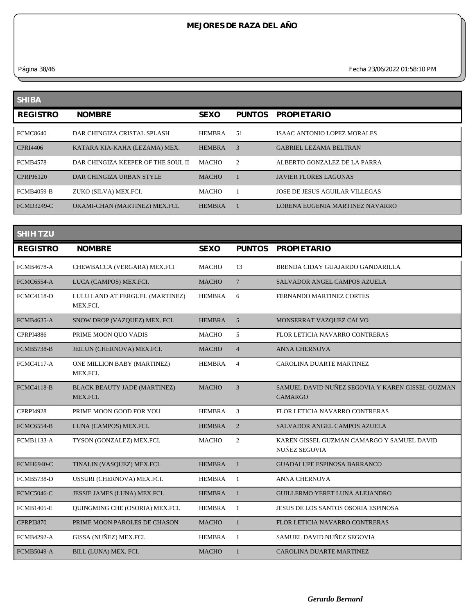*Página 38/46 Fecha 23/06/2022 01:58:10 PM*

| <b>SHIBA</b>      |                                    |               |               |                                    |
|-------------------|------------------------------------|---------------|---------------|------------------------------------|
| <b>REGISTRO</b>   | <b>NOMBRE</b>                      | <b>SEXO</b>   | <b>PUNTOS</b> | <b>PROPIETARIO</b>                 |
| <b>FCMC8640</b>   | DAR CHINGIZA CRISTAL SPLASH        | <b>HEMBRA</b> | .51           | <b>ISAAC ANTONIO LOPEZ MORALES</b> |
| CPRI4406          | KATARA KIA-KAHA (LEZAMA) MEX.      | <b>HEMBRA</b> | $\mathcal{R}$ | <b>GABRIEL LEZAMA BELTRAN</b>      |
| <b>FCMB4578</b>   | DAR CHINGIZA KEEPER OF THE SOUL II | <b>MACHO</b>  | 2             | ALBERTO GONZALEZ DE LA PARRA       |
| CPRPJ6120         | DAR CHINGIZA URBAN STYLE           | <b>MACHO</b>  |               | <b>JAVIER FLORES LAGUNAS</b>       |
| <b>FCMB4059-B</b> | ZUKO (SILVA) MEX.FCI.              | <b>MACHO</b>  |               | JOSE DE JESUS AGUILAR VILLEGAS     |
| <b>FCMD3249-C</b> | OKAMI-CHAN (MARTINEZ) MEX.FCI.     | <b>HEMBRA</b> |               | LORENA EUGENIA MARTINEZ NAVARRO    |

| <b>SHIH TZU</b>   |                                                 |               |                 |                                                                    |
|-------------------|-------------------------------------------------|---------------|-----------------|--------------------------------------------------------------------|
| <b>REGISTRO</b>   | <b>NOMBRE</b>                                   | <b>SEXO</b>   | <b>PUNTOS</b>   | <b>PROPIETARIO</b>                                                 |
| <b>FCMB4678-A</b> | CHEWBACCA (VERGARA) MEX.FCI                     | <b>MACHO</b>  | 13              | BRENDA CIDAY GUAJARDO GANDARILLA                                   |
| <b>FCMC6554-A</b> | LUCA (CAMPOS) MEX.FCI.                          | <b>MACHO</b>  | $7\phantom{.0}$ | <b>SALVADOR ANGEL CAMPOS AZUELA</b>                                |
| <b>FCMC4118-D</b> | LULU LAND AT FERGUEL (MARTINEZ)<br>MEX.FCI.     | <b>HEMBRA</b> | 6               | <b>FERNANDO MARTINEZ CORTES</b>                                    |
| <b>FCMB4635-A</b> | SNOW DROP (VAZQUEZ) MEX. FCI.                   | <b>HEMBRA</b> | 5               | MONSERRAT VAZQUEZ CALVO                                            |
| <b>CPRPI4886</b>  | PRIME MOON QUO VADIS                            | <b>MACHO</b>  | 5               | FLOR LETICIA NAVARRO CONTRERAS                                     |
| <b>FCMB5738-B</b> | JEILUN (CHERNOVA) MEX.FCI.                      | <b>MACHO</b>  | $\overline{4}$  | <b>ANNA CHERNOVA</b>                                               |
| <b>FCMC4117-A</b> | ONE MILLION BABY (MARTINEZ)<br>MEX.FCI.         | <b>HEMBRA</b> | $\overline{4}$  | <b>CAROLINA DUARTE MARTINEZ</b>                                    |
| <b>FCMC4118-B</b> | <b>BLACK BEAUTY JADE (MARTINEZ)</b><br>MEX.FCI. | <b>MACHO</b>  | 3               | SAMUEL DAVID NUÑEZ SEGOVIA Y KAREN GISSEL GUZMAN<br>CAMARGO        |
| <b>CPRPI4928</b>  | PRIME MOON GOOD FOR YOU                         | <b>HEMBRA</b> | 3               | FLOR LETICIA NAVARRO CONTRERAS                                     |
| <b>FCMC6554-B</b> | LUNA (CAMPOS) MEX.FCI.                          | <b>HEMBRA</b> | $\overline{2}$  | <b>SALVADOR ANGEL CAMPOS AZUELA</b>                                |
| <b>FCMB1133-A</b> | TYSON (GONZALEZ) MEX.FCI.                       | <b>MACHO</b>  | $\overline{2}$  | KAREN GISSEL GUZMAN CAMARGO Y SAMUEL DAVID<br><b>NUÑEZ SEGOVIA</b> |
| <b>FCMH6940-C</b> | TINALIN (VASQUEZ) MEX.FCI.                      | <b>HEMBRA</b> | $\mathbf{1}$    | <b>GUADALUPE ESPINOSA BARRANCO</b>                                 |
| <b>FCMB5738-D</b> | USSURI (CHERNOVA) MEX.FCI.                      | <b>HEMBRA</b> | -1              | <b>ANNA CHERNOVA</b>                                               |
| <b>FCMC5046-C</b> | JESSIE JAMES (LUNA) MEX.FCI.                    | <b>HEMBRA</b> | $\mathbf{1}$    | GUILLERMO YERET LUNA ALEJANDRO                                     |
| <b>FCMB1405-E</b> | QUINGMING CHE (OSORIA) MEX.FCI.                 | <b>HEMBRA</b> | 1               | <b>JESUS DE LOS SANTOS OSORIA ESPINOSA</b>                         |
| <b>CPRPI3870</b>  | PRIME MOON PAROLES DE CHASON                    | <b>MACHO</b>  |                 | FLOR LETICIA NAVARRO CONTRERAS                                     |
| <b>FCMB4292-A</b> | GISSA (NUÑEZ) MEX.FCI.                          | <b>HEMBRA</b> | -1              | SAMUEL DAVID NUÑEZ SEGOVIA                                         |
| <b>FCMB5049-A</b> | BILL (LUNA) MEX. FCI.                           | <b>MACHO</b>  |                 | <b>CAROLINA DUARTE MARTINEZ</b>                                    |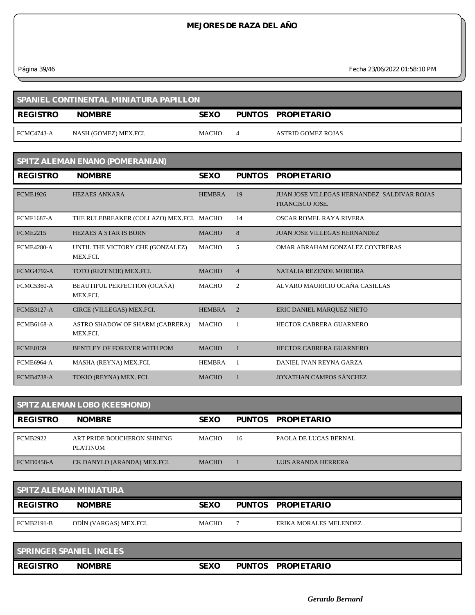*Página 39/46 Fecha 23/06/2022 01:58:10 PM*

| SPANIEL CONTINENTAL MINIATURA PAPILLON |                       |              |  |                    |  |  |
|----------------------------------------|-----------------------|--------------|--|--------------------|--|--|
| <b>REGISTRO</b>                        | <b>NOMBRE</b>         | <b>SEXO</b>  |  | PUNTOS PROPIETARIO |  |  |
| <b>FCMC4743-A</b>                      | NASH (GOMEZ) MEX.FCI. | <b>MACHO</b> |  | ASTRID GOMEZ ROJAS |  |  |

| SPITZ ALEMAN ENANO (POMERANIAN) |                                              |               |                |                                                                        |  |  |
|---------------------------------|----------------------------------------------|---------------|----------------|------------------------------------------------------------------------|--|--|
| <b>REGISTRO</b>                 | <b>NOMBRE</b>                                | <b>SEXO</b>   | <b>PUNTOS</b>  | <b>PROPIETARIO</b>                                                     |  |  |
| <b>FCME1926</b>                 | <b>HEZAES ANKARA</b>                         | <b>HEMBRA</b> | 19             | JUAN JOSE VILLEGAS HERNANDEZ, SALDIVAR ROJAS<br><b>FRANCISCO JOSE.</b> |  |  |
| <b>FCMF1687-A</b>               | THE RULEBREAKER (COLLAZO) MEX.FCI. MACHO     |               | 14             | OSCAR ROMEL RAYA RIVERA                                                |  |  |
| <b>FCME2215</b>                 | <b>HEZAES A STAR IS BORN</b>                 | <b>MACHO</b>  | 8              | <b>JUAN JOSE VILLEGAS HERNANDEZ</b>                                    |  |  |
| <b>FCMF4280-A</b>               | UNTIL THE VICTORY CHE (GONZALEZ)<br>MEX.FCI. | <b>MACHO</b>  | 5              | OMAR ABRAHAM GONZALEZ CONTRERAS                                        |  |  |
| <b>FCMG4792-A</b>               | TOTO (REZENDE) MEX.FCI.                      | <b>MACHO</b>  | $\overline{4}$ | NATALIA REZENDE MOREIRA                                                |  |  |
| <b>FCMC5360-A</b>               | BEAUTIFUL PERFECTION (OCAÑA)<br>MEX.FCI.     | <b>MACHO</b>  | 2              | ALVARO MAURICIO OCAÑA CASILLAS                                         |  |  |
| <b>FCMB3127-A</b>               | CIRCE (VILLEGAS) MEX.FCI.                    | <b>HEMBRA</b> | $\overline{2}$ | ERIC DANIEL MARQUEZ NIETO                                              |  |  |
| <b>FCMB6168-A</b>               | ASTRO SHADOW OF SHARM (CABRERA)<br>MEX.FCI.  | <b>MACHO</b>  |                | <b>HECTOR CABRERA GUARNERO</b>                                         |  |  |
| <b>FCME0159</b>                 | <b>BENTLEY OF FOREVER WITH POM</b>           | <b>MACHO</b>  |                | <b>HECTOR CABRERA GUARNERO</b>                                         |  |  |
| <b>FCME6964-A</b>               | MASHA (REYNA) MEX.FCI.                       | <b>HEMBRA</b> | $\overline{1}$ | DANIEL IVAN REYNA GARZA                                                |  |  |
| <b>FCMB4738-A</b>               | TOKIO (REYNA) MEX. FCI.                      | <b>MACHO</b>  |                | <b>JONATHAN CAMPOS SÁNCHEZ</b>                                         |  |  |

| <b>SPITZ ALEMAN LOBO (KEESHOND)</b> |                                         |              |               |                              |  |
|-------------------------------------|-----------------------------------------|--------------|---------------|------------------------------|--|
| <b>REGISTRO</b>                     | <b>NOMBRE</b>                           | <b>SEXO</b>  | <b>PUNTOS</b> | <b>PROPIETARIO</b>           |  |
| <b>FCMB2922</b>                     | ART PRIDE BOUCHERON SHINING<br>PLATINUM | <b>MACHO</b> | 16            | <b>PAOLA DE LUCAS BERNAL</b> |  |
| FCMD0458-A                          | CK DANYLO (ARANDA) MEX.FCI.             | <b>MACHO</b> |               | LUIS ARANDA HERRERA          |  |

| <b>SPITZ ALEMAN MINIATURA</b> |                        |              |  |                        |  |
|-------------------------------|------------------------|--------------|--|------------------------|--|
| <b>REGISTRO</b>               | <b>NOMBRE</b>          | <b>SEXO</b>  |  | PUNTOS PROPIETARIO     |  |
| <b>FCMB2191-B</b>             | ODÍN (VARGAS) MEX.FCI. | <b>MACHO</b> |  | ERIKA MORALES MELENDEZ |  |

| <b>SPRINGER SPANIEL INGLES</b> |               |      |               |                    |
|--------------------------------|---------------|------|---------------|--------------------|
| <b>I REGISTRO</b>              | <b>NOMBRE</b> | SEXO | <b>PUNTOS</b> | <b>PROPIETARIO</b> |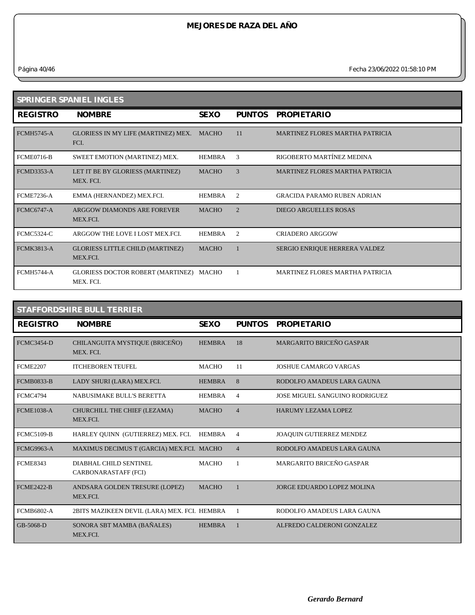*Página 40/46 Fecha 23/06/2022 01:58:10 PM*

| SPRINGER SPANIEL INGLES |                                                      |               |                |                                        |  |  |
|-------------------------|------------------------------------------------------|---------------|----------------|----------------------------------------|--|--|
| <b>REGISTRO</b>         | <b>NOMBRE</b>                                        | <b>SEXO</b>   | <b>PUNTOS</b>  | <b>PROPIETARIO</b>                     |  |  |
| <b>FCMH5745-A</b>       | GLORIESS IN MY LIFE (MARTINEZ) MEX.<br>FCI.          | <b>MACHO</b>  | 11             | <b>MARTINEZ FLORES MARTHA PATRICIA</b> |  |  |
| <b>FCME0716-B</b>       | SWEET EMOTION (MARTINEZ) MEX.                        | <b>HEMBRA</b> | 3              | RIGOBERTO MARTÍNEZ MEDINA              |  |  |
| <b>FCMD3353-A</b>       | LET IT BE BY GLORIESS (MARTINEZ)<br>MEX. FCI.        | <b>MACHO</b>  | 3              | <b>MARTINEZ FLORES MARTHA PATRICIA</b> |  |  |
| <b>FCME7236-A</b>       | EMMA (HERNANDEZ) MEX.FCI.                            | <b>HEMBRA</b> | 2              | <b>GRACIDA PARAMO RUBEN ADRIAN</b>     |  |  |
| <b>FCMC6747-A</b>       | ARGGOW DIAMONDS ARE FOREVER<br>MEX FCI.              | <b>MACHO</b>  | $\mathfrak{D}$ | <b>DIEGO ARGUELLES ROSAS</b>           |  |  |
| <b>FCMC5324-C</b>       | ARGGOW THE LOVE I LOST MEX.FCL                       | <b>HEMBRA</b> | 2              | <b>CRIADERO ARGGOW</b>                 |  |  |
| <b>FCMK3813-A</b>       | <b>GLORIESS LITTLE CHILD (MARTINEZ)</b><br>MEX.FCI.  | <b>MACHO</b>  |                | SERGIO ENRIQUE HERRERA VALDEZ          |  |  |
| <b>FCMH5744-A</b>       | GLORIESS DOCTOR ROBERT (MARTINEZ) MACHO<br>MEX. FCI. |               |                | <b>MARTINEZ FLORES MARTHA PATRICIA</b> |  |  |

#### **STAFFORDSHIRE BULL TERRIER REGISTRO NOMBRE SEXO PUNTOS PROPIETARIO** FCMC3454-D CHILANGUITA MYSTIQUE (BRICEÑO) MEX. FCI. 18 MARGARITO BRICEÑO GASPAR FCME2207 ITCHEBOREN TEUFEL MACHO 11 JOSHUE CAMARGO VARGAS FCMB0833-B LADY SHURI (LARA) MEX.FCI. HEMBRA 8 RODOLFO AMADEUS LARA GAUNA FCMC4794 NABUSIMAKE BULL'S BERETTA HEMBRA 4 JOSE MIGUEL SANGUINO RODRIGUEZ FCME1038-A CHURCHILL THE CHIEF (LEZAMA) MEX.FCI. MACHO 4 HARUMY LEZAMA LOPEZ FCMC5109-B HARLEY QUINN (GUTIERREZ) MEX. FCI. HEMBRA 4 JOAQUIN GUTIERREZ MENDEZ FCMG9963-A MAXIMUS DECIMUS T (GARCIA) MEX.FCI. MACHO 4 RODOLFO AMADEUS LARA GAUNA FCME8343 DIABHAL CHILD SENTINEL CARBONARASTAFF (FCI) MACHO 1 MARGARITO BRICEÑO GASPAR FCME2422-B ANDSARA GOLDEN TRESURE (LOPEZ) MACHO MEX.FCI. 1 JORGE EDUARDO LOPEZ MOLINA FCMB6802-A 2BITS MAZIKEEN DEVIL (LARA) MEX. FCI. HEMBRA 1 RODOLFO AMADEUS LARA GAUNA GB-5068-D SONORA SBT MAMBA (BAÑALES) MEX.FCI. HEMBRA 1 ALFREDO CALDERONI GONZALEZ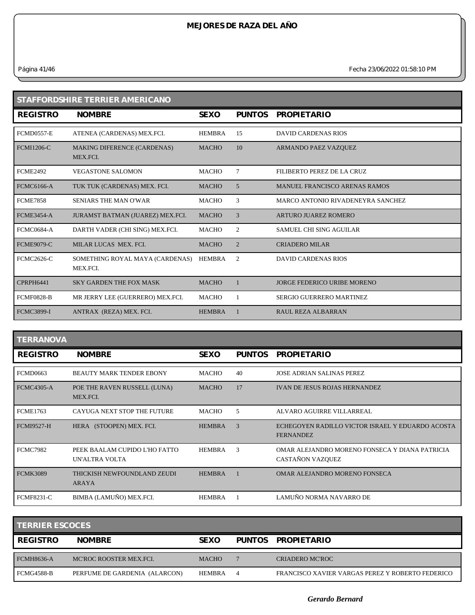*Página 41/46 Fecha 23/06/2022 01:58:10 PM*

| <b>STAFFORDSHIRE TERRIER AMERICANO</b> |                                                |               |                |                                      |  |
|----------------------------------------|------------------------------------------------|---------------|----------------|--------------------------------------|--|
| <b>REGISTRO</b>                        | <b>NOMBRE</b>                                  | <b>SEXO</b>   | <b>PUNTOS</b>  | <b>PROPIETARIO</b>                   |  |
| <b>FCMD0557-E</b>                      | ATENEA (CARDENAS) MEX.FCI.                     | <b>HEMBRA</b> | 15             | <b>DAVID CARDENAS RIOS</b>           |  |
| <b>FCMI1206-C</b>                      | <b>MAKING DIFERENCE (CARDENAS)</b><br>MEX.FCI. | <b>MACHO</b>  | 10             | ARMANDO PAEZ VAZQUEZ                 |  |
| <b>FCME2492</b>                        | <b>VEGASTONE SALOMON</b>                       | <b>MACHO</b>  | 7              | FILIBERTO PEREZ DE LA CRUZ           |  |
| <b>FCMC6166-A</b>                      | TUK TUK (CARDENAS) MEX. FCI.                   | <b>MACHO</b>  | .5             | <b>MANUEL FRANCISCO ARENAS RAMOS</b> |  |
| <b>FCME7858</b>                        | <b>SENIARS THE MAN O'WAR</b>                   | <b>MACHO</b>  | 3              | MARCO ANTONIO RIVADENEYRA SANCHEZ    |  |
| <b>FCME3454-A</b>                      | JURAMST BATMAN (JUAREZ) MEX.FCI.               | <b>MACHO</b>  | 3              | <b>ARTURO JUAREZ ROMERO</b>          |  |
| <b>FCMC0684-A</b>                      | DARTH VADER (CHI SING) MEX.FCI.                | <b>MACHO</b>  | $\overline{c}$ | <b>SAMUEL CHI SING AGUILAR</b>       |  |
| <b>FCME9079-C</b>                      | MILAR LUCAS MEX. FCI.                          | <b>MACHO</b>  | 2              | <b>CRIADERO MILAR</b>                |  |
| <b>FCMC2626-C</b>                      | SOMETHING ROYAL MAYA (CARDENAS)<br>MEX.FCI.    | <b>HEMBRA</b> | 2              | <b>DAVID CARDENAS RIOS</b>           |  |
| CPRPH6441                              | <b>SKY GARDEN THE FOX MASK</b>                 | <b>MACHO</b>  |                | <b>JORGE FEDERICO URIBE MORENO</b>   |  |
| <b>FCMF0828-B</b>                      | MR JERRY LEE (GUERRERO) MEX.FCI.               | <b>MACHO</b>  |                | <b>SERGIO GUERRERO MARTINEZ</b>      |  |
| <b>FCMC3899-I</b>                      | ANTRAX (REZA) MEX. FCI.                        | <b>HEMBRA</b> |                | <b>RAUL REZA ALBARRAN</b>            |  |

| <b>TERRANOVA</b>  |                                                 |               |               |                                                                      |
|-------------------|-------------------------------------------------|---------------|---------------|----------------------------------------------------------------------|
| <b>REGISTRO</b>   | <b>NOMBRE</b>                                   | <b>SEXO</b>   | <b>PUNTOS</b> | <b>PROPIETARIO</b>                                                   |
| <b>FCMD0663</b>   | <b>BEAUTY MARK TENDER EBONY</b>                 | <b>MACHO</b>  | 40            | <b>JOSE ADRIAN SALINAS PEREZ</b>                                     |
| <b>FCMC4305-A</b> | POE THE RAVEN RUSSELL (LUNA)<br>MEX.FCI.        | <b>MACHO</b>  | 17            | <b>IVAN DE JESUS ROJAS HERNANDEZ</b>                                 |
| <b>FCME1763</b>   | CAYUGA NEXT STOP THE FUTURE                     | <b>MACHO</b>  | 5             | ALVARO AGUIRRE VILLARREAL                                            |
| <b>FCMI9527-H</b> | HERA (STOOPEN) MEX. FCI.                        | <b>HEMBRA</b> | 3             | ECHEGOYEN RADILLO VICTOR ISRAEL Y EDUARDO ACOSTA<br><b>FERNANDEZ</b> |
| <b>FCMC7982</b>   | PEEK BAALAM CUPIDO L'HO FATTO<br>UN'ALTRA VOLTA | HEMBRA        | 3             | OMAR ALEJANDRO MORENO FONSECA Y DIANA PATRICIA<br>CASTAÑON VAZQUEZ   |
| <b>FCMK3089</b>   | THICKISH NEWFOUNDLAND ZEUDI<br><b>ARAYA</b>     | <b>HEMBRA</b> |               | OMAR ALEJANDRO MORENO FONSECA                                        |
| <b>FCMF8231-C</b> | BIMBA (LAMUÑO) MEX.FCI.                         | <b>HEMBRA</b> |               | LAMUÑO NORMA NAVARRO DE                                              |

| <b>TERRIER ESCOCES</b> |                               |               |  |                                                  |  |  |
|------------------------|-------------------------------|---------------|--|--------------------------------------------------|--|--|
| <b>REGISTRO</b>        | <b>NOMBRE</b>                 | <b>SEXO</b>   |  | PUNTOS PROPIETARIO                               |  |  |
| <b>FCMH8636-A</b>      | MC'ROC ROOSTER MEX.FCI.       | <b>MACHO</b>  |  | <b>CRIADERO MC'ROC</b>                           |  |  |
| <b>FCMG4588-B</b>      | PERFUME DE GARDENIA (ALARCON) | <b>HEMBRA</b> |  | FRANCISCO XAVIER VARGAS PEREZ Y ROBERTO FEDERICO |  |  |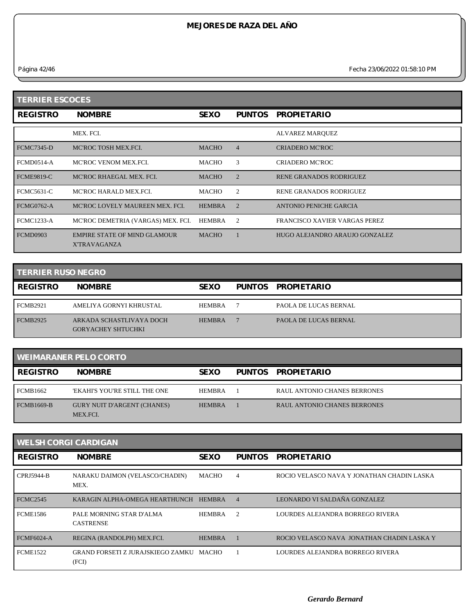*Página 42/46 Fecha 23/06/2022 01:58:10 PM*

| <b>TERRIER ESCOCES</b> |                                                     |               |                |                                |  |
|------------------------|-----------------------------------------------------|---------------|----------------|--------------------------------|--|
| <b>REGISTRO</b>        | <b>NOMBRE</b>                                       | <b>SEXO</b>   | <b>PUNTOS</b>  | <b>PROPIETARIO</b>             |  |
|                        | MEX. FCI.                                           |               |                | ALVAREZ MARQUEZ                |  |
| <b>FCMC7345-D</b>      | MC'ROC TOSH MEX.FCI.                                | <b>MACHO</b>  | $\overline{4}$ | <b>CRIADERO MC'ROC</b>         |  |
| <b>FCMD0514-A</b>      | MC'ROC VENOM MEX.FCI.                               | <b>MACHO</b>  | 3              | <b>CRIADERO MC'ROC</b>         |  |
| <b>FCME9819-C</b>      | MC'ROC RHAEGAL MEX. FCI.                            | <b>MACHO</b>  | $\overline{2}$ | <b>RENE GRANADOS RODRIGUEZ</b> |  |
| <b>FCMC5631-C</b>      | MC'ROC HARALD MEX.FCI.                              | MACHO         | 2              | <b>RENE GRANADOS RODRIGUEZ</b> |  |
| <b>FCMG0762-A</b>      | MC'ROC LOVELY MAUREEN MEX. FCI.                     | <b>HEMBRA</b> | $\overline{2}$ | ANTONIO PENICHE GARCIA         |  |
| <b>FCMC1233-A</b>      | MC'ROC DEMETRIA (VARGAS) MEX. FCI.                  | HEMBRA        | 2              | FRANCISCO XAVIER VARGAS PEREZ  |  |
| <b>FCMD0903</b>        | EMPIRE STATE OF MIND GLAMOUR<br><b>X'TRAVAGANZA</b> | <b>MACHO</b>  |                | HUGO ALEJANDRO ARAUJO GONZALEZ |  |

| <b>TERRIER RUSO NEGRO</b> |                                                       |               |               |                              |
|---------------------------|-------------------------------------------------------|---------------|---------------|------------------------------|
| <b>REGISTRO</b>           | <b>NOMBRE</b>                                         | <b>SEXO</b>   | <b>PUNTOS</b> | <b>PROPIETARIO</b>           |
| FCMB2921                  | AMELIYA GORNYI KHRUSTAL                               | <b>HEMBRA</b> |               | PAOLA DE LUCAS BERNAL        |
| <b>FCMB2925</b>           | ARKADA SCHASTLIVAYA DOCH<br><b>GORYACHEY SHTUCHKI</b> | <b>HEMBRA</b> |               | <b>PAOLA DE LUCAS BERNAL</b> |

| <b>WEIMARANER PELO CORTO</b> |                                                |               |  |                                     |  |
|------------------------------|------------------------------------------------|---------------|--|-------------------------------------|--|
| <b>REGISTRO</b>              | <b>NOMBRE</b>                                  | <b>SEXO</b>   |  | PUNTOS PROPIETARIO                  |  |
| <b>FCMB1662</b>              | 'EKAHI'S YOU'RE STILL THE ONE                  | <b>HEMBRA</b> |  | RAUL ANTONIO CHANES BERRONES        |  |
| <b>FCMB1669-B</b>            | <b>GURY NUIT D'ARGENT (CHANES)</b><br>MEX.FCI. | <b>HEMBRA</b> |  | <b>RAUL ANTONIO CHANES BERRONES</b> |  |

| <b>WELSH CORGI CARDIGAN</b> |                                                  |               |                |                                            |  |
|-----------------------------|--------------------------------------------------|---------------|----------------|--------------------------------------------|--|
| <b>REGISTRO</b>             | <b>NOMBRE</b>                                    | <b>SEXO</b>   | <b>PUNTOS</b>  | <b>PROPIETARIO</b>                         |  |
| CPRJ5944-B                  | NARAKU DAIMON (VELASCO/CHADIN)<br>MEX.           | MACHO         | 4              | ROCIO VELASCO NAVA Y JONATHAN CHADIN LASKA |  |
| FCMC <sub>2545</sub>        | KARAGIN ALPHA-OMEGA HEARTHUNCH                   | <b>HEMBRA</b> | $\overline{4}$ | LEONARDO VI SALDAÑA GONZALEZ               |  |
| <b>FCME1586</b>             | PALE MORNING STAR D'ALMA<br><b>CASTRENSE</b>     | <b>HEMBRA</b> | $\overline{2}$ | LOURDES ALEJANDRA BORREGO RIVERA           |  |
| <b>FCMF6024-A</b>           | REGINA (RANDOLPH) MEX.FCI.                       | <b>HEMBRA</b> |                | ROCIO VELASCO NAVA JONATHAN CHADIN LASKA Y |  |
| <b>FCME1522</b>             | GRAND FORSETI Z JURAJSKIEGO ZAMKU MACHO<br>(FCI) |               |                | LOURDES ALEJANDRA BORREGO RIVERA           |  |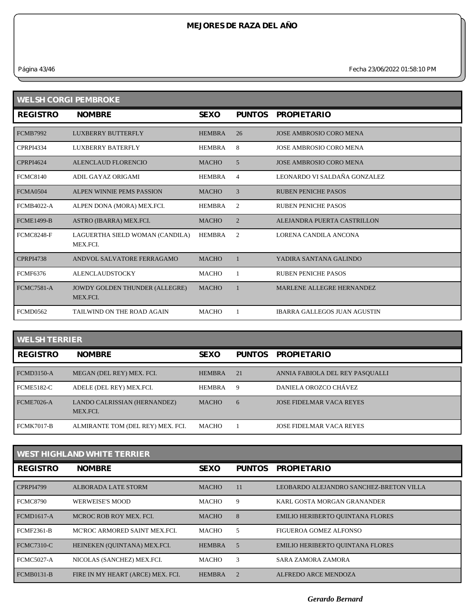*Página 43/46 Fecha 23/06/2022 01:58:10 PM*

| <b>WELSH CORGI PEMBROKE</b> |                                             |               |                |                                |  |  |
|-----------------------------|---------------------------------------------|---------------|----------------|--------------------------------|--|--|
| <b>REGISTRO</b>             | <b>NOMBRE</b>                               | <b>SEXO</b>   | <b>PUNTOS</b>  | <b>PROPIETARIO</b>             |  |  |
| <b>FCMB7992</b>             | <b>LUXBERRY BUTTERFLY</b>                   | <b>HEMBRA</b> | 26             | JOSE AMBROSIO CORO MENA        |  |  |
| <b>CPRPI4334</b>            | LUXBERRY BATERFLY                           | <b>HEMBRA</b> | 8              | <b>JOSE AMBROSIO CORO MENA</b> |  |  |
| <b>CPRPI4624</b>            | ALENCLAUD FLORENCIO                         | <b>MACHO</b>  | 5              | <b>JOSE AMBROSIO CORO MENA</b> |  |  |
| <b>FCMC8140</b>             | ADIL GAYAZ ORIGAMI                          | <b>HEMBRA</b> | 4              | LEONARDO VI SALDAÑA GONZALEZ   |  |  |
| <b>FCMA0504</b>             | ALPEN WINNIE PEMS PASSION                   | <b>MACHO</b>  | 3              | <b>RUBEN PENICHE PASOS</b>     |  |  |
| <b>FCMB4022-A</b>           | ALPEN DONA (MORA) MEX.FCI.                  | <b>HEMBRA</b> | 2              | <b>RUBEN PENICHE PASOS</b>     |  |  |
| <b>FCME1499-B</b>           | ASTRO (IBARRA) MEX.FCI.                     | <b>MACHO</b>  | $\overline{2}$ | ALEJANDRA PUERTA CASTRILLON    |  |  |
| <b>FCMC8248-F</b>           | LAGUERTHA SIELD WOMAN (CANDILA)<br>MEX.FCI. | <b>HEMBRA</b> | $\overline{2}$ | LORENA CANDILA ANCONA          |  |  |
| <b>CPRPI4738</b>            | ANDVOL SALVATORE FERRAGAMO                  | <b>MACHO</b>  |                | YADIRA SANTANA GALINDO         |  |  |
| <b>FCMF6376</b>             | <b>ALENCLAUDSTOCKY</b>                      | <b>MACHO</b>  |                | <b>RUBEN PENICHE PASOS</b>     |  |  |
| <b>FCMC7581-A</b>           | JOWDY GOLDEN THUNDER (ALLEGRE)<br>MEX.FCI.  | <b>MACHO</b>  | $\mathbf{1}$   | MARLENE ALLEGRE HERNANDEZ      |  |  |
| <b>FCMD0562</b>             | TAILWIND ON THE ROAD AGAIN                  | <b>MACHO</b>  | -1             | IBARRA GALLEGOS JUAN AGUSTIN   |  |  |

#### **WELSH TERRIER**

| <b>REGISTRO</b>   | <b>NOMBRE</b>                            | <b>SEXO</b>   | <b>PUNTOS</b> | <b>PROPIETARIO</b>              |
|-------------------|------------------------------------------|---------------|---------------|---------------------------------|
| <b>FCMD3150-A</b> | MEGAN (DEL REY) MEX. FCI.                | <b>HEMBRA</b> | 21            | ANNIA FABIOLA DEL REY PASQUALLI |
| <b>FCME5182-C</b> | ADELE (DEL REY) MEX.FCI.                 | <b>HEMBRA</b> | 9             | DANIELA OROZCO CHÁVEZ           |
| <b>FCME7026-A</b> | LANDO CALRISSIAN (HERNANDEZ)<br>MEX.FCI. | <b>MACHO</b>  | 6             | <b>JOSE FIDELMAR VACA REYES</b> |
| <b>FCMK7017-B</b> | ALMIRANTE TOM (DEL REY) MEX. FCI.        | <b>MACHO</b>  |               | <b>JOSE FIDELMAR VACA REYES</b> |

| <b>WEST HIGHLAND WHITE TERRIER</b> |                                   |               |               |                                         |  |
|------------------------------------|-----------------------------------|---------------|---------------|-----------------------------------------|--|
| <b>REGISTRO</b>                    | <b>NOMBRE</b>                     | <b>SEXO</b>   | <b>PUNTOS</b> | <b>PROPIETARIO</b>                      |  |
| <b>CPRPI4799</b>                   | <b>ALBORADA LATE STORM</b>        | <b>MACHO</b>  | 11            | LEOBARDO ALEJANDRO SANCHEZ-BRETON VILLA |  |
| <b>FCMC8790</b>                    | <b>WERWEISE'S MOOD</b>            | <b>MACHO</b>  | 9             | KARL GOSTA MORGAN GRANANDER             |  |
| <b>FCMD1617-A</b>                  | MCROC ROB ROY MEX. FCI.           | <b>MACHO</b>  | 8             | <b>EMILIO HERIBERTO QUINTANA FLORES</b> |  |
| <b>FCMF2361-B</b>                  | MC'ROC ARMORED SAINT MEX.FCI.     | <b>MACHO</b>  | 5             | FIGUEROA GOMEZ ALFONSO                  |  |
| <b>FCMC7310-C</b>                  | HEINEKEN (OUINTANA) MEX.FCI.      | <b>HEMBRA</b> | 5             | <b>EMILIO HERIBERTO QUINTANA FLORES</b> |  |
| <b>FCMC5027-A</b>                  | NICOLAS (SANCHEZ) MEX.FCI.        | MACHO         | 3             | SARA ZAMORA ZAMORA                      |  |
| <b>FCMB0131-B</b>                  | FIRE IN MY HEART (ARCE) MEX. FCI. | <b>HEMBRA</b> |               | <b>ALFREDO ARCE MENDOZA</b>             |  |

*Gerardo Bernard*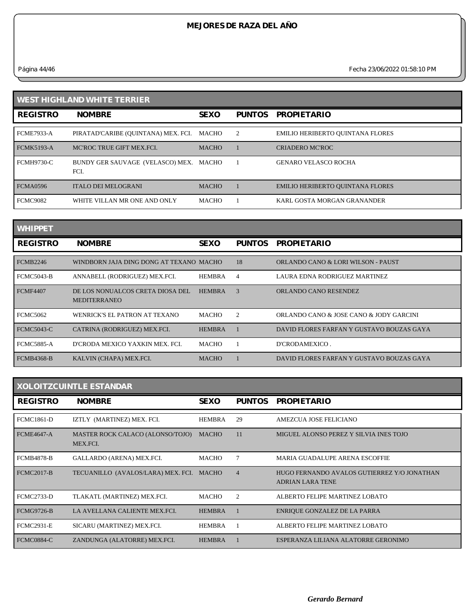*Página 44/46 Fecha 23/06/2022 01:58:10 PM*

| <b>WEST HIGHLAND WHITE TERRIER</b> |                                          |              |               |                                         |  |
|------------------------------------|------------------------------------------|--------------|---------------|-----------------------------------------|--|
| <b>REGISTRO</b>                    | <b>NOMBRE</b>                            | <b>SEXO</b>  | <b>PUNTOS</b> | <b>PROPIETARIO</b>                      |  |
| <b>FCME7933-A</b>                  | PIRATAD'CARIBE (QUINTANA) MEX. FCI.      | MACHO        | 2             | EMILIO HERIBERTO QUINTANA FLORES        |  |
| <b>FCMK5193-A</b>                  | MC'ROC TRUE GIFT MEX.FCI.                | <b>MACHO</b> |               | <b>CRIADERO MC'ROC</b>                  |  |
| <b>FCMH9730-C</b>                  | BUNDY GER SAUVAGE (VELASCO) MEX.<br>FCI. | MACHO        |               | <b>GENARO VELASCO ROCHA</b>             |  |
| <b>FCMA0596</b>                    | <b>ITALO DEI MELOGRANI</b>               | <b>MACHO</b> |               | <b>EMILIO HERIBERTO QUINTANA FLORES</b> |  |
| <b>FCMC9082</b>                    | WHITE VILLAN MR ONE AND ONLY             | <b>MACHO</b> |               | KARL GOSTA MORGAN GRANANDER             |  |

| <b>WHIPPET</b>    |                                                         |               |                |                                           |
|-------------------|---------------------------------------------------------|---------------|----------------|-------------------------------------------|
| <b>REGISTRO</b>   | <b>NOMBRE</b>                                           | <b>SEXO</b>   | <b>PUNTOS</b>  | <b>PROPIETARIO</b>                        |
| <b>FCMB2246</b>   | WINDBORN JAJA DING DONG AT TEXANO MACHO                 |               | 18             | ORLANDO CANO & LORI WILSON - PAUST        |
| <b>FCMC5043-B</b> | ANNABELL (RODRIGUEZ) MEX.FCI.                           | <b>HEMBRA</b> | 4              | LAURA EDNA RODRIGUEZ MARTINEZ             |
| <b>FCMF4407</b>   | DE LOS NONUALCOS CRETA DIOSA DEL<br><b>MEDITERRANEO</b> | <b>HEMBRA</b> | 3              | ORLANDO CANO RESENDEZ                     |
| <b>FCMC5062</b>   | WENRICK'S EL PATRON AT TEXANO                           | MACHO         | $\mathfrak{D}$ | ORLANDO CANO & JOSE CANO & JODY GARCINI   |
| <b>FCMC5043-C</b> | CATRINA (RODRIGUEZ) MEX.FCI.                            | <b>HEMBRA</b> |                | DAVID FLORES FARFAN Y GUSTAVO BOUZAS GAYA |
| <b>FCMC5885-A</b> | D'CRODA MEXICO YAXKIN MEX. FCI.                         | <b>MACHO</b>  |                | D'CRODAMEXICO.                            |
| <b>FCMB4368-B</b> | KALVIN (CHAPA) MEX.FCI.                                 | <b>MACHO</b>  |                | DAVID FLORES FARFAN Y GUSTAVO BOUZAS GAYA |

| <b>XOLOITZCUINTLE ESTANDAR</b> |                                              |               |                |                                                                        |  |
|--------------------------------|----------------------------------------------|---------------|----------------|------------------------------------------------------------------------|--|
| <b>REGISTRO</b>                | <b>NOMBRE</b>                                | <b>SEXO</b>   | <b>PUNTOS</b>  | <b>PROPIETARIO</b>                                                     |  |
| <b>FCMC1861-D</b>              | IZTLY (MARTINEZ) MEX. FCI.                   | <b>HEMBRA</b> | 29             | AMEZCUA JOSE FELICIANO                                                 |  |
| <b>FCME4647-A</b>              | MASTER ROCK CALACO (ALONSO/TOJO)<br>MEX.FCI. | <b>MACHO</b>  | 11             | MIGUEL ALONSO PEREZ Y SILVIA INES TOJO                                 |  |
| <b>FCMB4878-B</b>              | GALLARDO (ARENA) MEX.FCI.                    | MACHO         | 7              | MARIA GUADALUPE ARENA ESCOFFIE                                         |  |
| <b>FCMC2017-B</b>              | TECUANILLO (AVALOS/LARA) MEX. FCI. MACHO     |               | $\overline{4}$ | HUGO FERNANDO AVALOS GUTIERREZ Y/O JONATHAN<br><b>ADRIAN LARA TENE</b> |  |
| <b>FCMC2733-D</b>              | TLAKATL (MARTINEZ) MEX.FCI.                  | <b>MACHO</b>  | 2              | ALBERTO FELIPE MARTINEZ LOBATO                                         |  |
| <b>FCMG9726-B</b>              | LA AVELLANA CALIENTE MEX.FCI.                | <b>HEMBRA</b> |                | ENRIQUE GONZALEZ DE LA PARRA                                           |  |
| <b>FCMC2931-E</b>              | SICARU (MARTINEZ) MEX.FCI.                   | <b>HEMBRA</b> |                | ALBERTO FELIPE MARTINEZ LOBATO                                         |  |
| <b>FCMC0884-C</b>              | ZANDUNGA (ALATORRE) MEX.FCI.                 | <b>HEMBRA</b> |                | ESPERANZA LILIANA ALATORRE GERONIMO                                    |  |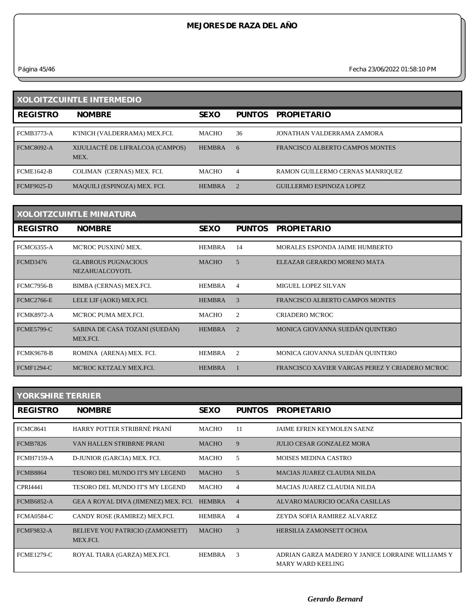*Página 45/46 Fecha 23/06/2022 01:58:10 PM*

| <b>XOLOITZCUINTLE INTERMEDIO</b> |                                          |               |               |                                  |
|----------------------------------|------------------------------------------|---------------|---------------|----------------------------------|
| <b>REGISTRO</b>                  | <b>NOMBRE</b>                            | <b>SEXO</b>   | <b>PUNTOS</b> | <b>PROPIETARIO</b>               |
| <b>FCMB3773-A</b>                | K'INICH (VALDERRAMA) MEX.FCI.            | <b>MACHO</b>  | 36            | JONATHAN VALDERRAMA ZAMORA       |
| <b>FCMC8092-A</b>                | XIJULIACTÉ DE LIFRALCOA (CAMPOS)<br>MEX. | <b>HEMBRA</b> | 6             | FRANCISCO ALBERTO CAMPOS MONTES  |
| <b>FCME1642-B</b>                | COLIMAN (CERNAS) MEX. FCI.               | <b>MACHO</b>  | 4             | RAMON GUILLERMO CERNAS MANRIQUEZ |
| <b>FCMF9025-D</b>                | MAQUILI (ESPINOZA) MEX. FCI.             | <b>HEMBRA</b> |               | <b>GUILLERMO ESPINOZA LOPEZ</b>  |

| <b>XOLOITZCUINTLE MINIATURA</b> |                                                     |               |                |                                                 |
|---------------------------------|-----------------------------------------------------|---------------|----------------|-------------------------------------------------|
| <b>REGISTRO</b>                 | <b>NOMBRE</b>                                       | <b>SEXO</b>   | <b>PUNTOS</b>  | <b>PROPIETARIO</b>                              |
| <b>FCMC6355-A</b>               | MC'ROC PUSXINÙ MEX.                                 | <b>HEMBRA</b> | 14             | MORALES ESPONDA JAIME HUMBERTO                  |
| <b>FCMD3476</b>                 | <b>GLABROUS PUGNACIOUS</b><br><b>NEZAHUALCOYOTL</b> | <b>MACHO</b>  | 5              | ELEAZAR GERARDO MORENO MATA                     |
| <b>FCMC7956-B</b>               | BIMBA (CERNAS) MEX.FCI.                             | <b>HEMBRA</b> | 4              | <b>MIGUEL LOPEZ SILVAN</b>                      |
| <b>FCMC2766-E</b>               | LELE LIF (AOKI) MEX.FCI.                            | <b>HEMBRA</b> | 3              | FRANCISCO ALBERTO CAMPOS MONTES                 |
| <b>FCMK8972-A</b>               | MC'ROC PUMA MEX.FCI.                                | MACHO         | 2              | <b>CRIADERO MC'ROC</b>                          |
| <b>FCME5799-C</b>               | SABINA DE CASA TOZANI (SUEDAN)<br>MEX.FCI.          | <b>HEMBRA</b> | $\overline{2}$ | MONICA GIOVANNA SUEDÁN QUINTERO                 |
| <b>FCMK9678-B</b>               | ROMINA (ARENA) MEX. FCI.                            | HEMBRA        | $\overline{2}$ | MONICA GIOVANNA SUEDÁN QUINTERO                 |
| <b>FCMF1294-C</b>               | MC'ROC KETZALY MEX.FCL                              | <b>HEMBRA</b> |                | FRANCISCO XAVIER VARGAS PEREZ Y CRIADERO MC'ROC |

| <b>YORKSHIRE TERRIER</b> |                                              |               |                |                                                                              |
|--------------------------|----------------------------------------------|---------------|----------------|------------------------------------------------------------------------------|
| <b>REGISTRO</b>          | <b>NOMBRE</b>                                | <b>SEXO</b>   | <b>PUNTOS</b>  | <b>PROPIETARIO</b>                                                           |
| <b>FCMC8641</b>          | HARRY POTTER STRIBRNÉ PRANÍ                  | <b>MACHO</b>  | 11             | <b>JAIME EFREN KEYMOLEN SAENZ</b>                                            |
| <b>FCMB7826</b>          | VAN HALLEN STRIBRNE PRANI                    | <b>MACHO</b>  | 9              | <b>JULIO CESAR GONZALEZ MORA</b>                                             |
| <b>FCMH7159-A</b>        | D-JUNIOR (GARCIA) MEX. FCI.                  | MACHO         | 5              | <b>MOISES MEDINA CASTRO</b>                                                  |
| <b>FCMB8864</b>          | TESORO DEL MUNDO IT'S MY LEGEND              | <b>MACHO</b>  | $\overline{5}$ | <b>MACIAS JUAREZ CLAUDIA NILDA</b>                                           |
| <b>CPRI4441</b>          | TESORO DEL MUNDO IT'S MY LEGEND              | <b>MACHO</b>  | $\overline{4}$ | <b>MACIAS JUAREZ CLAUDIA NILDA</b>                                           |
| <b>FCMB6852-A</b>        | GEA A ROYAL DIVA (JIMENEZ) MEX. FCI.         | <b>HEMBRA</b> | $\overline{4}$ | ALVARO MAURICIO OCAÑA CASILLAS                                               |
| <b>FCMA0584-C</b>        | CANDY ROSE (RAMIREZ) MEX.FCI.                | <b>HEMBRA</b> | 4              | ZEYDA SOFIA RAMIREZ ALVAREZ                                                  |
| <b>FCMF9832-A</b>        | BELIEVE YOU PATRICIO (ZAMONSETT)<br>MEX.FCI. | <b>MACHO</b>  | 3              | HERSILIA ZAMONSETT OCHOA                                                     |
| <b>FCME1279-C</b>        | ROYAL TIARA (GARZA) MEX.FCI.                 | <b>HEMBRA</b> | 3              | ADRIAN GARZA MADERO Y JANICE LORRAINE WILLIAMS Y<br><b>MARY WARD KEELING</b> |